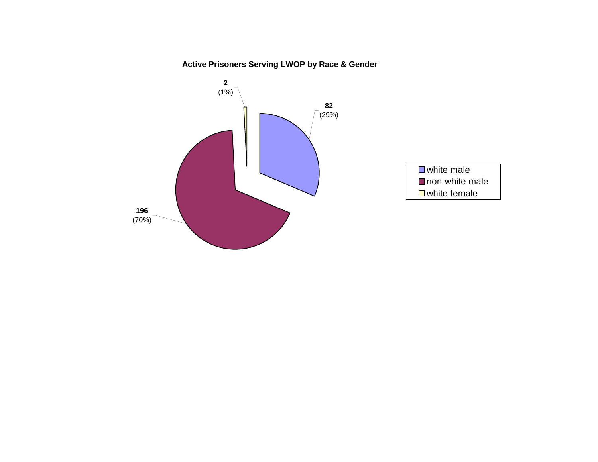**Active Prisoners Serving LWOP by Race & Gender**

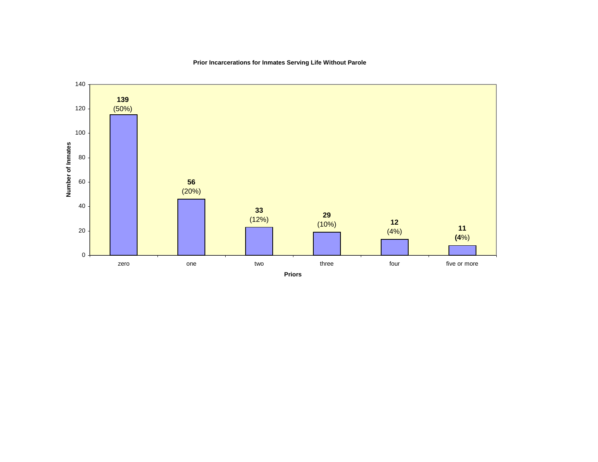

# **Prior Incarcerations for Inmates Serving Life Without Parole**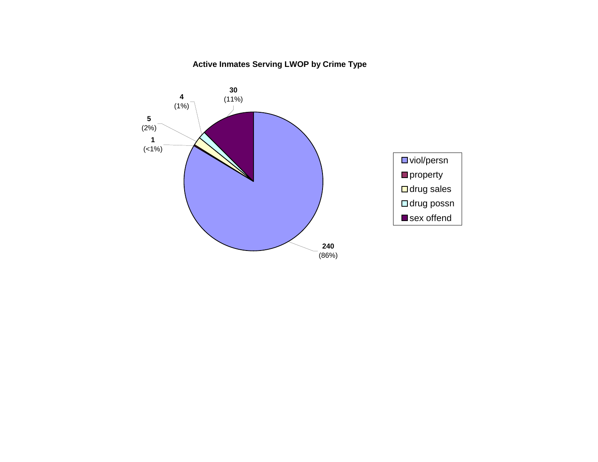# **Active Inmates Serving LWOP by Crime Type**

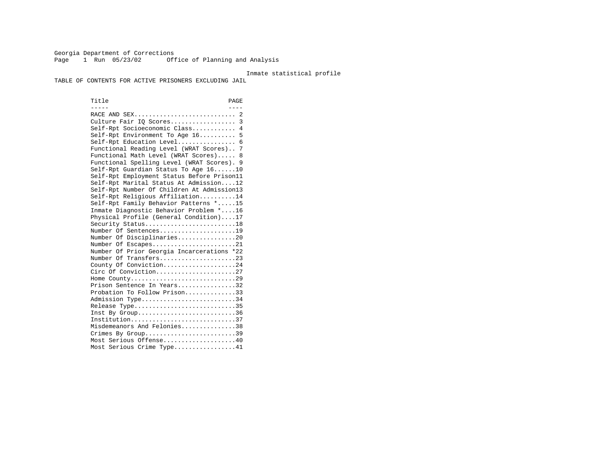Georgia Department of Corrections Page 1 Run 05/23/02 Office of Planning and Analysis

#### Inmate statistical profile

TABLE OF CONTENTS FOR ACTIVE PRISONERS EXCLUDING JAIL

Title PAGE ----- ---- RACE AND SEX............................ 2 Culture Fair IQ Scores.................. 3 Self-Rpt Socioeconomic Class............ 4 Self-Rpt Environment To Age 16.......... 5 Self-Rpt Education Level................ 6 Functional Reading Level (WRAT Scores).. 7 Functional Math Level (WRAT Scores)..... 8 Functional Spelling Level (WRAT Scores). 9 Self-Rpt Guardian Status To Age 16......10 Self-Rpt Employment Status Before Prison11 Self-Rpt Marital Status At Admission....12 Self-Rpt Number Of Children At Admission13 Self-Rpt Religious Affiliation..........14 Self-Rpt Family Behavior Patterns \*.....15 Inmate Diagnostic Behavior Problem \*....16 Physical Profile (General Condition)....17 Security Status...........................18 Number Of Sentences.....................19 Number Of Disciplinaries................20 Number Of Escapes........................21 Number Of Prior Georgia Incarcerations \*22 Number Of Transfers.....................23 County Of Conviction....................24 Circ Of Conviction......................27 Home County.............................29 Prison Sentence In Years.................32 Probation To Follow Prison..............33Admission Type............................34 Release Type..............................35 Inst By Group..............................36 Institution.............................37 Misdemeanors And Felonies...............38 Crimes By Group.............................39 Most Serious Offense....................40 Most Serious Crime Type.................41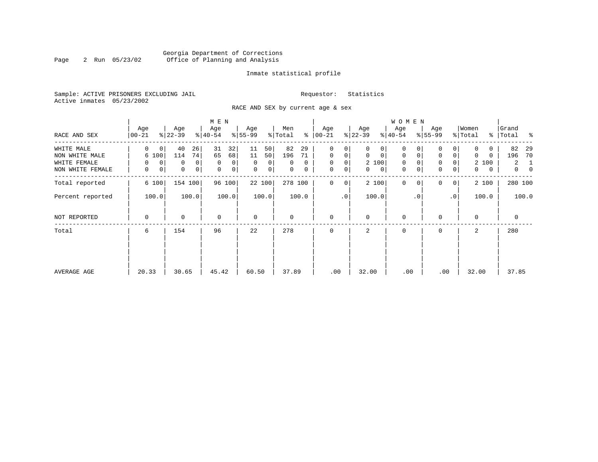### Georgia Department of Corrections<br>2 Run 05/23/02 Office of Planning and Analysis Page 2 Run 05/23/02 Office of Planning and Analysis

#### Inmate statistical profile

Sample: ACTIVE PRISONERS EXCLUDING JAIL **Requestor:** Statistics Active inmates 05/23/2002

RACE AND SEX by current age & sex

|                  |                    |                             | M E N            |                               |                     |                            |                             | W O M E N                  |                            |                  |                            |
|------------------|--------------------|-----------------------------|------------------|-------------------------------|---------------------|----------------------------|-----------------------------|----------------------------|----------------------------|------------------|----------------------------|
| RACE AND SEX     | Age<br>$ 00 - 21 $ | Age<br>$ 22-39 $            | Age<br>$ 40-54 $ | Age<br>$ 55-99$               | Men<br>ႜ<br>% Total | Age<br>$ 00-21$            | Age<br>$ 22-39 $            | Age<br>$ 40-54 $           | Age<br>$8 55-99$           | Women<br>% Total | Grand<br>%   Total<br>နွ   |
| WHITE MALE       | 0<br>0             | 26<br>40                    | 31<br>32         | 50 <br>11                     | 82<br>29            | 0<br>0                     | 0                           | 0                          |                            | 0                | 82<br>29                   |
| NON WHITE MALE   | 6 100              | 74<br>114                   | 65<br>68         | 11<br>50                      | 196<br>71           | $\mathbf 0$<br>0           | $\mathbf 0$<br>$\mathbf{0}$ | 0<br>0                     | $\mathbf 0$<br>0           | 0<br>0           | 196<br>70                  |
| WHITE FEMALE     | $\Omega$<br>0      | $\Omega$<br>$\Omega$        | $\mathbf 0$<br>0 | $\Omega$<br>$\Omega$          | $\Omega$<br>0       | $\mathbf 0$<br>0           | 2 100                       | $\mathbf 0$                | $\mathbf 0$<br>0           | 2 100            | $\overline{2}$<br>1        |
| NON WHITE FEMALE | 0<br>0             | $\mathbf 0$<br>$\mathsf{O}$ | 0<br>0           | $\mathbf 0$<br>0 <sup>1</sup> | 0<br>0              | 0<br>$\mathbf 0$           | 0<br>$\mathbf{0}$           | $\mathbf 0$<br>$\mathbf 0$ | $\mathbf 0$<br>0           | 0<br>0           | $\overline{0}$<br>$\Omega$ |
| Total reported   | 6 100              | 154 100                     | 96 100           | 22 100                        | 278 100             | $\mathbf 0$<br>$\mathbf 0$ | 2 100                       | $\mathbf{0}$               | $\Omega$<br>0 <sup>1</sup> | 2 100            | 280 100                    |
| Percent reported | 100.0              | 100.0                       | 100.0            | 100.0                         | 100.0               | $\cdot$ 0                  | 100.0                       | $\cdot$ 0                  | .0'                        | 100.0            | 100.0                      |
| NOT REPORTED     | 0                  | $\mathbf 0$                 | $\mathbf 0$      | $\mathbf 0$                   | 0                   | $\mathbf 0$                | $\mathbf 0$                 | $\mathbf 0$                | $\Omega$                   | $\mathbf 0$      | 0                          |
| Total            | 6                  | 154                         | 96               | 22                            | 278                 | $\mathbf 0$                | 2                           | 0                          | 0                          | 2                | 280                        |
|                  |                    |                             |                  |                               |                     |                            |                             |                            |                            |                  |                            |
|                  |                    |                             |                  |                               |                     |                            |                             |                            |                            |                  |                            |
| AVERAGE AGE      | 20.33              | 30.65                       | 45.42            | 60.50                         | 37.89               | .00                        | 32.00                       | .00                        | .00                        | 32.00            | 37.85                      |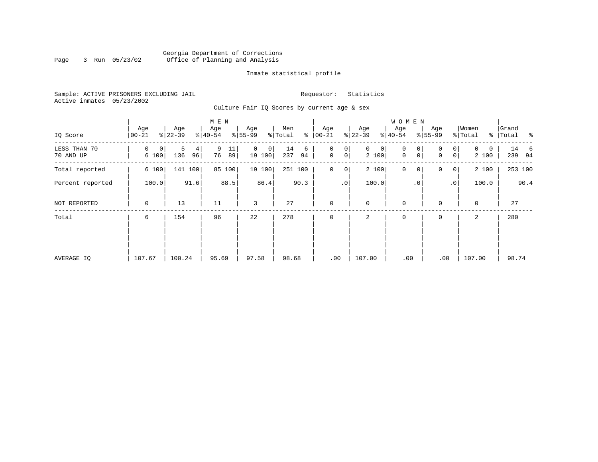### Georgia Department of Corrections<br>3 Run 05/23/02 Office of Planning and Analysis Page 3 Run 05/23/02 Office of Planning and Analysis

#### Inmate statistical profile

Sample: ACTIVE PRISONERS EXCLUDING JAIL **Requestor:** Statistics Active inmates 05/23/2002

Culture Fair IQ Scores by current age & sex

|                           |                  |                     | M E N               |                         |                      |                                         |                            | <b>WOMEN</b>     |                                        |                        |                    |
|---------------------------|------------------|---------------------|---------------------|-------------------------|----------------------|-----------------------------------------|----------------------------|------------------|----------------------------------------|------------------------|--------------------|
| IQ Score                  | Age<br>$00 - 21$ | Age<br>$ 22-39 $    | Age<br>$8 40-54$    | Age<br>$ 55-99$         | Men<br>% Total<br>ႜ  | Age<br>$ 00 - 21 $                      | Age<br>$ 22-39$            | Age<br>$8 40-54$ | Age<br>$8 55-99$                       | Women<br>% Total       | Grand<br>% Total % |
| LESS THAN 70<br>70 AND UP | 0<br>0<br>6 100  | 5<br>4<br>136<br>96 | 9<br>11<br>76<br>89 | $\Omega$<br>0<br>19 100 | 14<br>6<br>237<br>94 | 0<br>0<br>$\mathbf 0$<br>0 <sup>1</sup> | $\mathbf{0}$<br>0<br>2 100 | 0<br>0<br>0<br>0 | $\overline{0}$<br>$\Omega$<br> 0 <br>0 | $\Omega$<br>0<br>2 100 | 14 6<br>239 94     |
| Total reported            | 6 100            | 141 100             | 85 100              | 19 100                  | 251 100              | $\mathbf 0$<br>$\overline{0}$           | 2 100                      | $\mathbf 0$<br>0 | 0<br> 0                                | 2 100                  | 253 100            |
| Percent reported          | 91.6<br>100.0    |                     | 88.5                | 86.4                    | 90.3                 | .0 <sup>1</sup>                         | 100.0                      | $\cdot$ 0        | $\cdot$ 0                              | 100.0                  | 90.4               |
| NOT REPORTED              | $\mathbf 0$      | 13                  | 11                  | 3                       | 27                   | $\mathbf 0$                             | $\mathbf 0$                | $\mathbf 0$      | $\Omega$                               | $\mathbf 0$            | 27                 |
| Total                     | 6                | 154                 | 96                  | 22                      | 278                  | $\mathbf 0$                             | 2                          | $\mathbf 0$      | 0                                      | 2                      | 280                |
|                           |                  |                     |                     |                         |                      |                                         |                            |                  |                                        |                        |                    |
|                           |                  |                     |                     |                         |                      |                                         |                            |                  |                                        |                        |                    |
| AVERAGE IQ                | 107.67           | 100.24              | 95.69               | 97.58                   | 98.68                | .00                                     | 107.00                     | .00              | .00                                    | 107.00                 | 98.74              |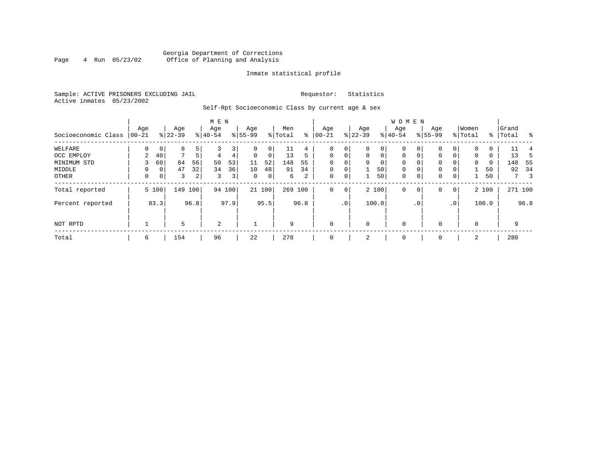### Georgia Department of Corrections<br>4 Run 05/23/02 Office of Planning and Analysis Page 4 Run 05/23/02 Office of Planning and Analysis

#### Inmate statistical profile

Sample: ACTIVE PRISONERS EXCLUDING JAIL **Requestor:** Statistics Active inmates 05/23/2002

Self-Rpt Socioeconomic Class by current age & sex

|                     |          |                |           |      | M E N    |                |             |        |         |      |              |                 |             |             | W O M E N   |             |          |                 |             |       |           |         |      |
|---------------------|----------|----------------|-----------|------|----------|----------------|-------------|--------|---------|------|--------------|-----------------|-------------|-------------|-------------|-------------|----------|-----------------|-------------|-------|-----------|---------|------|
|                     | Age      |                | Age       |      | Age      |                | Age         |        | Men     |      | Age          |                 | Age         |             | Age         |             | Age      |                 | Women       |       | Grand     |         |      |
| Socioeconomic Class | $ 00-21$ |                | $ 22-39 $ |      | $ 40-54$ |                | $8 55-99$   |        | % Total | ႜ    | $00 - 21$    |                 | $ 22-39 $   |             | $ 40-54 $   |             | $ 55-99$ |                 | % Total     |       | %   Total |         | ႜ    |
| WELFARE             | 0        | $\overline{0}$ | 8         | 5    |          | 3              |             | 0      | 11      | 4    | 0            |                 | $\mathbf 0$ | 0           | 0           | 0           | $\Omega$ |                 |             | 0     |           |         |      |
| OCC EMPLOY          | 2        | 40             | 7         | 5    | 4        | 4              | $\mathbf 0$ | 0      | 13      | 5    | $\mathbf{0}$ | $\mathbf 0$     | $\mathbf 0$ | $\mathbf 0$ | $\mathbf 0$ | $\mathbf 0$ | 0        | 0               | $\mathbf 0$ | 0     |           | 13      | .5   |
| MINIMUM STD         |          | 60             | 84        | 56   | 50       | 53             | 11          | 52     | 148     | 55   | $\Omega$     |                 | 0           | 0           | 0           | 0           | 0        |                 | 0           | 0     |           | 148     | - 55 |
| MIDDLE              | $\Omega$ | 0 <sup>1</sup> | 47        | 32   | 34       | 36             | 10          | 48     | 91      | 34   | $\mathbf 0$  | 0               |             | 50          | $\mathbf 0$ | 0           | 0        |                 |             | 50    |           | 92      | -34  |
| OTHER               | 0        | 0 <sup>1</sup> | 3         | 2    | 3        | 3 <sup>1</sup> | 0           | 0      | 6       | 2    | $\mathbf 0$  | 0               | 1           | 50          | $\mathbf 0$ | 0           | 0        | 0               |             | 50    |           | 7       | -3   |
| Total reported      |          | 5 100          | 149       | 100  |          | 94 100         |             | 21 100 | 269 100 |      | $\mathbf 0$  | $\mathbf 0$     |             | 2 100       | $\mathbf 0$ | 0           | 0        | 0 <sup>1</sup>  |             | 2 100 |           | 271 100 |      |
| Percent reported    |          | 83.3           |           | 96.8 |          | 97.9           |             | 95.5   |         | 96.8 |              | .0 <sup>1</sup> |             | 100.0       |             | . 0         |          | .0 <sup>1</sup> |             | 100.0 |           |         | 96.8 |
| NOT RPTD            |          |                | 5         |      | 2        |                |             |        | 9       |      | $\mathbf{0}$ |                 | $\mathbf 0$ |             | $\mathbf 0$ |             |          |                 | $\Omega$    |       |           | 9       |      |
| Total               | 6        |                | 154       |      | 96       |                | 22          |        | 278     |      | $\mathbf{0}$ |                 | 2           |             | 0           |             | 0        |                 | 2           |       |           | 280     |      |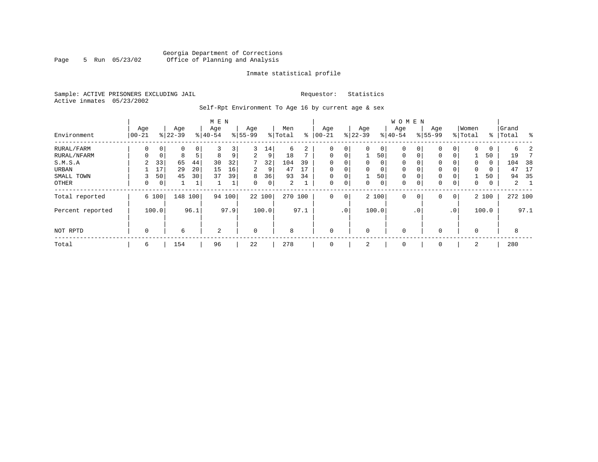#### Georgia Department of Corrections<br>5 Run 05/23/02 Office of Planning and Analysis Page 5 Run 05/23/02 Office of Planning and Analysis

#### Inmate statistical profile

Sample: ACTIVE PRISONERS EXCLUDING JAIL **Requestor:** Statistics Active inmates 05/23/2002

Self-Rpt Environment To Age 16 by current age & sex

| Environment                                                          | Age<br>  00-21                     |                                                             | Age<br>$8 22-39$              |                           | M E N<br>Age<br>$8 40-54$ |                          | Age<br>$ 55-99$                                |                               | Men<br>% Total                  | ႜ                   | Age<br>$ 00-21$                                                  |                                                                            | Age<br>$ 22-39$                |                                               | W O M E N<br>Age<br>$8 40-54$                                                  |                                                | Age<br>$8155 - 99$                             |                                                                                | Women<br>% Total                                | ႜ                                          | Grand<br>Total                  | ႜ               |
|----------------------------------------------------------------------|------------------------------------|-------------------------------------------------------------|-------------------------------|---------------------------|---------------------------|--------------------------|------------------------------------------------|-------------------------------|---------------------------------|---------------------|------------------------------------------------------------------|----------------------------------------------------------------------------|--------------------------------|-----------------------------------------------|--------------------------------------------------------------------------------|------------------------------------------------|------------------------------------------------|--------------------------------------------------------------------------------|-------------------------------------------------|--------------------------------------------|---------------------------------|-----------------|
| RURAL/FARM<br>RURAL/NFARM<br>S.M.S.A<br>URBAN<br>SMALL TOWN<br>OTHER | 0<br>O<br>$\overline{2}$<br>3<br>0 | $\mathbf 0$<br>$\mathbf 0$<br>33<br>17<br>50<br>$\mathbf 0$ | 0<br>8<br>65<br>29<br>45<br>1 | 0<br>-5<br>44<br>20<br>30 | 3<br>8<br>30<br>15<br>37  | 3<br>9<br>32<br>16<br>39 | 3<br>$\overline{2}$<br>7<br>2<br>8<br>$\Omega$ | 14<br>9<br>32<br>9<br>36<br>0 | 6<br>18<br>104<br>47<br>93<br>2 | ⇁<br>39<br>17<br>34 | $\mathbf 0$<br>$\Omega$<br>$\Omega$<br>$\Omega$<br>$\Omega$<br>0 | $\mathbf 0$<br>$\Omega$<br>$\Omega$<br>$\Omega$<br>$\Omega$<br>$\mathbf 0$ | 0<br>$\Omega$<br>$\Omega$<br>0 | 0<br>50<br>$\Omega$<br>0<br>50<br>$\mathbf 0$ | $\mathbf 0$<br>$\mathbf{0}$<br>$\mathbf 0$<br>$\mathbf 0$<br>$\mathbf{0}$<br>0 | 0<br>$\mathbf 0$<br>0<br>0<br>$\mathbf 0$<br>0 | 0<br>0<br>0<br>0<br>$\mathbf 0$<br>$\mathbf 0$ | 0 <sup>1</sup><br>0 <sup>1</sup><br>0 <sub>1</sub><br>0 <sub>1</sub><br>0<br>0 | $\mathbf 0$<br>$\Omega$<br>$\Omega$<br>$\Omega$ | 0<br>50<br>$\Omega$<br>$\Omega$<br>50<br>0 | 6<br>19<br>104<br>47<br>94<br>2 | 38<br>17<br>-35 |
| Total reported<br>Percent reported                                   |                                    | 6 100<br>100.0                                              | 148                           | 100<br>96.1               |                           | 94 100<br>97.9           |                                                | 22 100<br>100.0               | 270                             | 100<br>97.1         | 0                                                                | $\mathbf{0}$<br>$\cdot$ 0                                                  |                                | 2 100<br>100.0                                | $\mathbf{0}$                                                                   | 0<br>$\cdot$ 0                                 | 0                                              | 0 <sup>1</sup><br>$\cdot$ 0                                                    |                                                 | 2 100<br>100.0                             |                                 | 272 100<br>97.1 |
| NOT RPTD                                                             | 0                                  |                                                             | 6                             |                           | 2                         |                          | 0                                              |                               | 8                               |                     | $\mathbf 0$                                                      |                                                                            | $\Omega$                       |                                               | $\mathbf 0$                                                                    |                                                | $\mathbf 0$                                    |                                                                                |                                                 |                                            | 8                               |                 |

Total | 6 | 154 | 96 | 22 | 278 | 0 | 2 | 0 | 0 | 2 | 280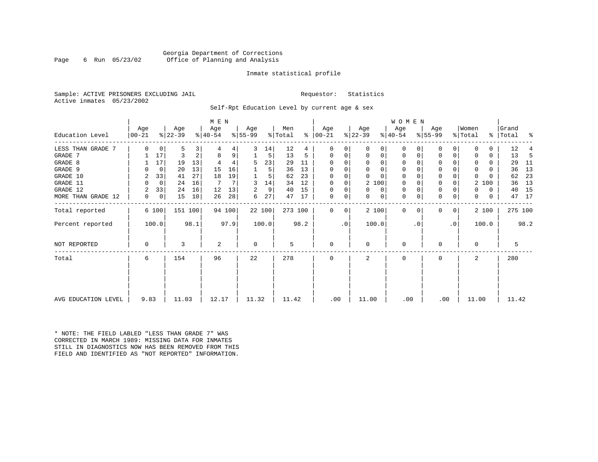#### Georgia Department of Corrections<br>6 Run 05/23/02 Office of Planning and Analysis Page 6 Run 05/23/02 Office of Planning and Analysis

#### Inmate statistical profile

Sample: ACTIVE PRISONERS EXCLUDING JAIL **Requestor:** Statistics Active inmates 05/23/2002

Self-Rpt Education Level by current age & sex

|                     | Age      |    | Age       |      | M E N<br>Age   |        | Age       |        | Men     |      | Age       |             | Age          |          | WOMEN<br>Age |           | Age       |           | Women        |              | Grand     |      |
|---------------------|----------|----|-----------|------|----------------|--------|-----------|--------|---------|------|-----------|-------------|--------------|----------|--------------|-----------|-----------|-----------|--------------|--------------|-----------|------|
| Education Level     | $ 00-21$ |    | $ 22-39 $ |      | $ 40-54 $      |        | $ 55-99 $ |        | % Total | ∻    | $ 00-21 $ |             | $ 22-39 $    |          | $ 40-54 $    |           | $8 55-99$ |           | % Total      |              | %   Total | ಿ    |
| LESS THAN GRADE 7   | $\Omega$ | 0  | 5         | 3    |                |        | 3         | 14     | 12      | 4    |           |             | 0            | 0        | 0            |           |           | 0         | 0            | 0            | 12        |      |
| GRADE 7             |          | 17 | 3         | 2    | 8              | 9      |           | 5      | 13      | 5    | $\Omega$  | 0           | 0            | 0        | 0            | 0         | 0         | 0         | 0            | 0            | 13        | 5    |
| GRADE 8             |          | 17 | 19        | 13   |                |        | 5         | 23     | 29      | 11   |           |             | $\Omega$     | $\Omega$ | $\Omega$     |           |           |           | 0            | 0            | 29        | 11   |
| GRADE 9             | U        | 0  | 20        | 13   | 15             | 16     |           | 5      | 36      | 13   | $\Omega$  |             | $\Omega$     | $\Omega$ | $\Omega$     |           | 0         |           | $\Omega$     | 0            | 36        | 13   |
| GRADE 10            | 2        | 33 | 41        | 27   | 18             | 19     |           | 5      | 62      | 23   | 0         | $\mathbf 0$ | $\Omega$     | $\Omega$ | $\mathbf 0$  |           | 0         | 0         | $\mathbf 0$  |              | 62        | 23   |
| GRADE 11            | $\Omega$ | 0  | 24        | 16   |                |        | 3         | 14     | 34      | 12   | $\Omega$  | $\mathbf 0$ | 2 100        |          | $\mathbf 0$  |           | 0         | 0         | 2            | 100          | 36        | 13   |
| GRADE 12            | 2        | 33 | 24        | 16   | 12             | 13     | 2         | 9      | 40      | 15   | $\Omega$  |             | $\Omega$     | 0        | $\mathbf 0$  |           | 0         |           | 0            | 0            | 40        | 15   |
| MORE THAN GRADE 12  | 0        | 0  | 15        | 10   | 26             | 28     | 6         | 27     | 47      | 17   | 0         | 0           | $\mathbf{0}$ | 0        | $\mathbf 0$  | 0         | 0         | 0         | $\mathbf{0}$ | $\mathbf{0}$ | 47        | 17   |
| Total reported      | 6 100    |    | 151 100   |      |                | 94 100 |           | 22 100 | 273 100 |      | $\Omega$  | 0           | 2 100        |          | $\Omega$     | $\Omega$  | $\Omega$  | 0         |              | 2 100        | 275 100   |      |
| Percent reported    | 100.0    |    |           | 98.1 |                | 97.9   |           | 100.0  |         | 98.2 |           | .0          | 100.0        |          |              | $\cdot$ 0 |           | $\cdot$ 0 |              | 100.0        |           | 98.2 |
| NOT REPORTED        | 0        |    | 3         |      | $\overline{2}$ |        | 0         |        | 5       |      | $\Omega$  |             | 0            |          | $\Omega$     |           | O         |           | $\mathbf 0$  |              | 5         |      |
| Total               | 6        |    | 154       |      | 96             |        | 22        |        | 278     |      | $\Omega$  |             | 2            |          | $\Omega$     |           | O         |           | 2            |              | 280       |      |
|                     |          |    |           |      |                |        |           |        |         |      |           |             |              |          |              |           |           |           |              |              |           |      |
| AVG EDUCATION LEVEL | 9.83     |    | 11.03     |      | 12.17          |        | 11.32     |        | 11.42   |      | .00       |             | 11.00        |          | .00          |           | .00       |           | 11.00        |              | 11.42     |      |

\* NOTE: THE FIELD LABLED "LESS THAN GRADE 7" WAS CORRECTED IN MARCH 1989: MISSING DATA FOR INMATES STILL IN DIAGNOSTICS NOW HAS BEEN REMOVED FROM THIS FIELD AND IDENTIFIED AS "NOT REPORTED" INFORMATION.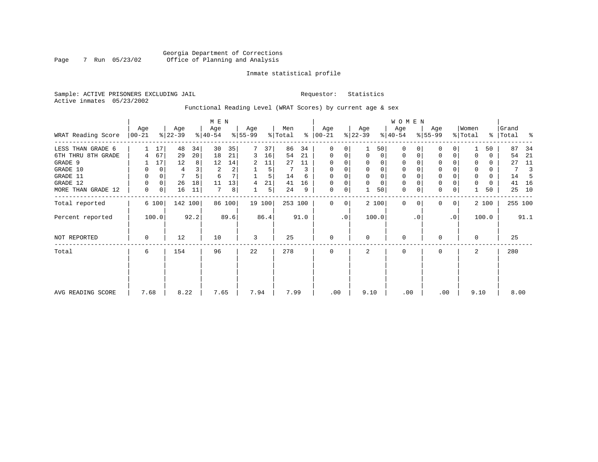### Georgia Department of Corrections<br>7 Run 05/23/02 Office of Planning and Analysis Page 7 Run 05/23/02 Office of Planning and Analysis

#### Inmate statistical profile

Sample: ACTIVE PRISONERS EXCLUDING JAIL **Requestor:** Statistics Active inmates 05/23/2002

Functional Reading Level (WRAT Scores) by current age & sex

|                    |                 |             |                  |      | M E N            |        |                 |                |                |      |                    |                |                  |             | W O M E N        |           |                  |           |                  |          |                |      |
|--------------------|-----------------|-------------|------------------|------|------------------|--------|-----------------|----------------|----------------|------|--------------------|----------------|------------------|-------------|------------------|-----------|------------------|-----------|------------------|----------|----------------|------|
| WRAT Reading Score | Age<br>$ 00-21$ |             | Age<br>$ 22-39 $ |      | Age<br>$ 40-54 $ |        | Age<br>$ 55-99$ |                | Men<br>% Total | ႜ    | Age<br>$ 00 - 21 $ |                | Age<br>$ 22-39 $ |             | Age<br>$ 40-54 $ |           | Age<br>$8 55-99$ |           | Women<br>% Total | ွေ       | Grand<br>Total | ႜ    |
| LESS THAN GRADE 6  |                 | 17          | 48               | 34   | 30               | 35     |                 | 37             | 86             | 34   | $\Omega$           | 0              |                  | 50          | $\Omega$         |           | 0                | $\Omega$  |                  | 50       | 87             | 34   |
| 6TH THRU 8TH GRADE | 4               | 67          | 29               | 20   | 18               | 21     | 3               | 16             | 54             | 21   | 0                  | 0              | $\mathbf 0$      | $\circ$     | 0                | 0         | 0                | 0         |                  | 0        | 54             | 21   |
| GRADE 9            |                 | 17          | 12               | 8    | 12               | 14     | 2               | 11             | 27             | 11   | 0                  | 0              |                  | 0           | 0                |           | 0                |           |                  | $\Omega$ | 27             | 11   |
| GRADE 10           | 0               | 0           | 4                |      | 2                | 2      |                 | 5              | 7              | 3    | 0                  | 0              | $\Omega$         | 0           | 0                |           | $\mathbf 0$      |           | 0                | 0        | 7              | 3    |
| GRADE 11           | 0               | $\mathbf 0$ | 7                |      | 6                |        |                 | 5              | 14             | 6    | $\Omega$           | 0              |                  | 0           | 0                |           | $\mathbf 0$      |           | $\Omega$         | $\Omega$ | 14             |      |
| GRADE 12           | 0               | 0           | 26               | 18   | 11               | 13     | 4               | 21             | 41             | 16   | $\Omega$           | 0              | $\Omega$         | $\mathbf 0$ | 0                |           | $\mathbf 0$      | 0         | $\Omega$         | 0        | 41             | 16   |
| MORE THAN GRADE 12 | 0               | 0           | 16               | 11   | 7                | 8      |                 | 5 <sup>1</sup> | 24             | 9    | 0                  | 0              |                  | 50          | $\mathbf 0$      | 0         | $\mathbf 0$      | 0         |                  | 50       | 25             | 10   |
| Total reported     |                 | 6 100       | 142 100          |      |                  | 86 100 |                 | 19 100         | 253 100        |      | $\mathbf{0}$       | $\overline{0}$ |                  | 2 100       | $\Omega$         | $\Omega$  | $\mathbf{0}$     | 0         |                  | 2 100    | 255 100        |      |
| Percent reported   |                 | 100.0       |                  | 92.2 |                  | 89.6   |                 | 86.4           |                | 91.0 |                    | $\cdot$ 0      |                  | 100.0       |                  | $\cdot$ 0 |                  | $\cdot$ 0 |                  | 100.0    |                | 91.1 |
| NOT REPORTED       | 0               |             | 12               |      | 10               |        | 3               |                | 25             |      | 0                  |                | $\Omega$         |             | 0                |           | 0                |           | $\Omega$         |          | 25             |      |
| Total              | 6               |             | 154              |      | 96               |        | 22              |                | 278            |      | $\Omega$           |                | 2                |             | 0                |           | 0                |           | 2                |          | 280            |      |
|                    |                 |             |                  |      |                  |        |                 |                |                |      |                    |                |                  |             |                  |           |                  |           |                  |          |                |      |
| AVG READING SCORE  | 7.68            |             | 8.22             |      | 7.65             |        | 7.94            |                | 7.99           |      | .00                |                | 9.10             |             | .00              |           | .00              |           | 9.10             |          | 8.00           |      |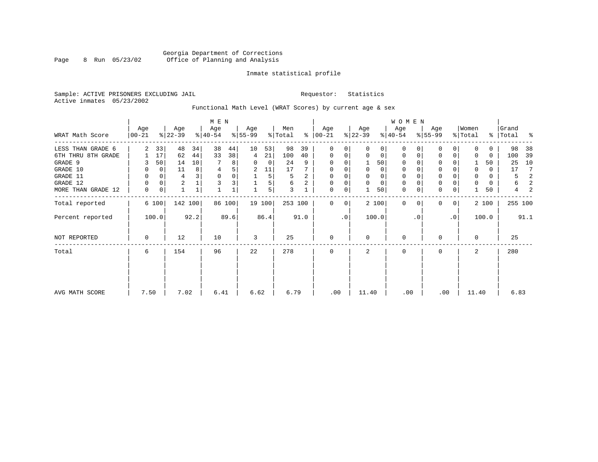### Georgia Department of Corrections<br>8 Run 05/23/02 Office of Planning and Analysis Page 8 Run 05/23/02 Office of Planning and Analysis

#### Inmate statistical profile

Sample: ACTIVE PRISONERS EXCLUDING JAIL **Requestor:** Statistics Active inmates 05/23/2002

# Functional Math Level (WRAT Scores) by current age & sex

|                    | M E N            |              |                  |              |                  |        |                  |                |                |      |                      |                |                  |             | WOMEN            |           |                  |           |                  |          |                      |                |
|--------------------|------------------|--------------|------------------|--------------|------------------|--------|------------------|----------------|----------------|------|----------------------|----------------|------------------|-------------|------------------|-----------|------------------|-----------|------------------|----------|----------------------|----------------|
| WRAT Math Score    | Age<br>$ 00-21 $ |              | Age<br>$ 22-39 $ |              | Age<br>$8 40-54$ |        | Age<br>$8 55-99$ |                | Men<br>% Total |      | Age<br>$8   00 - 21$ |                | Age<br>$ 22-39 $ |             | Age<br>$8 40-54$ |           | Age<br>$8 55-99$ |           | Women<br>% Total |          | Grand<br>%   Total % |                |
|                    |                  |              |                  |              |                  |        |                  |                |                |      |                      |                |                  |             |                  |           |                  |           |                  |          |                      |                |
| LESS THAN GRADE 6  | 2                | 33           | 48               | 34           | 38               | 44     | 10               | 53             | 98             | 39   | 0                    |                | $\Omega$         | 0           | $\Omega$         |           | 0                |           |                  | 0        | 98                   | - 38           |
| 6TH THRU 8TH GRADE |                  | 17           | 62               | 44           | 33               | 38     | $4\overline{ }$  | 21             | 100            | 40   | $\mathbf 0$          | 0              | $\Omega$         | 0           | $\mathbf{0}$     | $\Omega$  | 0                | $\Omega$  | $\Omega$         | $\Omega$ | 100                  | 39             |
| GRADE 9            |                  | 50           | 14               | 10           |                  | 8      | $\Omega$         | $\mathbf{0}$   | 24             | 9    | 0                    | 0              |                  | 50          | $\mathbf{0}$     | $\Omega$  | 0                |           |                  | 50       | 25                   | 10             |
| GRADE 10           | 0                | $\mathbf{0}$ | 11               | 8            | 4                | 5      | 2                | 11             | 17             |      | 0                    |                | 0                | 0           | 0                | $\Omega$  | 0                |           | 0                | 0        | 17                   | $\overline{7}$ |
| GRADE 11           | 0                | 0            | 4                | 3            | $\mathbf 0$      |        |                  | 5              | 5              |      | $\mathbf 0$          |                | $\mathbf 0$      | 0           | 0                |           | 0                |           | $\Omega$         | 0        | 5                    | 2              |
| GRADE 12           | 0                | 0            | $\overline{a}$   | $\mathbf{1}$ |                  |        |                  | 5 <sub>1</sub> | 6              | 2    | 0                    | 0              | $\Omega$         | $\mathbf 0$ | 0                | $\Omega$  | 0                |           |                  | 0        | 6                    | 2              |
| MORE THAN GRADE 12 | 0                | 0            |                  | $\mathbf{1}$ |                  |        |                  | 5              | 3              |      | $\Omega$             | 0              |                  | 50          | $\mathbf{0}$     | 0         | 0                | 0         |                  | 50       | $4\overline{ }$      | 2              |
| Total reported     |                  | 6 100        |                  | 142 100      |                  | 86 100 |                  | 19 100         | 253 100        |      | $\Omega$             | 0 <sup>1</sup> |                  | 2 100       | $\Omega$         | $\Omega$  | $\Omega$         | 0         |                  | 2 100    | 255 100              |                |
| Percent reported   |                  | 100.0        |                  | 92.2         |                  | 89.6   |                  | 86.4           |                | 91.0 |                      | .0             |                  | 100.0       |                  | $\cdot$ 0 |                  | $\cdot$ 0 |                  | 100.0    |                      | 91.1           |
| NOT REPORTED       | 0                |              | 12               |              | 10               |        | 3                |                | 25             |      | $\Omega$             |                | $\Omega$         |             | $\Omega$         |           | $\Omega$         |           | $\Omega$         |          | 25                   |                |
| Total              | 6                |              | 154              |              | 96               |        | 22               |                | 278            |      |                      |                |                  |             | $\Omega$         |           | <sup>0</sup>     |           |                  |          | 280                  |                |
|                    |                  |              |                  |              |                  |        |                  |                |                |      |                      |                |                  |             |                  |           |                  |           |                  |          |                      |                |
| AVG MATH SCORE     | 7.50             |              | 7.02             |              | 6.41             |        | 6.62             |                | 6.79           |      | .00                  |                | 11.40            |             | .00              |           | .00              |           | 11.40            |          | 6.83                 |                |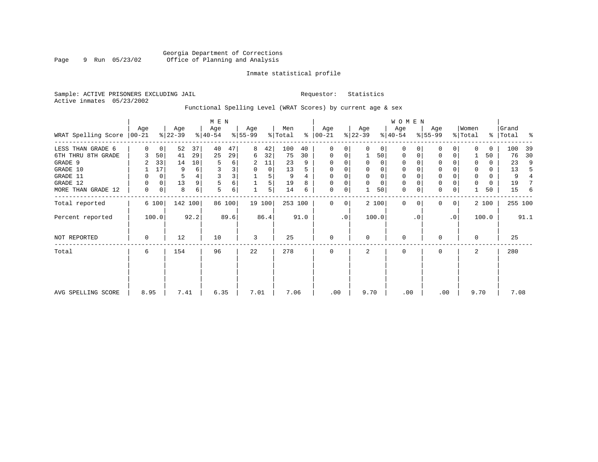#### Inmate statistical profile

Sample: ACTIVE PRISONERS EXCLUDING JAIL **Requestor:** Statistics Active inmates 05/23/2002

### Functional Spelling Level (WRAT Scores) by current age & sex

|                               |          |                |                  |         | M E N            |        |                 |        |                            |      |                    |             |                  |          | W O M E N        |          |                  |           |                  |       |                    |      |
|-------------------------------|----------|----------------|------------------|---------|------------------|--------|-----------------|--------|----------------------------|------|--------------------|-------------|------------------|----------|------------------|----------|------------------|-----------|------------------|-------|--------------------|------|
| WRAT Spelling Score $ 00-21 $ | Age      |                | Age<br>$ 22-39 $ |         | Age<br>$ 40-54 $ |        | Age<br>$ 55-99$ |        | Men<br>$\frac{1}{2}$ Total | ွေ   | Age<br>$ 00 - 21 $ |             | Age<br>$ 22-39 $ |          | Age<br>$ 40-54 $ |          | Age<br>$8 55-99$ |           | Women<br>% Total |       | Grand<br>%   Total | ႜ    |
| LESS THAN GRADE 6             | $\Omega$ | 0 <sup>1</sup> | 52               | 37      | 40               | 47     | 8               | 42     | 100                        | 40   | 0                  | $\Omega$    | $\Omega$         | $\Omega$ | $\Omega$         | $\Omega$ | $\Omega$         | $\Omega$  | $\cap$           | 0     | 100                | 39   |
| 6TH THRU 8TH GRADE            |          | 50             | 41               | 29      | 25               | 29     | 6               | 32     | 75                         | 30   | 0                  | 0           |                  | 50       | 0                | 0        | 0                | 0         |                  | 50    | 76                 | 30   |
| GRADE 9                       |          | 33             | 14               | 10      | 5                | б      | 2               | 11     | 23                         | 9    | 0                  |             |                  | 0        | 0                |          | $\Omega$         |           | 0                | 0     | 23                 | 9    |
| GRADE 10                      |          | 17             | 9                | 6       | 3                | 3      | 0               | 0      | 13                         |      | 0                  |             | $\mathbf 0$      | 0        | 0                |          | 0                |           | 0                | 0     | 13                 |      |
| GRADE 11                      |          | 0              | 5                |         | 3                | 3      |                 | 5      | 9                          |      | $\Omega$           |             | $\Omega$         | 0        | $\mathbf 0$      |          | $\Omega$         |           |                  | 0     | 9                  |      |
| GRADE 12                      | 0        | 0              | 13               | 9       | 5                | 6      |                 | 5      | 19                         | 8    | 0                  | 0           | $\mathbf 0$      | 0        | 0                |          | 0                |           | 0                | 0     | 19                 |      |
| MORE THAN GRADE 12            | 0        | 0              | 8                | 6       | 5                | 6      |                 | 5      | 14                         | 6    | 0                  | 0           |                  | 50       | $\mathbf 0$      | 0        | $\mathbf 0$      | 0         |                  | 50    | 15                 | 6    |
| Total reported                |          | 6 100          |                  | 142 100 |                  | 86 100 |                 | 19 100 | 253 100                    |      | $\mathbf{0}$       | $\mathbf 0$ |                  | 2 100    | $\mathbf 0$      | $\Omega$ | $\Omega$         | 0         |                  | 2 100 | 255 100            |      |
| Percent reported              |          | 100.0          |                  | 92.2    |                  | 89.6   |                 | 86.4   |                            | 91.0 |                    | $\cdot$ 0   |                  | 100.0    |                  | . 0      |                  | $\cdot$ 0 |                  | 100.0 |                    | 91.1 |
| <b>NOT REPORTED</b>           | 0        |                | 12               |         | 10               |        | 3               |        | 25                         |      | $\mathbf{0}$       |             | $\Omega$         |          | $\mathbf 0$      |          | 0                |           | $\Omega$         |       | 25                 |      |
| Total                         | 6        |                | 154              |         | 96               |        | 22              |        | 278                        |      | $\mathbf{0}$       |             | 2                |          | $\mathbf 0$      |          | 0                |           | 2                |       | 280                |      |
|                               |          |                |                  |         |                  |        |                 |        |                            |      |                    |             |                  |          |                  |          |                  |           |                  |       |                    |      |
| AVG SPELLING SCORE            | 8.95     |                | 7.41             |         | 6.35             |        | 7.01            |        | 7.06                       |      | .00                |             | 9.70             |          | .00              |          | .00              |           | 9.70             |       | 7.08               |      |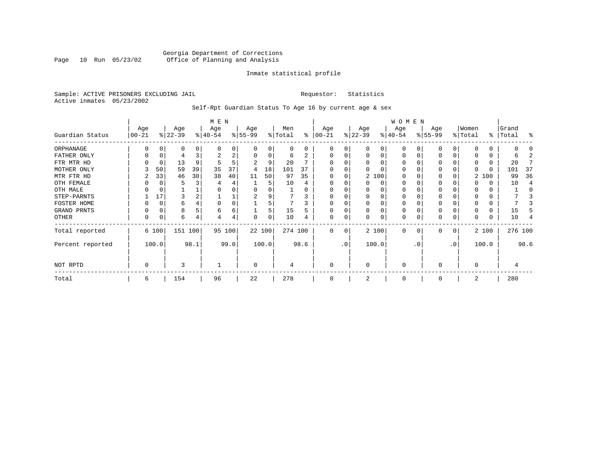#### Georgia Department of Corrections<br>Page 10 Run 05/23/02 Office of Planning and Analysis Page 10 Run 05/23/02 Office of Planning and Analysis

#### Inmate statistical profile

Sample: ACTIVE PRISONERS EXCLUDING JAIL **Requestor:** Statistics Active inmates 05/23/2002

Self-Rpt Guardian Status To Age 16 by current age & sex

|                  | M E N     |             |           |      |              |        |          |              |          |          |             |     |          |          | W O M E N |          |              |    |          |       |           |         |
|------------------|-----------|-------------|-----------|------|--------------|--------|----------|--------------|----------|----------|-------------|-----|----------|----------|-----------|----------|--------------|----|----------|-------|-----------|---------|
|                  | Age       |             | Age       |      | Age          |        | Age      |              | Men      |          | Age         |     | Age      |          | Age       |          | Age          |    | Women    |       | Grand     |         |
| Guardian Status  | $00 - 21$ |             | $ 22-39 $ |      | $ 40-54 $    |        | $ 55-99$ |              | % Total  | ႜ        | $ 00 - 21$  |     | $ 22-39$ |          | $ 40-54 $ |          | $ 55-99 $    |    | % Total  |       | %   Total | ႜ       |
| ORPHANAGE        |           |             | 0         | 0    | <sup>0</sup> | 0      |          | <sup>0</sup> | $\Omega$ | $\Omega$ | $\left($    | 0   |          | 0        | 0         |          |              |    |          |       |           |         |
| FATHER ONLY      | 0         | $\Omega$    | 4         |      | 2            | 2      |          | $\Omega$     | 6        |          | $\Omega$    | 0   | O        | $\Omega$ | $\Omega$  |          | <sup>0</sup> |    |          | 0     | h         |         |
| FTR MTR HD       |           | 0           | 13        | 9    | 5            | 5      |          | 9            | 20       |          |             |     |          |          | O         |          | O            |    |          |       | 20        |         |
| MOTHER ONLY      |           | 50          | 59        | 39   | 35           | 37     | 4        | 18           | 101      | 37       |             |     |          |          | O         |          | $\Omega$     |    |          |       | 101       | 37      |
| MTR FTR HD       | 2         | 33          | 46        | 30   | 38           | 40     | 11       | 50           | 97       | 35       | $\Omega$    | 0   |          | 2 100    | $\Omega$  |          | <sup>0</sup> |    |          | 2 100 | 99        | 36      |
| OTH FEMALE       |           |             | 5         |      |              | 4      |          | 5            | 10       |          |             |     |          | 0        | 0         |          | 0            |    |          |       | 10        |         |
| OTH MALE         |           |             |           |      |              |        |          |              |          |          |             |     |          |          | 0         |          |              |    |          |       |           |         |
| STEP-PARNTS      |           | 17          | 3         |      |              | ┷      | 2        |              |          | 3        | $\Omega$    |     |          | $\Omega$ | 0         |          | 0            |    |          |       |           |         |
| FOSTER HOME      |           | C           | 6         |      | $\Omega$     | 0      |          |              |          |          | $\Omega$    |     |          |          | 0         |          |              |    |          |       |           |         |
| GRAND PRNTS      | 0         | $\mathbf 0$ | 8         |      | 6            | 6      |          | 5            | 15       | 5        | $\mathbf 0$ | 0   |          | $\Omega$ | 0         |          | 0            |    |          |       | 15        |         |
| OTHER            | 0         | 0           | 6         | 4    |              | 4      | $\Omega$ | 0            | 10       |          | $\mathbf 0$ | 0   |          | 0        | 0         |          | $\Omega$     | 0  |          | 0     | 10        |         |
| Total reported   |           | 6 100       | 151 100   |      |              | 95 100 |          | 22 100       | 274 100  |          | $\Omega$    | 0   |          | 2 100    | $\Omega$  | $\Omega$ | $\Omega$     | 0  |          | 2 100 |           | 276 100 |
| Percent reported |           | 100.0       |           | 98.1 |              | 99.0   |          | 100.0        |          | 98.6     |             | .0' |          | 100.0    |           | . 0      |              | .0 |          | 100.0 |           | 98.6    |
| NOT RPTD         | 0         |             | 3         |      |              |        | $\Omega$ |              | 4        |          | $\mathbf 0$ |     | $\Omega$ |          | $\Omega$  |          | $\Omega$     |    | $\Omega$ |       |           |         |
| Total            | 6         |             | 154       |      | 96           |        | 22       |              | 278      |          | $\Omega$    |     |          |          | 0         |          | $\Omega$     |    | 2        |       | 280       |         |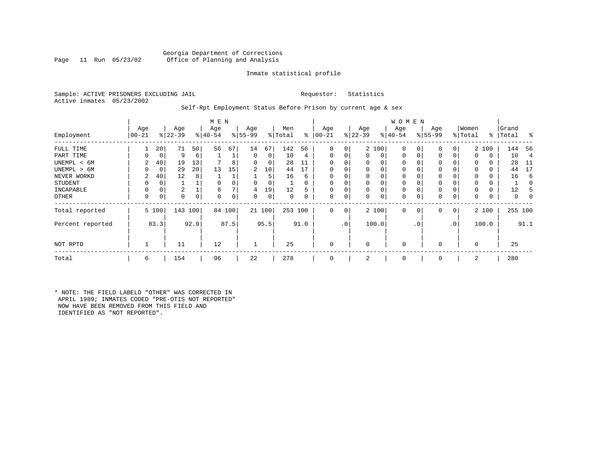#### Georgia Department of Corrections<br>Page 11 Run 05/23/02 Office of Planning and Analysis Office of Planning and Analysis

#### Inmate statistical profile

Sample: ACTIVE PRISONERS EXCLUDING JAIL **Requestor:** Statistics Active inmates 05/23/2002

#### Self-Rpt Employment Status Before Prison by current age & sex

|                  |                  |              |                  |     | M E N           |        |                 |        |         |          |                 |                |                  |       | W O M E N        |     |                    |                |                  |             |         |          |
|------------------|------------------|--------------|------------------|-----|-----------------|--------|-----------------|--------|---------|----------|-----------------|----------------|------------------|-------|------------------|-----|--------------------|----------------|------------------|-------------|---------|----------|
|                  | Age<br>$00 - 21$ |              | Age<br>$ 22-39 $ |     | Age<br>$ 40-54$ |        | Age<br>$ 55-99$ |        | Men     | ွေ       | Age<br>$ 00-21$ |                | Age<br>$ 22-39 $ |       | Age<br>$ 40-54 $ |     | Age<br>$8155 - 99$ |                | Women<br>% Total | $\approx$ 1 | Grand   | - 옹      |
| Employment       |                  |              |                  |     |                 |        |                 |        | % Total |          |                 |                |                  |       |                  |     |                    |                |                  |             | Total   |          |
| FULL TIME        |                  | 20           | 71               | 50  | 56              | 67     | 14              | 67     | 142     | 56       | $\Omega$        | $\overline{0}$ |                  | 2 100 | $\mathbf{0}$     | C   | 0                  | $\overline{0}$ |                  | 2 100       | 144     | 56       |
| PART TIME        | $\Omega$         | 0            | 9                | 6   |                 |        | 0               | 0      | 10      | 4        | $\Omega$        | 0              | 0                | 0     | $\mathbf{0}$     | 0   | $\Omega$           | 0              | $\Omega$         | 0           | 10      | 4        |
| UNEMPL < 6M      | 2                | 40           | 19               | 13  |                 | 8      | $\Omega$        | 0      | 28      | 11       |                 |                | 0                | 0     | 0                |     | 0                  |                | $\Omega$         | 0           | 28      | -11      |
| UNEMPL > 6M      |                  | 0            | 29               | 20  | 13              | 15     | 2               | 10     | 44      | 17       |                 |                | $\Omega$         | 0     | $\Omega$         |     | $\Omega$           |                | $\Omega$         | 0           | 44      | 17       |
| NEVER WORKD      | 2                | 40           | 12               | 8   |                 |        |                 | 5      | 16      | 6        | $\Omega$        |                | 0                | 0     | $\mathbf 0$      |     | $\Omega$           |                | $\Omega$         | 0           | 16      | 6        |
| <b>STUDENT</b>   | $\Omega$         | 0            |                  |     |                 |        | 0               | 0      |         | $\Omega$ | $\Omega$        |                | 0                | 0     | 0                |     | $\mathbf 0$        |                | 0                | 0           |         | $\Omega$ |
| INCAPABLE        | $\Omega$         | 0            | 2                |     | 6               |        | 4               | 19     | 12      | 5        |                 |                | 0                | 0     | $\mathbf 0$      |     | 0                  |                | $\Omega$         | 0           | 12      |          |
| OTHER            | $\Omega$         | 0            | 0                | 0   | $\Omega$        | 0      | 0               | 0      | 0       | 0        | $\Omega$        | 0              | 0                | 0     | 0                |     | 0                  | 0              | 0                | 0           | 0       | 0        |
| Total reported   |                  | 5 100        | 143              | 100 |                 | 84 100 |                 | 21 100 | 253 100 |          | $\Omega$        | $\overline{0}$ |                  | 2 100 | $\mathbf{0}$     | 0   | 0                  | 0 <sup>1</sup> |                  | 2 100       | 255 100 |          |
| Percent reported |                  | 83.3<br>92.9 |                  |     |                 | 87.5   |                 | 95.5   |         | 91.0     |                 | .0'            |                  | 100.0 |                  | . 0 |                    | $\cdot$ 0      |                  | 100.0       |         | 91.1     |
| NOT RPTD         |                  |              | 11               |     | 12              |        |                 |        | 25      |          |                 |                | $\Omega$         |       | $\mathbf 0$      |     | $\Omega$           |                | $\mathbf 0$      |             | 25      |          |
| Total            | 6                |              | 154              |     | 96              |        | 22              |        | 278     |          |                 |                | 2                |       | 0                |     | $\mathbf 0$        |                | 2                |             | 280     |          |

\* NOTE: THE FIELD LABELD "OTHER" WAS CORRECTED IN APRIL 1989; INMATES CODED "PRE-OTIS NOT REPORTED" NOW HAVE BEEN REMOVED FROM THIS FIELD AND IDENTIFIED AS "NOT REPORTED".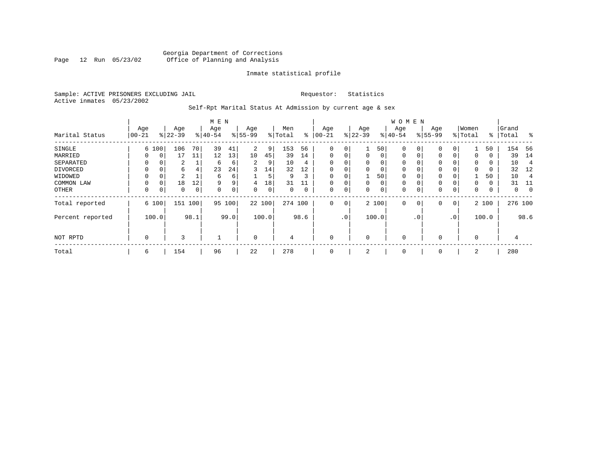#### Georgia Department of Corrections<br>Page 12 Run 05/23/02 Office of Planning and Analysis Page 12 Run 05/23/02 Office of Planning and Analysis

#### Inmate statistical profile

Sample: ACTIVE PRISONERS EXCLUDING JAIL **Requestor:** Statistics Active inmates 05/23/2002

Self-Rpt Marital Status At Admission by current age & sex

|                  | M E N    |               |           |     |           |             |           |        |         |             |              |          |             |          | <b>WOMEN</b> |                |             |                 |          |       |         |                |
|------------------|----------|---------------|-----------|-----|-----------|-------------|-----------|--------|---------|-------------|--------------|----------|-------------|----------|--------------|----------------|-------------|-----------------|----------|-------|---------|----------------|
|                  | Age      |               | Age       |     | Age       |             | Age       |        | Men     |             | Age          |          | Age         |          | Age          |                | Age         |                 | Women    |       | Grand   |                |
| Marital Status   | $ 00-21$ |               | $ 22-39 $ |     | $8 40-54$ |             | $8 55-99$ |        | % Total | ွေ          | $ 00 - 21 $  |          | $ 22-39$    |          | $ 40-54 $    |                | $8 55-99$   |                 | % Total  | ႜ     | Total   | ွေ             |
| SINGLE           |          | 6 100         | 106       | 70  | 39        | 41          | 2         | 9      | 153     | 56          | 0            | 0        |             | 50       | 0            | 0              | $\mathbf 0$ | 0               |          | 50    | 154     | -56            |
| MARRIED          | 0        | 0             | 17        | 11  | 12        | 13          | 10        | 45     | 39      | 14          | $\mathbf{0}$ | 0        | $\mathbf 0$ | $\Omega$ | 0            | 0              | 0           | $\Omega$        | 0        | 0     | 39      | 14             |
| SEPARATED        | 0        | $\Omega$      | 2         |     | 6         | 6           | 2         | 9      | 10      | 4           | $\Omega$     | 0        | $\Omega$    | $\Omega$ | 0            |                | 0           |                 | $\Omega$ | 0     | 10      | 4              |
| DIVORCED         | 0        | 0             | 6         | 4   | 23        | 24          | 3         | 14     | 32      | 12          | 0            | 0        | $\Omega$    | 0        | 0            |                | 0           |                 | $\Omega$ | 0     | 32      | 12             |
| WIDOWED          | 0        | 0             | 2         |     | 6         | б.          |           | 5      | 9       | 3           | 0            | 0        |             | 50       | 0            |                | 0           |                 |          | 50    | 10      |                |
| COMMON LAW       | 0        | $\Omega$      | 18        | 12  | 9         | 9           | 4         | 18     | 31      |             |              | 0        | $\Omega$    | 0        | $\mathbf 0$  |                | 0           |                 | $\Omega$ | 0     | 31      | -11            |
| OTHER            | 0        | 0             | 0         | 0   | 0         | 0           | 0         | 0      | 0       | 0           | $\mathbf 0$  | 0        | 0           | 0        | 0            |                | $\mathbf 0$ | 0               | 0        | 0     | 0       | $\overline{0}$ |
| Total reported   |          | 6 100         | 151       | 100 | 95        | 100         |           | 22 100 | 274 100 |             | $\mathbf{0}$ | 0        |             | 2 100    | 0            | $\overline{0}$ | 0           | 0               |          | 2 100 | 276 100 |                |
| Percent reported |          | 98.1<br>100.0 |           |     |           | 99.0        |           | 100.0  |         | 98.6        |              | .0'      |             | 100.0    |              | $\cdot$ 0      |             | .0 <sup>′</sup> |          | 100.0 |         | 98.6           |
| NOT RPTD         | 0        | 3             |           |     |           | $\mathbf 0$ |           | 4      |         | $\mathbf 0$ |              | $\Omega$ |             | 0        |              | 0              |             | $\Omega$        |          | 4     |         |                |
| Total            | 6        |               | 154       |     | 96        |             | 22        |        | 278     |             | 0            |          | 2           |          | 0            |                | 0           |                 | 2        |       | 280     |                |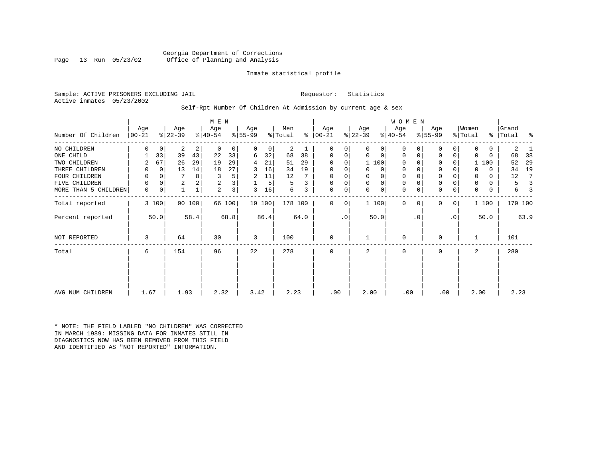#### Georgia Department of Corrections<br>Page 13 Run 05/23/02 Office of Planning and Analysis Office of Planning and Analysis

#### Inmate statistical profile

Sample: ACTIVE PRISONERS EXCLUDING JAIL **Requestor:** Statistics Active inmates 05/23/2002

#### Self-Rpt Number Of Children At Admission by current age & sex

|                      |                 |             |                 |        | M E N            |                |                  |        |                |      |                  |           |                  |              | <b>WOMEN</b>     |           |                  |           |                  |          |                |      |
|----------------------|-----------------|-------------|-----------------|--------|------------------|----------------|------------------|--------|----------------|------|------------------|-----------|------------------|--------------|------------------|-----------|------------------|-----------|------------------|----------|----------------|------|
| Number Of Children   | Age<br>$ 00-21$ |             | Age<br>$ 22-39$ |        | Age<br>$ 40-54 $ |                | Age<br>$ 55-99 $ |        | Men<br>% Total | ွေ   | Age<br>$ 00-21 $ |           | Age<br>$ 22-39 $ |              | Age<br>$ 40-54 $ |           | Age<br>$8 55-99$ |           | Women<br>% Total | ႜ        | Grand<br>Total | ႜ    |
| NO CHILDREN          | 0               | $\mathbf 0$ | 2               | 2      | 0                | 0              | $\Omega$         | 0      | 2              |      | 0                | 0         | $\Omega$         | 0            | 0                |           | 0                | 0         | 0                | 0        | 2              |      |
| ONE CHILD            |                 | 33          | 39              | 43     | 22               | 33             | 6                | 32     | 68             | 38   | 0                | 0         | 0                | 0            | 0                | 0         | 0                | 0         | $\Omega$         | $\Omega$ | 68             | 38   |
| TWO CHILDREN         |                 | 67          | 26              | 29     | 19               | 29             | 4                | 21     | 51             | 29   | 0                | 0         |                  | 1 100        | 0                |           | 0                | 0         |                  | 100      | 52             | 29   |
| THREE CHILDREN       | 0               | 0           | 13              | 14     | 18               | 27             | 3                | 16     | 34             | 19   | $\Omega$         | 0         |                  | 0            | 0                |           | 0                |           | $\Omega$         | $\Omega$ | 34             | 19   |
| FOUR CHILDREN        | 0               | $\Omega$    |                 | 8      | 3                | 5              | 2                | 11     | 12             |      | $\Omega$         |           |                  | 0            | 0                |           | $\mathbf 0$      |           | 0                | $\Omega$ | 12             | 7    |
| FIVE CHILDREN        | 0               | $\Omega$    | 2               | 2      | 2                | 3              |                  | 5      | 5              | 3    | 0                | 0         | $\Omega$         | $\mathsf{O}$ | 0                |           | $\mathbf 0$      | 0         | 0                | $\Omega$ | 5              |      |
| MORE THAN 5 CHILDREN | 0               | 0           |                 |        | 2                | 3 <sup>1</sup> | 3                | 16     | 6              | 3    | 0                | 0         | 0                | $\mathbf 0$  | $\mathbf 0$      | 0         | $\mathbf 0$      | 0         | 0                | 0        | 6              |      |
| Total reported       |                 | 3 100       |                 | 90 100 |                  | 66 100         |                  | 19 100 | 178 100        |      | $\Omega$         | 0         |                  | 1100         | $\Omega$         | $\Omega$  | 0                | 0         |                  | 1 100    | 179 100        |      |
| Percent reported     |                 | 50.0        |                 | 58.4   |                  | 68.8           |                  | 86.4   |                | 64.0 |                  | $\cdot$ 0 |                  | 50.0         |                  | $\cdot$ 0 |                  | $\cdot$ 0 |                  | 50.0     |                | 63.9 |
| NOT REPORTED         | 3               |             | 64              |        | 30               |                | 3                |        | 100            |      | $\mathbf 0$      |           |                  |              | 0                |           | $\mathbf 0$      |           |                  |          | 101            |      |
| Total                | 6               |             | 154             |        | 96               |                | 22               |        | 278            |      | 0                |           | 2                |              | 0                |           | $\mathbf 0$      |           | 2                |          | 280            |      |
|                      |                 |             |                 |        |                  |                |                  |        |                |      |                  |           |                  |              |                  |           |                  |           |                  |          |                |      |
|                      |                 |             |                 |        |                  |                |                  |        |                |      |                  |           |                  |              |                  |           |                  |           |                  |          |                |      |
| AVG NUM CHILDREN     | 1.67            |             | 1.93            |        | 2.32             |                | 3.42             |        | 2.23           |      | .00              |           | 2.00             |              | .00              |           | .00              |           | 2.00             |          | 2.23           |      |

\* NOTE: THE FIELD LABLED "NO CHILDREN" WAS CORRECTED IN MARCH 1989: MISSING DATA FOR INMATES STILL IN DIAGNOSTICS NOW HAS BEEN REMOVED FROM THIS FIELD AND IDENTIFIED AS "NOT REPORTED" INFORMATION.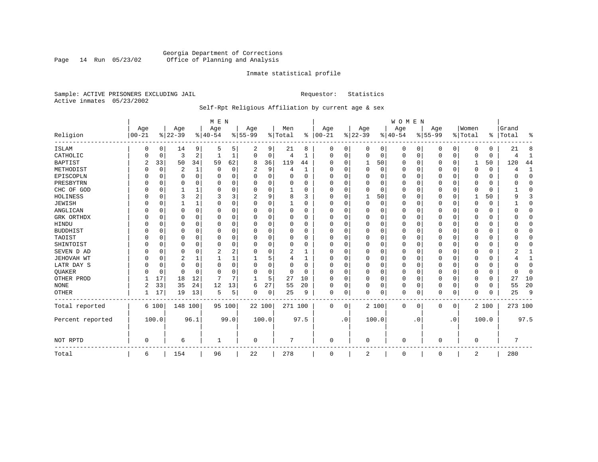### Georgia Department of Corrections<br>Page 14 Run 05/23/02 Office of Planning and Analysis Page 14 Run 05/23/02 Office of Planning and Analysis

#### Inmate statistical profile

Sample: ACTIVE PRISONERS EXCLUDING JAIL **Requestor:** Statistics Active inmates 05/23/2002

# Self-Rpt Religious Affiliation by current age & sex

|                  |                   |          |                  |          | M E N           |          |                  |          |                |          |                 |           |                 |          | <b>WOMEN</b>    |           |                  |           |                  |          |                    |              |
|------------------|-------------------|----------|------------------|----------|-----------------|----------|------------------|----------|----------------|----------|-----------------|-----------|-----------------|----------|-----------------|-----------|------------------|-----------|------------------|----------|--------------------|--------------|
| Religion         | Age<br>$ 00 - 21$ |          | Age<br>$8 22-39$ |          | Age<br>$ 40-54$ |          | Age<br>$8 55-99$ |          | Men<br>% Total | ွေ       | Age<br>$ 00-21$ |           | Age<br>$ 22-39$ |          | Age<br>$ 40-54$ |           | Age<br>$8 55-99$ |           | Women<br>% Total |          | Grand<br>%   Total | ႜ            |
|                  |                   |          |                  |          |                 |          |                  |          |                |          |                 |           |                 |          |                 |           |                  |           |                  |          |                    |              |
| <b>ISLAM</b>     | 0                 | 0        | 14               | 9        | .5              | 5.       | 2                | 9        | 21             | 8        | O               | 0         | 0               | 0        | 0               | 0         | 0                | 0         | $\Omega$         | 0        | 21                 | 8            |
| CATHOLIC         |                   | 0        | 3                | 2        |                 |          | $\Omega$         | 0        | 4              | 1        | $\Omega$        | 0         | $\mathbf 0$     | 0        | $\Omega$        | 0         | $\Omega$         | 0         | $\Omega$         | $\Omega$ |                    | 1            |
| <b>BAPTIST</b>   | $\overline{c}$    | 33       | 50               | 34       | 59              | 62       | 8                | 36       | 119            | 44       | $\Omega$        | $\Omega$  | 1               | 50       | <sup>0</sup>    | 0         | 0                | $\Omega$  | 1                | 50       | 120                | 44           |
| METHODIST        |                   | 0        | 2                | 1        | $\Omega$        | 0        | 2                | 9        | 4              | 1        | $\Omega$        | $\Omega$  | $\mathbf 0$     | 0        | 0               | $\Omega$  | 0                | 0         | $\Omega$         | 0        |                    | 1            |
| EPISCOPLN        |                   | 0        | U                | $\Omega$ | $\Omega$        | $\Omega$ | U                | $\Omega$ | $\Omega$       | $\Omega$ | $\Omega$        | $\Omega$  | $\mathbf 0$     | $\Omega$ | 0               | $\Omega$  | 0                | $\Omega$  | O                | 0        |                    | $\mathbf{0}$ |
| PRESBYTRN        |                   | 0        | 0                | $\Omega$ | $\Omega$        | $\Omega$ | U                | $\Omega$ | 0              | O        | O               | $\Omega$  | $\mathbf 0$     | $\Omega$ | <sup>0</sup>    | $\Omega$  | 0                | 0         | $\Omega$         | O        |                    | $\Omega$     |
| CHC OF GOD       |                   | 0        |                  | 1        | $\Omega$        | $\Omega$ | 0                | 0        |                | $\Omega$ | $\Omega$        | $\Omega$  | $\Omega$        | $\Omega$ | 0               | $\Omega$  | $\Omega$         | $\Omega$  | $\Omega$         | $\Omega$ |                    | $\Omega$     |
| HOLINESS         |                   | 0        | 3                | 2        | 3               | 3        |                  | 9        | 8              | ζ        | $\Omega$        | $\Omega$  |                 | 50       | <sup>0</sup>    | $\Omega$  | 0                | $\Omega$  |                  | 50       |                    | 3            |
| <b>JEWISH</b>    |                   | $\Omega$ |                  | 1        | $\Omega$        | $\Omega$ | O                | 0        |                | O        | $\Omega$        |           | $\Omega$        | $\Omega$ | 0               | $\Omega$  | 0                | $\Omega$  | $\Omega$         | 0        |                    | $\mathbf 0$  |
| ANGLICAN         |                   | 0        | 0                | 0        | O               | 0        | O                | 0        | 0              | 0        | $\Omega$        |           | $\Omega$        | 0        | 0               | 0         | 0                | 0         | $\Omega$         | 0        |                    | $\mathbf{0}$ |
| GRK ORTHDX       |                   | 0        | O                | $\Omega$ | $\Omega$        | O        | U                | O        | $\Omega$       | O        | $\Omega$        | $\Omega$  | C               | $\Omega$ | <sup>0</sup>    | $\Omega$  | U                | $\Omega$  | $\Omega$         | 0        |                    | $\Omega$     |
| HINDU            |                   | $\Omega$ | U                | $\Omega$ | $\cap$          | $\Omega$ | U                | O        | $\Omega$       | $\Omega$ | ∩               | $\Omega$  | $\Omega$        | $\Omega$ | $\Omega$        | $\Omega$  | 0                | $\Omega$  | $\Omega$         | $\Omega$ |                    | $\Omega$     |
| <b>BUDDHIST</b>  |                   | $\Omega$ | 0                | 0        | O               | O        | U                | 0        | $\Omega$       | 0        | $\Omega$        | $\Omega$  | O               | 0        | 0               | $\Omega$  | 0                | 0         | O                | 0        |                    | $\Omega$     |
| TAOIST           |                   | $\Omega$ |                  | $\Omega$ | $\Omega$        | $\Omega$ |                  | O        | 0              | O        |                 | $\Omega$  | $\Omega$        | $\Omega$ |                 | $\Omega$  | 0                | O         |                  | O        |                    | $\Omega$     |
| SHINTOIST        |                   | $\Omega$ | U                | $\Omega$ | $\Omega$        | $\Omega$ | O                | O        | $\Omega$       | $\Omega$ | O               | $\Omega$  | $\Omega$        | $\Omega$ | <sup>0</sup>    | $\Omega$  | 0                | $\Omega$  | $\Omega$         | U        |                    | $\Omega$     |
| SEVEN D AD       |                   | $\Omega$ | U                | $\Omega$ | 2               | 2        | U                | O        | 2              |          | O               | $\Omega$  | $\Omega$        | $\Omega$ | <sup>0</sup>    | $\Omega$  | 0                | $\Omega$  | $\Omega$         | O        |                    |              |
| JEHOVAH WT       |                   | $\Omega$ | 2                | 1        |                 |          |                  | 5        | 4              | 1        | $\Omega$        | $\Omega$  | $\Omega$        | $\Omega$ | $\Omega$        | $\Omega$  | 0                | $\Omega$  | $\Omega$         | $\Omega$ |                    | $\mathbf{1}$ |
| LATR DAY S       |                   | $\Omega$ | 0                | $\Omega$ | $\Omega$        | $\Omega$ | U                | 0        | 0              | O        | $\Omega$        |           | $\Omega$        | $\Omega$ | 0               | $\Omega$  | 0                | 0         | $\Omega$         |          |                    | $\Omega$     |
| QUAKER           |                   | 0        | 0                | $\Omega$ | $\cap$          | O        | U                | 0        | 0              | $\Omega$ | ∩               | $\Omega$  | $\Omega$        | $\Omega$ | <sup>0</sup>    | 0         | 0                | 0         | $\Omega$         | 0        |                    | $\Omega$     |
| OTHER PROD       |                   | 17       | 18               | 12       | 7               | 7        | -1               | 5        | 27             | 10       | $\Omega$        | $\Omega$  | $\mathbf 0$     | 0        | $\Omega$        | $\Omega$  | 0                | $\Omega$  | $\Omega$         | 0        | 27                 | 10           |
| <b>NONE</b>      | 2                 | 33       | 35               | 24       | 12              | 13       | 6                | 27       | 55             | 20       | $\Omega$        | 0         | $\Omega$        | 0        | $\Omega$        | $\Omega$  | 0                | 0         | $\Omega$         | 0        | 55                 | 20           |
| <b>OTHER</b>     |                   | 17       | 19               | 13       | 5               | 5        | 0                | 0        | 25             | 9        | 0               | 0         | $\Omega$        | 0        | $\Omega$        | 0         | 0                | 0         | $\Omega$         | $\Omega$ | 25                 | 9            |
| Total reported   |                   | 6 100    | 148 100          |          |                 | 95 100   | 22 100           |          | 271 100        |          | 0               | 0         |                 | 2 100    | $\Omega$        | 0         | 0                | 0         |                  | 2 100    | 273 100            |              |
| Percent reported |                   | 100.0    |                  | 96.1     |                 | 99.0     | 100.0            |          |                | 97.5     |                 | $\cdot$ 0 |                 | 100.0    |                 | $\cdot$ 0 |                  | $\cdot$ 0 |                  | 100.0    |                    | 97.5         |
| NOT RPTD         | $\Omega$          |          | 6                |          |                 |          | 0                |          | 7              |          | $\Omega$        |           | $\Omega$        |          | $\cap$          |           | 0                |           | $\Omega$         |          | $\overline{ }$     |              |
| Total            | 6                 |          | 154              |          | 96              |          | 22               |          | 278            |          | $\Omega$        |           | 2               |          | $\Omega$        |           | 0                |           | 2                |          | 280                |              |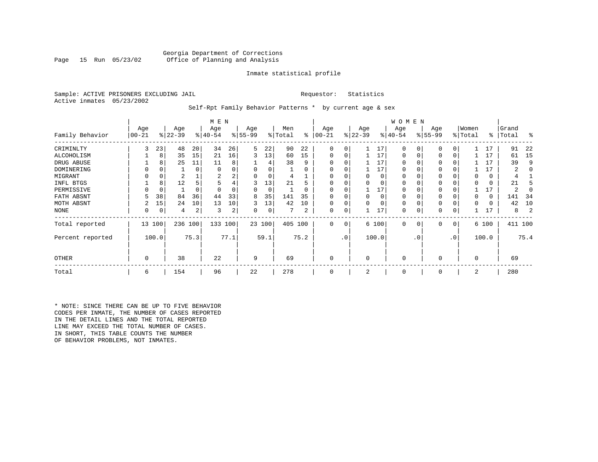#### Georgia Department of Corrections<br>Page 15 Run 05/23/02 Office of Planning and Analysis Office of Planning and Analysis

#### Inmate statistical profile

Sample: ACTIVE PRISONERS EXCLUDING JAIL **Requestor:** Statistics Active inmates 05/23/2002

Self-Rpt Family Behavior Patterns \* by current age & sex

|                  |                 |        |                  |          | M E N            |      |                 |        |                |      |                 |           |                  |          | <b>WOMEN</b>     |           |                 |                 |                  |          |                |         |
|------------------|-----------------|--------|------------------|----------|------------------|------|-----------------|--------|----------------|------|-----------------|-----------|------------------|----------|------------------|-----------|-----------------|-----------------|------------------|----------|----------------|---------|
| Family Behavior  | Age<br>$ 00-21$ |        | Age<br>$ 22-39 $ |          | Age<br>$ 40-54 $ |      | Age<br>$ 55-99$ |        | Men<br>% Total | ႜ    | Age<br>$ 00-21$ |           | Age<br>$ 22-39 $ |          | Age<br>$ 40-54 $ |           | Age<br>$ 55-99$ |                 | Women<br>% Total | ∻        | Grand<br>Total | ႜ       |
| CRIMINLTY        | 3               | 23     | 48               | 20       | 34               | 26   | 5               | 22     | 90             | 22   | 0               | 0         |                  | 17       | 0                |           | 0               |                 |                  | 17       | 91             | 22      |
| ALCOHOLISM       |                 | 8      | 35               | 15       | 21               | 16   | 3               | 13     | 60             | 15   | 0               | 0         |                  | 17       | 0                |           | $\mathbf 0$     | 0               |                  | 17       | 61             | 15      |
| DRUG ABUSE       |                 |        | 25               | 11       | 11               | 8    |                 |        | 38             | 9    | $\Omega$        | 0         |                  | 17       |                  |           | 0               |                 |                  | 17       | 39             | 9       |
| DOMINERING       |                 |        |                  | $\Omega$ | 0                | 0    |                 |        |                |      |                 |           |                  | 17       |                  |           | $\Omega$        |                 |                  | 17       |                |         |
| MIGRANT          |                 |        |                  |          | 2                | 2    |                 |        |                |      |                 |           |                  | $\Omega$ |                  |           | 0               |                 |                  | 0        |                |         |
| INFL BTGS        |                 | 8      | 12               |          |                  |      | 3               | 13     | 21             |      | 0               |           |                  |          |                  |           | 0               |                 |                  | 0        | 21             |         |
| PERMISSIVE       |                 | 0      |                  | $\Omega$ |                  |      |                 | 0      |                | 0    | $\Omega$        | 0         |                  | 17       | 0                |           | $\mathbf 0$     |                 |                  | 17       | 2              |         |
| FATH ABSNT       |                 | 38     | 84               | 36       | 44               | 33   | 8               | 35     | 141            | 35   | O               | U         | <sup>n</sup>     | $\Omega$ |                  |           | 0               |                 |                  | $\Omega$ | 141            | -34     |
| MOTH ABSNT       | 2               | 15     | 24               | 10       | 13               | 10   | 3               | 13     | 42             | 10   | 0               | 0         |                  |          | 0                |           | 0               |                 |                  | 0        | 42             | 10      |
| <b>NONE</b>      | 0               | 0      | 4                | 2        | 3                | 2    | 0               | 0      |                | 2    | 0               | 0         |                  | 17       | 0                |           | 0               |                 |                  | 17       | 8              |         |
| Total reported   |                 | 13 100 | 236              | 100      | 133 100          |      |                 | 23 100 | 405 100        |      | 0               | 0         |                  | 6 100    | 0                | 0         | $\mathbf 0$     | 0               |                  | 6 100    |                | 411 100 |
| Percent reported |                 | 100.0  |                  | 75.3     |                  | 77.1 |                 | 59.1   |                | 75.2 |                 | $\cdot$ 0 |                  | 100.0    |                  | $\cdot$ 0 |                 | .0 <sup>°</sup> |                  | 100.0    |                | 75.4    |
| OTHER            | 0               |        | 38               |          | 22               |      | 9               |        | 69             |      | $\mathbf 0$     |           | $\Omega$         |          | 0                |           | $\mathbf 0$     |                 | $\Omega$         |          | 69             |         |
| Total            | 6               |        | 154              |          | 96               |      | 22              |        | 278            |      | $\mathbf 0$     |           | 2                |          | 0                |           | 0               |                 | 2                |          | 280            |         |

\* NOTE: SINCE THERE CAN BE UP TO FIVE BEHAVIOR CODES PER INMATE, THE NUMBER OF CASES REPORTED IN THE DETAIL LINES AND THE TOTAL REPORTED LINE MAY EXCEED THE TOTAL NUMBER OF CASES. IN SHORT, THIS TABLE COUNTS THE NUMBER OF BEHAVIOR PROBLEMS, NOT INMATES.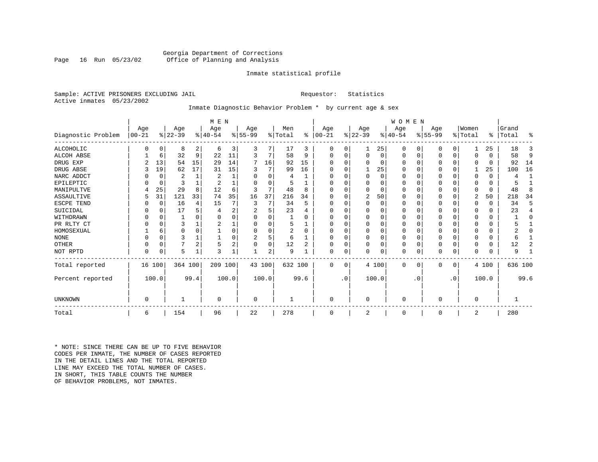#### Georgia Department of Corrections<br>Page 16 Run 05/23/02 Office of Planning and Analysis Office of Planning and Analysis

#### Inmate statistical profile

Sample: ACTIVE PRISONERS EXCLUDING JAIL **Requestor:** Statistics Active inmates 05/23/2002

### Inmate Diagnostic Behavior Problem \* by current age & sex

|                    |            |             |           |                | M E N          |       |           |        |         |          |           |           |                |          | WOMEN     |           |           |             |                |          |         |      |
|--------------------|------------|-------------|-----------|----------------|----------------|-------|-----------|--------|---------|----------|-----------|-----------|----------------|----------|-----------|-----------|-----------|-------------|----------------|----------|---------|------|
|                    | Age        |             | Age       |                | Age            |       | Age       |        | Men     |          | Age       |           | Age            |          | Age       |           | Age       |             | Women          |          | Grand   |      |
| Diagnostic Problem | $ 00 - 21$ |             | $ 22-39 $ |                | $ 40-54$       |       | $8 55-99$ |        | % Total | ႜ        | $00 - 21$ |           | $ 22-39 $      |          | $8 40-54$ |           | $ 55-99 $ |             | % Total        | ፠        | Total   | ႜ    |
| <b>ALCOHOLIC</b>   |            | 0           | 8         | 2              | 6              | 3     | 3         | 7      | 17      | 3        | 0         | 0         |                | 25       | 0         | 0         | 0         | 0           |                | 25       | 18      | 3    |
| <b>ALCOH ABSE</b>  |            | 6           | 32        | 9              | 22             | 11    | 3         | 7      | 58      | 9        | O         | $\Omega$  | $\Omega$       | $\Omega$ | $\Omega$  | 0         | $\Omega$  | 0           | $\Omega$       | $\Omega$ | 58      | 9    |
| DRUG EXP           |            | 13          | 54        | 15             | 29             | 14    |           | 16     | 92      | 15       |           |           | $\Omega$       | 0        | O         | $\Omega$  |           | $\Omega$    | 0              | $\Omega$ | 92      | 14   |
| DRUG ABSE          |            | 19          | 62        | 17             | 31             | 15    | 3         | 7      | 99      | 16       | O         |           |                | 25       | $\Omega$  | 0         | 0         | $\mathbf 0$ |                | 25       | 100     | 16   |
| NARC ADDCT         |            | 0           | 2         |                | 2              |       |           | 0      | 4       |          | U         | U         | $\mathbf 0$    | 0        | 0         | $\Omega$  |           | $\Omega$    | 0              | $\Omega$ | 4       |      |
| EPILEPTIC          |            | $\mathbf 0$ | 3         |                | $\overline{2}$ |       |           | U      | .5      |          | U         |           | $\Omega$       | 0        | $\Omega$  | $\Omega$  | 0         | $\mathbf 0$ | 0              | 0        |         |      |
| MANIPULTVE         |            | 25          | 29        | 8              | 12             |       | З         | 7      | 48      | 8        |           |           | $\Omega$       | 0        | 0         | 0         |           | $\Omega$    | 0              | $\Omega$ | 48      | 8    |
| ASSAULTIVE         |            | 31          | 121       | 33             | 74             | 35    | 16        | 37     | 216     | 34       | U         |           | 2              | 50       | $\Omega$  | 0         | 0         | 0           | 2              | 50       | 218     | 34   |
| ESCPE TEND         |            | $\mathbf 0$ | 16        | 4              | 15             |       | 3         | 7      | 34      | 5        | O         |           | $\Omega$       | 0        | 0         | $\Omega$  | 0         | $\Omega$    | O              | $\Omega$ | 34      | 5    |
| SUICIDAL           |            | $\Omega$    | 17        | 5              | 4              | 2     |           | 5      | 23      |          |           |           | $\Omega$       |          | $\Omega$  | 0         |           | $\Omega$    | O              | $\Omega$ | 23      | 4    |
| WITHDRAWN          |            | $\Omega$    |           | U              | $\Omega$       |       | O         | N      |         | $\Omega$ | O         |           | $\Omega$       |          | $\Omega$  | O         | O         | $\Omega$    | O              | 0        |         | 0    |
| PR RLTY CT         |            | $\Omega$    |           |                |                |       |           | O      |         |          | O         |           | $\Omega$       |          | 0         | $\Omega$  | O         | $\mathbf 0$ | $\Omega$       | 0        |         |      |
| HOMOSEXUAL         |            | 6           | U         | $\Omega$       |                |       | O         | O      | 2       | $\Omega$ | U         |           | $\Omega$       | O        | O         | $\Omega$  | O         | $\mathbf 0$ | $\Omega$       | $\Omega$ |         | U    |
| <b>NONE</b>        |            | $\Omega$    |           |                |                |       | 2         | 5      | 6       |          | O         |           | $\Omega$       |          | $\Omega$  | $\Omega$  |           | $\Omega$    | $\Omega$       | 0        | 6       |      |
| <b>OTHER</b>       |            | $\Omega$    | 7         | $\overline{2}$ |                | 2     | $\Omega$  | 0      | 12      | 2        | O         |           | $\Omega$       | $\Omega$ | $\Omega$  | $\Omega$  | O         | $\Omega$    | O              | $\Omega$ | 12      | 2    |
| NOT RPTD           | 0          | 0           | 5         |                | 3              |       |           | 2      | 9       |          | $\Omega$  | 0         | $\mathbf 0$    | 0        | 0         | 0         | 0         | 0           | 0              | 0        | 9       |      |
| Total reported     | 16 100     |             | 364 100   |                | 209 100        |       |           | 43 100 | 632 100 |          | $\Omega$  | $\Omega$  |                | 4 100    | $\Omega$  | 0         | $\Omega$  | 0           |                | 4 100    | 636 100 |      |
| Percent reported   |            | 100.0       |           | 99.4           |                | 100.0 |           | 100.0  |         | 99.6     |           | $\cdot$ 0 |                | 100.0    |           | $\cdot$ 0 |           | $\cdot$ 0   |                | 100.0    |         | 99.6 |
| UNKNOWN            | $\Omega$   |             |           |                | $\Omega$       |       | 0         |        |         |          | 0         |           | $\mathbf 0$    |          | 0         |           | 0         |             | 0              |          |         |      |
|                    |            |             |           |                |                |       |           |        |         |          |           |           |                |          |           |           |           |             |                |          |         |      |
| Total              | 6          |             | 154       |                | 96             |       | 22        |        | 278     |          | 0         |           | $\overline{2}$ |          | 0         |           | 0         |             | $\overline{2}$ |          | 280     |      |

\* NOTE: SINCE THERE CAN BE UP TO FIVE BEHAVIOR CODES PER INMATE, THE NUMBER OF CASES REPORTED IN THE DETAIL LINES AND THE TOTAL REPORTED LINE MAY EXCEED THE TOTAL NUMBER OF CASES.IN SHORT, THIS TABLE COUNTS THE NUMBER OF BEHAVIOR PROBLEMS, NOT INMATES.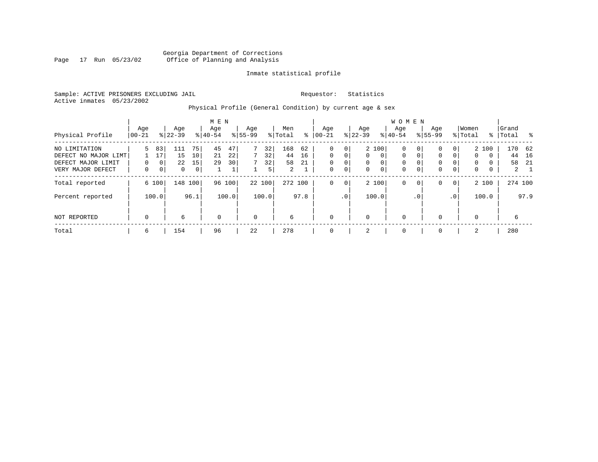#### Georgia Department of Corrections<br>Page 17 Run 05/23/02 Office of Planning and Analysis Page 17 Run 05/23/02 Office of Planning and Analysis

#### Inmate statistical profile

Sample: ACTIVE PRISONERS EXCLUDING JAIL **Requestor:** Statistics Active inmates 05/23/2002

# Physical Profile (General Condition) by current age & sex

|                                                                                  |                 |                               |                      |                                  | M E N            |                |                    |                     |                                   |                                |                                |                                   |                                   |                                          | W O M E N                                             |                         |                         |                         |                                     |                             |                    |                                |
|----------------------------------------------------------------------------------|-----------------|-------------------------------|----------------------|----------------------------------|------------------|----------------|--------------------|---------------------|-----------------------------------|--------------------------------|--------------------------------|-----------------------------------|-----------------------------------|------------------------------------------|-------------------------------------------------------|-------------------------|-------------------------|-------------------------|-------------------------------------|-----------------------------|--------------------|--------------------------------|
| Physical Profile                                                                 | Age<br>$ 00-21$ |                               | Age<br>$8 22-39$     |                                  | Age<br>$8 40-54$ |                | Age<br>$8155 - 99$ |                     | Men<br>% Total                    | ွေ                             | Age<br>$ 00-21$                |                                   | Age<br>$8$   22-39                |                                          | Aqe<br>$8 40-54$                                      |                         | Age<br>$8155 - 99$      |                         | Women<br>% Total                    |                             | Grand<br>%   Total |                                |
| NO LIMITATION<br>DEFECT NO MAJOR LIMT<br>DEFECT MAJOR LIMIT<br>VERY MAJOR DEFECT | 5.<br>0         | 83<br>17<br>0<br>$\mathbf{0}$ | 111<br>15<br>22<br>0 | 75<br>10<br>15<br>0 <sup>1</sup> | 45<br>21<br>29   | 47<br>22<br>30 | 7<br>7<br>7        | 32<br>32<br>32<br>5 | 168<br>44<br>58<br>$\overline{2}$ | 62<br>16<br>21<br>$\mathbf{a}$ | 0<br>$\Omega$<br>$\Omega$<br>0 | 0<br>$\Omega$<br>0<br>$\mathbf 0$ | $\mathbf{0}$<br>$\mathbf{0}$<br>0 | 2 100<br>$\mathbf 0$<br>0<br>$\mathbf 0$ | $\mathbf 0$<br>$\mathbf 0$<br>$\mathbf 0$<br>$\Omega$ | 0<br>0<br>$\Omega$<br>0 | 0<br>$\Omega$<br>0<br>0 | 0<br>$\Omega$<br>0<br>0 | $\Omega$<br>$\Omega$<br>$\mathbf 0$ | 2 100<br>$\Omega$<br>0<br>0 | 170<br>44<br>58    | 62<br>16<br>-21<br>$2 \quad 1$ |
| Total reported                                                                   |                 | 6 100                         |                      | 148 100                          |                  | 96 100         |                    | 22 100              | 272 100                           |                                | 0                              | $\mathbf{0}$                      |                                   | 2 100                                    | $\mathbf 0$                                           | 0                       | 0                       | $\overline{0}$          |                                     | 2 100                       | 274 100            |                                |
| Percent reported                                                                 |                 | 100.0                         |                      | 96.1                             |                  | 100.0          |                    | 100.0               |                                   | 97.8                           |                                | .0 <sup>1</sup>                   |                                   | 100.0                                    |                                                       | . 0                     |                         | .0 <sup>1</sup>         |                                     | 100.0                       |                    | 97.9                           |
| NOT REPORTED                                                                     | $\mathbf 0$     |                               | 6                    |                                  | $\mathbf 0$      |                | $\mathbf 0$        |                     | 6                                 |                                | $\mathbf 0$                    |                                   | 0                                 |                                          | $\mathbf 0$                                           |                         | $\Omega$                |                         | $\Omega$                            |                             | 6                  |                                |
| Total                                                                            | 6               |                               | 154                  |                                  | 96               |                | 22                 |                     | 278                               |                                | $\mathbf 0$                    |                                   | 2                                 |                                          | 0                                                     |                         | $\Omega$                |                         | 2                                   |                             | 280                |                                |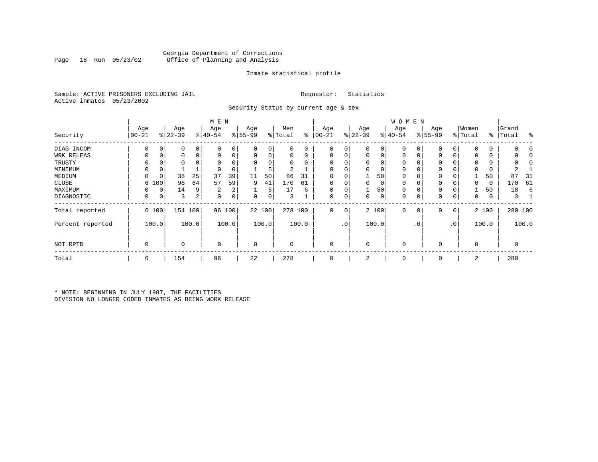#### Georgia Department of Corrections<br>Page 18 Run 05/23/02 Office of Planning and Analysis Office of Planning and Analysis

#### Inmate statistical profile

Sample: ACTIVE PRISONERS EXCLUDING JAIL **Requestor:** Statistics Active inmates 05/23/2002

Security Status by current age & sex

|                  |            |             |           |       | M E N          |                |           |        |          |       |           |              |           |       | <b>WOMEN</b> |           |             |           |             |       |           |         |
|------------------|------------|-------------|-----------|-------|----------------|----------------|-----------|--------|----------|-------|-----------|--------------|-----------|-------|--------------|-----------|-------------|-----------|-------------|-------|-----------|---------|
|                  | Age        |             | Age       |       | Age            |                | Age       |        | Men      |       | Age       |              | Age       |       | Age          |           | Age         |           | Women       |       | Grand     |         |
| Security         | $ 00 - 21$ |             | $ 22-39 $ |       | $ 40-54$       |                | $8 55-99$ |        | % Total  | ႜ     | $00 - 21$ |              | $ 22-39 $ |       | $ 40-54 $    |           | $8155 - 99$ |           | % Total     |       | %   Total | ႜ       |
| DIAG INCOM       | 0          | 0           | 0         | 0     |                |                | 0         | 0      |          | 0     | $\Omega$  | 0            | 0         | 0     |              |           | 0           | 0         | $\mathbf 0$ | 0     |           |         |
| WRK RELEAS       | 0          | 0           | 0         | 0     |                | 0              | 0         | 0      |          | 0     | 0         |              | 0         | 0     | 0            | 0         | 0           | 0         | $\Omega$    | 0     |           |         |
| TRUSTY           |            |             | 0         |       |                |                |           | 0      |          |       |           |              | $\Omega$  |       |              |           |             |           | $\Omega$    | 0     |           |         |
| MINIMUM          |            | 0           |           |       |                |                |           | 5      | 2        |       |           |              | $\Omega$  | 0     | $\Omega$     |           | 0           |           | 0           | 0     |           |         |
| MEDIUM           | $\Omega$   | 0           | 38        | 25    | 37             | 39             | 11        | 50     | 86       | 31    | $\Omega$  |              |           | 50    | $\mathbf{0}$ |           | 0           |           |             | 50    | 87        | 31      |
| CLOSE            | 6          | 100         | 98        | 64    | 57             | 59             | 9         | 41     | 170      | 61    | $\Omega$  |              | $\Omega$  | 0     | $\Omega$     |           | 0           |           | $\Omega$    | 0     | 170       | 61      |
| MAXIMUM          | U          | $\mathbf 0$ | 14        | 9     | $\overline{2}$ | 2              |           | 5      | 17       | 6     | $\Omega$  |              |           | 50    | $\Omega$     |           | 0           |           |             | 50    | 18        | 6       |
| DIAGNOSTIC       | 0          | 0           | 3         | 2     | 0              | $\overline{0}$ | 0         | 0      | 3        |       | 0         | 0            | $\Omega$  | 0     | $\mathbf 0$  | 0         | 0           | 0         | 0           | 0     |           |         |
| Total reported   |            | 6 100       | 154 100   |       |                | 96 100         |           | 22 100 | 278 100  |       | 0         | $\mathsf{O}$ |           | 2 100 | $\mathbf 0$  | $\circ$   | 0           | 0         |             | 2 100 |           | 280 100 |
| Percent reported |            | 100.0       |           | 100.0 |                | 100.0          |           | 100.0  |          | 100.0 |           | $\cdot$ 0    |           | 100.0 |              | $\cdot$ 0 |             | $\cdot$ 0 |             | 100.0 |           | 100.0   |
| NOT RPTD         | 0          |             | 0         |       | $\Omega$       |                | 0         |        | $\Omega$ |       | $\Omega$  |              | 0         |       | $\mathbf{0}$ |           | 0           |           | $\mathbf 0$ |       |           |         |
| Total            | 6          |             | 154       |       | 96             |                | 22        |        | 278      |       | $\Omega$  |              | 2         |       | $\mathbf 0$  |           | 0           |           | 2           |       | 280       |         |

\* NOTE: BEGINNING IN JULY 1987, THE FACILITIES DIVISION NO LONGER CODED INMATES AS BEING WORK RELEASE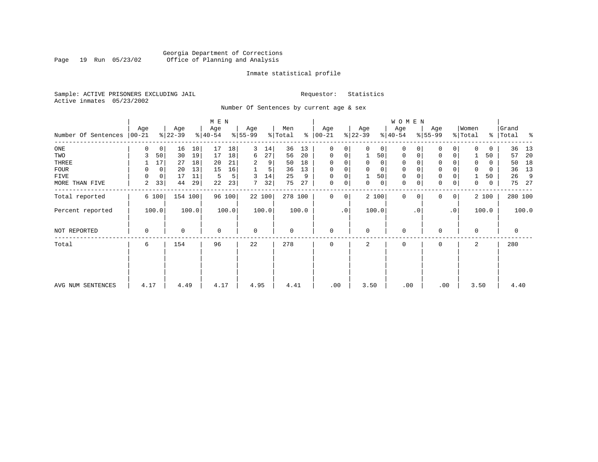#### Georgia Department of Corrections<br>Page 19 Run 05/23/02 Office of Planning and Analysis Page 19 Run 05/23/02 Office of Planning and Analysis

#### Inmate statistical profile

Sample: ACTIVE PRISONERS EXCLUDING JAIL **Requestor:** Statistics Active inmates 05/23/2002

Number Of Sentences by current age & sex

|                     |                 |             |                  |       | M E N            |        |                 |                |                |       |                      |                |                  |                | W O M E N        |           |                     |                 |                  |          |                |       |
|---------------------|-----------------|-------------|------------------|-------|------------------|--------|-----------------|----------------|----------------|-------|----------------------|----------------|------------------|----------------|------------------|-----------|---------------------|-----------------|------------------|----------|----------------|-------|
| Number Of Sentences | Age<br>$ 00-21$ |             | Age<br>$ 22-39 $ |       | Age<br>$ 40-54 $ |        | Age<br>$ 55-99$ |                | Men<br>% Total |       | Age<br>$8   00 - 21$ |                | Age<br>$ 22-39 $ |                | Age<br>$8 40-54$ |           | Age<br>$8 55-99$    |                 | Women<br>% Total | ိ        | Grand<br>Total | ႜ     |
| $_{\rm ONE}$        | 0               | 0           | 16               | 10    | 17               | 18     | 3               | 14             | 36             | 13    | 0                    | 0              | 0                | 0 <sup>1</sup> | 0                |           | $\mathbf 0$         | 0               | $\Omega$         | 0        | 36             | 13    |
| TWO                 | 3               | 50          | 30               | 19    | 17               | 18     | 6               | 27             | 56             | 20    | 0                    | 0              |                  | 50             | 0                |           | 0                   | 0               |                  | 50       | 57             | 20    |
| THREE               |                 | 17          | 27               | 18    | 20               | 21     |                 | 9              | 50             | 18    | $\Omega$             |                |                  | $\mathbf{0}$   | 0                |           | 0                   |                 | $\Omega$         | 0        | 50             | 18    |
| <b>FOUR</b>         | 0               | $\mathbf 0$ | 20               | 13    | 15               | 16     |                 | 5 <sup>1</sup> | 36             | 13    | $\Omega$             | 0              |                  | $\mathbf 0$    | $\Omega$         |           | $\mathsf{O}\xspace$ |                 |                  | $\Omega$ | 36             | 13    |
| FIVE                | $\Omega$        | $\mathbf 0$ | 17               | 11    | 5                | 5      | 3               | 14             | 25             | 9     | 0                    | 0              |                  | 50             | 0                |           | $\mathbf 0$         |                 |                  | 50       | 26             | 9     |
| MORE THAN FIVE      | 2               | 33          | 44               | 29    | 22               | 23     |                 | 32             | 75             | 27    | $\mathbf 0$          | $\overline{0}$ | 0                | 0              | 0                |           | $\mathsf{O}\xspace$ | 0               | $\mathbf 0$      | 0        | 75             | 27    |
| Total reported      |                 | 6 100       | 154 100          |       |                  | 96 100 |                 | 22 100         | 278 100        |       | $\Omega$             | $\overline{0}$ |                  | 2 100          | $\Omega$         | $\Omega$  | 0                   | 0               |                  | 2 100    | 280 100        |       |
| Percent reported    |                 | 100.0       |                  | 100.0 |                  | 100.0  |                 | 100.0          |                | 100.0 |                      | $\cdot$ 0      |                  | 100.0          |                  | $\cdot$ 0 |                     | .0 <sup>1</sup> |                  | 100.0    |                | 100.0 |
| NOT REPORTED        | 0               |             | 0                |       | $\Omega$         |        | $\mathbf 0$     |                | 0              |       | 0                    |                | $\Omega$         |                | $\mathbf 0$      |           | 0                   |                 | $\Omega$         |          | 0              |       |
| Total               | 6               |             | 154              |       | 96               |        | 22              |                | 278            |       | $\Omega$             |                | 2                |                | $\mathbf 0$      |           | 0                   |                 | 2                |          | 280            |       |
|                     |                 |             |                  |       |                  |        |                 |                |                |       |                      |                |                  |                |                  |           |                     |                 |                  |          |                |       |
| AVG NUM SENTENCES   | 4.17            |             | 4.49             |       | 4.17             |        | 4.95            |                | 4.41           |       | .00                  |                | 3.50             |                | .00              |           | .00                 |                 | 3.50             |          | 4.40           |       |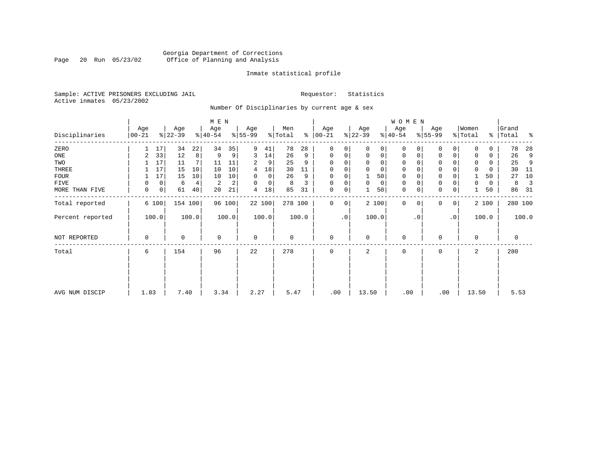### Georgia Department of Corrections<br>Page 20 Run 05/23/02 Office of Planning and Analysis Page 20 Run 05/23/02 Office of Planning and Analysis

#### Inmate statistical profile

Sample: ACTIVE PRISONERS EXCLUDING JAIL **Requestor:** Statistics Active inmates 05/23/2002

Number Of Disciplinaries by current age & sex

|                  |                   |                |                  |         | M E N            |        |                          |             |                |       |                  |             |                  |             | W O M E N        |          |                  |             |                  |       |                    |       |
|------------------|-------------------|----------------|------------------|---------|------------------|--------|--------------------------|-------------|----------------|-------|------------------|-------------|------------------|-------------|------------------|----------|------------------|-------------|------------------|-------|--------------------|-------|
| Disciplinaries   | Age<br>$ 00 - 21$ |                | Age<br>$ 22-39 $ |         | Age<br>$ 40-54 $ |        | Age<br>$\frac{8}{55-99}$ |             | Men<br>% Total | ႜ     | Age<br>$00 - 21$ |             | Age<br>$ 22-39 $ |             | Age<br>$ 40-54 $ |          | Age<br>$8 55-99$ |             | Women<br>% Total |       | Grand<br>%   Total | ႜ     |
| ZERO             |                   | 17             | 34               | 22      | 34               | 35     | 9                        | 41          | 78             | 28    | $\mathbf{0}$     | 0           | $\Omega$         | 0           | $\mathbf 0$      | $\Omega$ | $\Omega$         | $\Omega$    | $\Omega$         | 0     | 78                 | 28    |
| ONE              | 2                 | 33             | 12               | 8       | 9                | 9      | 3                        | 14          | 26             | 9     | $\mathbf 0$      | 0           | $\mathbf 0$      | $\mathbf 0$ | $\mathbf 0$      | 0        | 0                | $\mathbf 0$ | $\Omega$         | 0     | 26                 | 9     |
| TWO              |                   | 17             | 11               | 7       | 11               | 11     | 2                        | 9           | 25             | 9     | 0                |             | $\mathbf 0$      | 0           | $\mathbf 0$      | $\Omega$ | $\Omega$         |             | $\mathbf 0$      | 0     | 25                 | 9     |
| THREE            |                   | 17             | 15               | 10      | 10               | 10     | 4                        | 18          | 30             | 11    | $\mathbf 0$      |             | $\mathbf 0$      | 0           | $\mathbf 0$      |          | $\mathbf 0$      |             | $\mathbf 0$      | 0     | 30                 | 11    |
| <b>FOUR</b>      |                   | 17             | 15               | 10      | 10               | 10     | 0                        | $\mathbf 0$ | 26             | 9     | $\mathbf 0$      |             |                  | 50          | $\mathbf 0$      |          | $\mathbf 0$      |             |                  | 50    | 27                 | 10    |
| FIVE             | 0                 | 0              | 6                | 4       | 2                | 2      | $\Omega$                 | 0           | 8              | 3     | 0                | 0           | $\mathbf 0$      | 0           | 0                | $\Omega$ | 0                |             | $\Omega$         | 0     | 8                  | 3     |
| MORE THAN FIVE   | 0                 | $\overline{0}$ | 61               | 40      | 20               | 21     | 4                        | 18          | 85             | 31    | $\mathbf 0$      | 0           |                  | 50          | $\mathbf 0$      | 0        | $\mathbf 0$      | 0           |                  | 50    | 86                 | - 31  |
| Total reported   |                   | 6 100          |                  | 154 100 |                  | 96 100 |                          | 22 100      | 278 100        |       | $\mathbf 0$      | $\mathbf 0$ |                  | 2 100       | $\mathbf 0$      | $\Omega$ | 0                | 0           |                  | 2 100 | 280 100            |       |
| Percent reported |                   | 100.0          |                  | 100.0   |                  | 100.0  |                          | 100.0       |                | 100.0 |                  | $\cdot$ 0   |                  | 100.0       |                  | . 0      |                  | $\cdot$ 0   |                  | 100.0 |                    | 100.0 |
| NOT REPORTED     | 0                 |                | 0                |         | $\mathbf 0$      |        | $\mathbf 0$              |             | 0              |       | $\mathbf{0}$     |             | $\mathbf 0$      |             | 0                |          | 0                |             | $\Omega$         |       | $\mathbf 0$        |       |
| Total            | 6                 |                | 154              |         | 96               |        | 22                       |             | 278            |       | $\mathbf 0$      |             | 2                |             | 0                |          | 0                |             | 2                |       | 280                |       |
|                  |                   |                |                  |         |                  |        |                          |             |                |       |                  |             |                  |             |                  |          |                  |             |                  |       |                    |       |
|                  |                   |                |                  |         |                  |        |                          |             |                |       |                  |             |                  |             |                  |          |                  |             |                  |       |                    |       |
| AVG NUM DISCIP   | 1.83              |                | 7.40             |         | 3.34             |        | 2.27                     |             | 5.47           |       | .00              |             | 13.50            |             | .00              |          | .00              |             | 13.50            |       | 5.53               |       |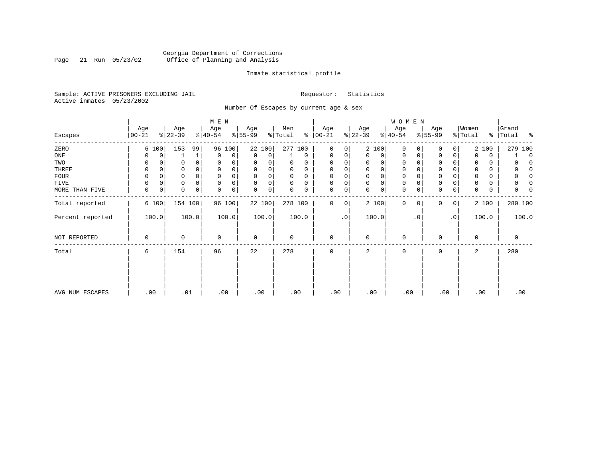### Georgia Department of Corrections<br>Page 21 Run 05/23/02 Office of Planning and Analysis Page 21 Run 05/23/02 Office of Planning and Analysis

#### Inmate statistical profile

Sample: ACTIVE PRISONERS EXCLUDING JAIL **Requestor:** Statistics Active inmates 05/23/2002

Number Of Escapes by current age & sex

|                  |                  |       |                  |              | M E N            |             |                 |             |                |             |                 |           |                  |             | W O M E N        |           |                  |           |                  |       |                     |
|------------------|------------------|-------|------------------|--------------|------------------|-------------|-----------------|-------------|----------------|-------------|-----------------|-----------|------------------|-------------|------------------|-----------|------------------|-----------|------------------|-------|---------------------|
| Escapes          | Age<br>$00 - 21$ |       | Age<br>$ 22-39 $ |              | Age<br>$ 40-54 $ |             | Age<br>$ 55-99$ |             | Men<br>% Total | ႜ           | Age<br>$ 00-21$ |           | Age<br>$ 22-39 $ |             | Age<br>$ 40-54 $ |           | Age<br>$8 55-99$ |           | Women<br>% Total | ⊱     | Grand<br>Total<br>ႜ |
| ZERO             |                  | 6 100 | 153              | 99           |                  | 96 100      | 22 100          |             | 277 100        |             | 0               | 0         |                  | 2 100       | 0                | $\Omega$  | 0                | 0         |                  | 2 100 | 279 100             |
| ONE              |                  | 0     |                  | $\mathbf{1}$ | 0                | 0           | 0               | 0           |                | $\mathbf 0$ | 0               | 0         | 0                | 0           | 0                | 0         | 0                | 0         | 0                | 0     | $\Omega$            |
| TWO              | 0                |       |                  |              | $\mathbf 0$      | 0           | 0               | 0           | 0              | 0           | $\mathbf 0$     | 0         |                  | 0           | 0                |           | $\mathbf 0$      |           | 0                | 0     |                     |
| THREE            | 0                |       |                  |              | $\mathbf 0$      | 0           | 0               | 0           | 0              |             | $\mathbf 0$     | 0         | $\mathbf 0$      | $\Omega$    | 0                |           | $\mathbf 0$      |           | 0                | 0     |                     |
| <b>FOUR</b>      | $\Omega$         |       |                  |              | $\Omega$         | 0           | $\Omega$        |             | 0              | O           | $\Omega$        |           |                  |             |                  |           | $\mathbf 0$      |           |                  | 0     |                     |
| FIVE             | 0                | 0     | 0                | $\Omega$     | $\mathbf 0$      | 0           | 0               | 0           | 0              | $\Omega$    | 0               | 0         | $\mathbf 0$      | $\Omega$    | 0                |           | $\mathbf 0$      |           |                  | 0     |                     |
| MORE THAN FIVE   | $\mathbf 0$      | 0     | 0                | 0            | $\mathbf 0$      | $\mathbf 0$ | 0               | $\mathbf 0$ | 0              | 0           | $\mathbf 0$     | 0         | $\Omega$         | $\mathbf 0$ | 0                | 0         | $\mathbf 0$      | 0         | 0                | 0     | O                   |
| Total reported   |                  | 6 100 |                  | 154 100      |                  | 96 100      |                 | 22 100      | 278 100        |             | $\mathbf 0$     | 0         |                  | 2 100       | $\mathbf 0$      | 0         | $\mathbf 0$      | 0         |                  | 2 100 | 280 100             |
| Percent reported |                  | 100.0 |                  | 100.0        |                  | 100.0       |                 | 100.0       |                | 100.0       |                 | $\cdot$ 0 |                  | 100.0       |                  | $\cdot$ 0 |                  | $\cdot$ 0 |                  | 100.0 | 100.0               |
| NOT REPORTED     | 0                |       | 0                |              | 0                |             | $\mathbf 0$     |             | 0              |             | $\mathbf 0$     |           | $\Omega$         |             | $\mathbf 0$      |           | 0                |           | 0                |       | 0                   |
| Total            | 6                |       | 154              |              | 96               |             | 22              |             | 278            |             | $\mathbf 0$     |           | 2                |             | 0                |           | 0                |           | 2                |       | 280                 |
|                  |                  |       |                  |              |                  |             |                 |             |                |             |                 |           |                  |             |                  |           |                  |           |                  |       |                     |
| AVG NUM ESCAPES  |                  | .00   | .01              |              |                  | .00         | .00             |             | .00            |             | .00             |           | .00              |             | .00              |           | .00              |           |                  | .00   | .00                 |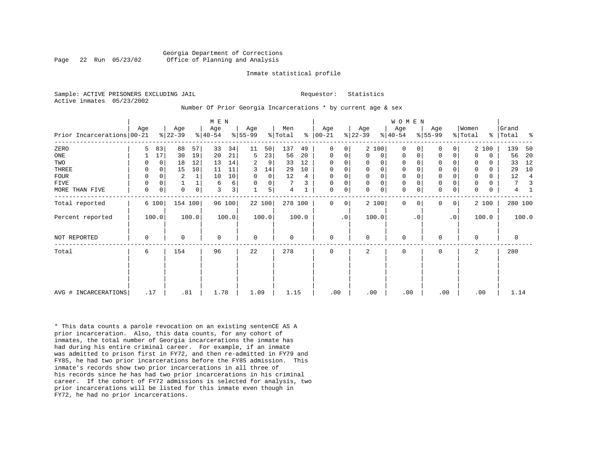#### Georgia Department of Corrections Page 22 Run 05/23/02 Office of Planning and Analysis

#### Inmate statistical profile

Sample: ACTIVE PRISONERS EXCLUDING JAIL **Requestor:** Statistics Active inmates 05/23/2002

## Number Of Prior Georgia Incarcerations \* by current age & sex

|                            |             |             |                 |       | M E N            |                         |                  |                |                |       |                      |                |                  |                | WOMEN           |           |                  |           |                  |             |                |       |
|----------------------------|-------------|-------------|-----------------|-------|------------------|-------------------------|------------------|----------------|----------------|-------|----------------------|----------------|------------------|----------------|-----------------|-----------|------------------|-----------|------------------|-------------|----------------|-------|
| Prior Incarcerations 00-21 | Age         |             | Age<br>$ 22-39$ |       | Age<br>$ 40-54 $ |                         | Age<br>$8 55-99$ |                | Men<br>% Total |       | Age<br>$8   00 - 21$ |                | Age<br>$ 22-39 $ |                | Age<br>$ 40-54$ |           | Age<br>$ 55-99 $ |           | Women<br>% Total | န္          | Grand<br>Total | န္    |
| ZERO                       | 5           | 83          | 88              | 57    | 33               | 34                      | 11               | 50             | 137            | 49    | 0                    | 0 <sup>1</sup> |                  | 2 100          | $\Omega$        |           | $\mathbf 0$      | 0         |                  | 2 100       | 139            | 50    |
| ONE                        |             | 17          | 30              | 19    | 20               | 21                      | 5                | 23             | 56             | 20    | 0                    | 0              | $\Omega$         | 0 <sup>1</sup> | 0               | 0         | 0                | 0         | $\Omega$         | $\mathbf 0$ | 56             | 20    |
| TWO                        | 0           | 0           | 18              | 12    | 13               | 14                      | 2                | 9              | 33             | 12    | $\Omega$             | 0              | $\Omega$         | 0              | 0               |           | 0                |           | $\Omega$         | $\Omega$    | 33             | 12    |
| THREE                      | 0           | $\Omega$    | 15              | 10    | 11               | 11                      | 3                | 14             | 29             | 10    | $\Omega$             | 0              | $\Omega$         | 0 <sup>1</sup> | $\mathbf 0$     |           | $\mathsf 0$      | 0         | $\Omega$         | $\Omega$    | 29             | 10    |
| <b>FOUR</b>                | 0           | $\Omega$    | $\overline{2}$  |       | 10               | 10                      | $\Omega$         | $\overline{0}$ | 12             | 4     | 0                    | 0              |                  | $\mathbf 0$    | 0               |           | $\mathbf 0$      |           | 0                | $\Omega$    | 12             | 4     |
| FIVE                       | 0           | 0           |                 |       | 6                | 6                       | $\Omega$         | $\overline{0}$ | 7              |       | 0                    | 0              | $\Omega$         | 0 <sup>1</sup> | 0               |           | $\mathsf 0$      | 0         | 0                | 0           | 7              |       |
| MORE THAN FIVE             | $\mathbf 0$ | $\mathbf 0$ | $\mathbf 0$     | 0     | 3                | $\overline{\mathbf{3}}$ |                  | 5 <sup>1</sup> | 4              |       | $\mathbf 0$          | 0              | $\Omega$         | $\mathsf{O}$   | $\mathbf 0$     |           | $\mathsf 0$      | 0         | $\mathbf 0$      | 0           | 4              |       |
| Total reported             |             | 6 100       | 154 100         |       |                  | 96 100                  |                  | 22 100         | 278 100        |       | $\Omega$             | 0              |                  | 2 100          | $\Omega$        | $\Omega$  | 0                | 0         |                  | 2 100       | 280 100        |       |
| Percent reported           |             | 100.0       |                 | 100.0 |                  | 100.0                   |                  | 100.0          |                | 100.0 |                      | $\cdot$ 0      |                  | 100.0          |                 | $\cdot$ 0 |                  | $\cdot$ 0 |                  | 100.0       |                | 100.0 |
| NOT REPORTED               | 0           |             | 0               |       | $\mathbf 0$      |                         | $\mathbf 0$      |                | 0              |       | 0                    |                | $\Omega$         |                | 0               |           | 0                |           | $\Omega$         |             | 0              |       |
| Total                      | 6           |             | 154             |       | 96               |                         | 22               |                | 278            |       | $\mathbf 0$          |                | 2                |                | $\mathbf 0$     |           | 0                |           | 2                |             | 280            |       |
|                            |             |             |                 |       |                  |                         |                  |                |                |       |                      |                |                  |                |                 |           |                  |           |                  |             |                |       |
| AVG # INCARCERATIONS       | .17         |             | .81             |       | 1.78             |                         | 1.09             |                | 1.15           |       | .00                  |                | .00              |                | .00             |           | .00              |           |                  | .00         | 1.14           |       |

\* This data counts a parole revocation on an existing sentenCE AS A prior incarceration. Also, this data counts, for any cohort of inmates, the total number of Georgia incarcerations the inmate has had during his entire criminal career. For example, if an inmate was admitted to prison first in FY72, and then re-admitted in FY79 and FY85, he had two prior incarcerations before the FY85 admission. This inmate's records show two prior incarcerations in all three of his records since he has had two prior incarcerations in his criminal career. If the cohort of FY72 admissions is selected for analysis, two prior incarcerations will be listed for this inmate even though in FY72, he had no prior incarcerations.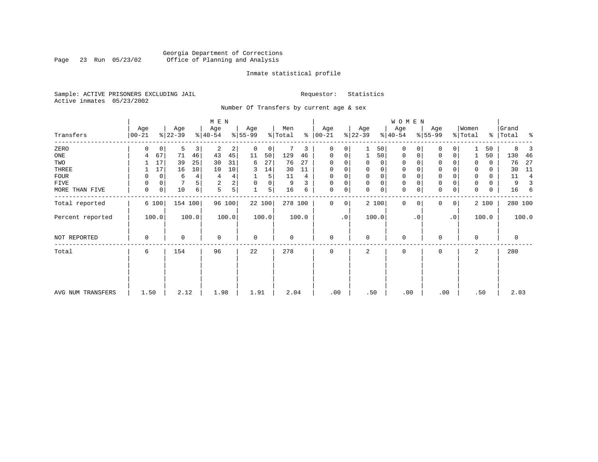### Georgia Department of Corrections<br>Page 23 Run 05/23/02 Office of Planning and Analysis Page 23 Run 05/23/02 Office of Planning and Analysis

#### Inmate statistical profile

Sample: ACTIVE PRISONERS EXCLUDING JAIL **Requestor:** Statistics Active inmates 05/23/2002

Number Of Transfers by current age & sex

|                   |                |             |                  |         | M E N            |       |                  |        |                |       |                  |                |                  |             | <b>WOMEN</b>     |           |                  |           |                  |       |                    |                |
|-------------------|----------------|-------------|------------------|---------|------------------|-------|------------------|--------|----------------|-------|------------------|----------------|------------------|-------------|------------------|-----------|------------------|-----------|------------------|-------|--------------------|----------------|
| Transfers         | Age<br>  00-21 |             | Age<br>$ 22-39 $ |         | Age<br>$8 40-54$ |       | Age<br>$ 55-99 $ |        | Men<br>% Total | ៖     | Age<br>$ 00-21 $ |                | Age<br>$ 22-39 $ |             | Age<br>$ 40-54 $ |           | Age<br>$ 55-99 $ |           | Women<br>% Total |       | Grand<br>% Total % |                |
| ZERO              | O              | 0           | 5                | 3       | 2                | 2     | 0                | 0      |                | 3     | 0                |                |                  | 50          | $\mathbf 0$      | $\Omega$  | 0                |           |                  | 50    | 8                  |                |
| ONE               | 4              | 67          | 71               | 46      | 43               | 45    | 11               | 50     | 129            | 46    | 0                | 0              |                  | 50          | 0                | 0         | 0                | 0         |                  | 50    | 130                | -46            |
| TWO               |                | 17          | 39               | 25      | 30               | 31    | 6                | 27     | 76             | 27    | $\Omega$         |                | 0                | 0           | 0                | $\Omega$  | $\Omega$         |           |                  | 0     | 76                 | 27             |
| THREE             |                | 17          | 16               | 10      | 10               | 10    | 3                | 14     | 30             | 11    |                  |                | 0                | 0           | 0                |           | 0                |           |                  | 0     | 30                 | -11            |
| <b>FOUR</b>       | 0              | 0           | 6                | 4       | 4                |       |                  | 5      | 11             | 4     |                  |                | $\Omega$         | $\mathbf 0$ | $\mathbf 0$      |           | $\Omega$         |           |                  | 0     | 11                 | $\overline{4}$ |
| FIVE              | 0              | 0           |                  |         | 2                | 2     | 0                | 0      | 9              |       |                  | 0              | $\mathbf 0$      | $\mathbf 0$ | $\mathbf 0$      | $\Omega$  | 0                |           | 0                | 0     | 9                  |                |
| MORE THAN FIVE    | 0              | $\mathbf 0$ | 10               | 6       | 5                | 5     |                  | 5      | 16             | 6     | $\Omega$         | 0              | $\mathbf 0$      | 0           | $\mathbf 0$      | 0         | 0                | 0         | $\Omega$         | 0     | 16                 | 6              |
| Total reported    |                | 6 100       |                  | 154 100 | 96 100           |       |                  | 22 100 | 278 100        |       | $\Omega$         | 0 <sup>1</sup> |                  | 2 100       | 0                | 0         | 0                | 0         |                  | 2 100 | 280 100            |                |
| Percent reported  |                | 100.0       |                  | 100.0   |                  | 100.0 |                  | 100.0  |                | 100.0 |                  | $\cdot$ 0      |                  | 100.0       |                  | $\cdot$ 0 |                  | $\cdot$ 0 |                  | 100.0 |                    | 100.0          |
| NOT REPORTED      | 0              |             | 0                |         | $\mathbf 0$      |       | $\mathbf 0$      |        | $\mathbf 0$    |       | $\mathbf 0$      |                | $\mathbf 0$      |             | $\mathbf 0$      |           | 0                |           | 0                |       | 0                  |                |
| Total             | 6              |             | 154              |         | 96               |       | 22               |        | 278            |       | $\Omega$         |                | 2                |             | 0                |           | 0                |           | 2                |       | 280                |                |
|                   |                |             |                  |         |                  |       |                  |        |                |       |                  |                |                  |             |                  |           |                  |           |                  |       |                    |                |
|                   |                |             |                  |         |                  |       |                  |        |                |       |                  |                |                  |             |                  |           |                  |           |                  |       |                    |                |
| AVG NUM TRANSFERS | 1.50           |             | 2.12             |         | 1.98             |       | 1.91             |        | 2.04           |       | .00              |                | .50              |             | .00              |           | .00              |           | .50              |       | 2.03               |                |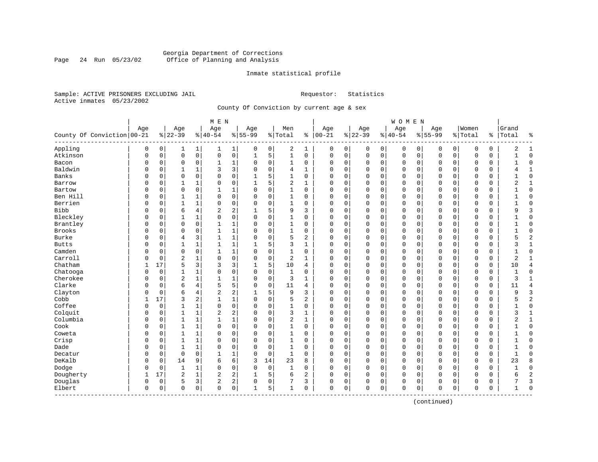#### Georgia Department of Corrections<br>Page 24 Run 05/23/02 Office of Planning and Analysis Page 24 Run 05/23/02 Office of Planning and Analysis

#### Inmate statistical profile

Sample: ACTIVE PRISONERS EXCLUDING JAIL **Requestor:** Statistics Active inmates 05/23/2002

County Of Conviction by current age & sex

|                            |          |          |                |              | M E N                   |                |             |             |                |                |              |          |              |             | <b>WOMEN</b>   |             |              |             |             |               |              |                |
|----------------------------|----------|----------|----------------|--------------|-------------------------|----------------|-------------|-------------|----------------|----------------|--------------|----------|--------------|-------------|----------------|-------------|--------------|-------------|-------------|---------------|--------------|----------------|
|                            | Age      |          | Age            |              | Age                     |                | Age         |             | Men            |                | Age          |          | Age          |             | Age            |             | Age          |             | Women       |               | Grand        |                |
| County Of Conviction 00-21 |          |          | $8 22-39$      |              | $ 40-54$                |                | $8 55-99$   |             | % Total        | နွ             | $ 00 - 21$   |          | $ 22-39$     |             | $ 40-54$       |             | $8155 - 99$  |             | % Total     | $\frac{1}{6}$ | Total        | နွ             |
| Appling                    | 0        | 0        | 1              | 1            | 1                       | $\mathbf{1}$   | 0           | 0           | 2              | 1              | 0            | 0        | 0            | 0           | 0              | 0           | 0            | 0           | 0           | 0             | 2            | 1              |
| Atkinson                   | 0        | 0        | $\mathbf 0$    | $\mathsf{O}$ | 0                       | 0              | 1           | 5           | $\mathbf{1}$   | 0              | $\mathbf 0$  | 0        | $\mathbf 0$  | $\mathsf 0$ | $\overline{0}$ | $\mathbf 0$ | $\mathbf 0$  | $\mathbf 0$ | $\mathbf 0$ | 0             |              | $\Omega$       |
| Bacon                      | 0        | 0        | 0              | 0            | 1                       | 1              | $\Omega$    | 0           | $\mathbf{1}$   | 0              | 0            | 0        | 0            | 0           | 0              | 0           | 0            | 0           | 0           | 0             |              | $\Omega$       |
| Baldwin                    | 0        | 0        | $\mathbf{1}$   | 1            | 3                       | $\overline{3}$ | $\Omega$    | 0           | 4              | 1              | $\Omega$     | 0        | $\mathbf 0$  | 0           | 0              | $\mathbf 0$ | $\mathbf 0$  | 0           | 0           | 0             | 4            | 1              |
| Banks                      | O        | 0        | $\mathbf 0$    | $\mathbf 0$  | 0                       | 0              |             | 5           | 1              | 0              | $\Omega$     | 0        | $\mathbf 0$  | 0           | 0              | $\mathbf 0$ | $\Omega$     | 0           | 0           | 0             |              | $\Omega$       |
| Barrow                     | 0        | $\Omega$ | 1              | $\mathbf{1}$ | $\Omega$                | 0              | 1           | 5           | $\overline{2}$ | $\mathbf{1}$   | $\Omega$     | 0        | $\Omega$     | $\Omega$    | $\Omega$       | $\Omega$    | $\Omega$     | $\Omega$    | $\Omega$    | $\Omega$      | 2            | $\mathbf{1}$   |
| Bartow                     | 0        | $\Omega$ | $\mathbf 0$    | $\Omega$     | $\mathbf{1}$            | 1              | $\Omega$    | $\mathbf 0$ | $\mathbf{1}$   | $\Omega$       | $\Omega$     | 0        | $\mathbf{0}$ | $\mathbf 0$ | $\Omega$       | $\mathbf 0$ | $\Omega$     | $\Omega$    | $\mathbf 0$ | 0             |              | $\Omega$       |
| Ben Hill                   | U        | 0        | 1              | $\mathbf 1$  | $\Omega$                | 0              | $\Omega$    | $\mathsf 0$ | 1              | 0              | 0            | 0        | $\mathbf 0$  | 0           | 0              | $\mathbf 0$ | 0            | $\mathbf 0$ | $\mathbf 0$ | 0             |              | $\Omega$       |
| Berrien                    | O        | 0        | $\mathbf{1}$   | $\mathbf{1}$ | 0                       | 0              | $\Omega$    | $\mathbf 0$ | $\mathbf 1$    | $\Omega$       | $\mathbf 0$  | 0        | $\mathbf{0}$ | 0           | $\Omega$       | 0           | $\mathbf{0}$ | 0           | $\mathbf 0$ | 0             | $\mathbf{1}$ | $\Omega$       |
| <b>Bibb</b>                | U        | 0        | 6              | 4            | 2                       | 2              | -1          | 5           | 9              | 3              | $\Omega$     | 0        | $\mathbf 0$  | 0           | 0              | 0           | $\mathbf 0$  | 0           | 0           | 0             | q            | 3              |
| Bleckley                   | O        | 0        | 1              | 1            | 0                       | 0              | $\mathbf 0$ | $\mathbf 0$ | 1              | 0              | $\Omega$     | 0        | $\mathbf 0$  | $\mathbf 0$ | 0              | 0           | $\Omega$     | 0           | $\mathbf 0$ | 0             |              | $\Omega$       |
| Brantley                   | 0        | 0        | $\mathbf 0$    | $\mathbf 0$  | 1                       | 1              | $\Omega$    | $\mathbf 0$ | $\mathbf{1}$   | 0              | $\Omega$     | 0        | $\mathbf 0$  | 0           | $\Omega$       | $\mathbf 0$ | $\Omega$     | $\Omega$    | $\mathbf 0$ | 0             | $\mathbf{1}$ | $\Omega$       |
| <b>Brooks</b>              | 0        | 0        | $\mathbf 0$    | $\mathbf 0$  | $\mathbf{1}$            | $\mathbf 1$    | $\Omega$    | $\mathbf 0$ | 1              | 0              | 0            | 0        | $\mathbf 0$  | $\mathbf 0$ | 0              | $\mathbf 0$ | 0            | $\mathbf 0$ | 0           | 0             |              | $\Omega$       |
| <b>Burke</b>               | $\Omega$ | 0        | $\overline{4}$ | 3            | $\mathbf{1}$            | $\mathbf 1$    | $\Omega$    | $\mathbf 0$ | 5              | 2              | $\mathbf 0$  | 0        | 0            | 0           | 0              | $\mathbf 0$ | 0            | 0           | $\mathbf 0$ | 0             | 5            | $\overline{c}$ |
| <b>Butts</b>               | 0        | 0        | $\mathbf{1}$   | $\mathbf{1}$ | $\mathbf{1}$            | 1              |             | 5           | 3              | $\mathbf{1}$   | $\Omega$     | 0        | $\mathbf 0$  | $\mathbf 0$ | $\Omega$       | $\mathbf 0$ | $\mathbf 0$  | 0           | $\Omega$    | 0             | 3            | $\mathbf{1}$   |
| Camden                     | O        | 0        | $\mathbf 0$    | $\mathbf 0$  | $\mathbf{1}$            | 1              | $\Omega$    | $\mathbf 0$ | 1              | 0              | $\Omega$     | 0        | $\mathbf 0$  | 0           | 0              | $\mathbf 0$ | $\Omega$     | $\Omega$    | 0           | 0             |              | $\Omega$       |
| Carroll                    | O        | 0        | $\overline{2}$ | 1            | 0                       | 0              | $\Omega$    | $\mathbf 0$ | $\overline{2}$ | $\mathbf{1}$   | $\Omega$     | O        | $\mathbf 0$  | 0           | $\Omega$       | $\mathbf 0$ | $\Omega$     | $\Omega$    | $\mathbf 0$ | 0             | 2            | $\mathbf{1}$   |
| Chatham                    | 1        | 17       | 5              | 3            | 3                       | 3              | 1           | 5           | 10             | 4              | $\Omega$     | 0        | $\mathbf{0}$ | 0           | $\Omega$       | $\mathbf 0$ | $\Omega$     | $\Omega$    | $\mathbf 0$ | 0             | 10           | $\overline{4}$ |
| Chatooga                   | 0        | 0        | 1              | $\mathbf 1$  | $\Omega$                | 0              | $\Omega$    | $\mathbf 0$ | $\mathbf{1}$   | 0              | 0            | 0        | 0            | $\mathbf 0$ | 0              | $\mathbf 0$ | 0            | $\mathbf 0$ | $\mathbf 0$ | 0             |              | $\Omega$       |
| Cherokee                   | 0        | 0        | $\overline{2}$ | $\mathbf{1}$ | $\mathbf{1}$            | 1              | $\Omega$    | 0           | 3              | $\mathbf{1}$   | 0            | 0        | 0            | 0           | 0              | 0           | 0            | 0           | $\mathbf 0$ | 0             | 3            | $\mathbf{1}$   |
| Clarke                     | O        | 0        | 6              | 4            | 5                       | 5              | $\mathbf 0$ | $\mathbf 0$ | 11             | 4              | $\Omega$     | 0        | $\mathbf 0$  | 0           | 0              | $\mathbf 0$ | $\mathbf 0$  | $\mathbf 0$ | $\mathbf 0$ | 0             | 11           | $\overline{4}$ |
| Clayton                    | O        | 0        | 6              | 4            | 2                       | 2              | 1           | 5           | 9              | 3              | $\Omega$     | 0        | $\mathbf 0$  | $\mathbf 0$ | $\Omega$       | $\mathbf 0$ | $\Omega$     | $\Omega$    | $\Omega$    | 0             | q            | 3              |
| Cobb                       | 1        | 17       | 3              | 2            | $\mathbf{1}$            | $\mathbf{1}$   | $\Omega$    | $\mathbf 0$ | 5              | $\overline{2}$ | $\Omega$     | $\Omega$ | $\mathbf{0}$ | $\mathbf 0$ | $\Omega$       | $\mathbf 0$ | $\Omega$     | $\Omega$    | $\mathbf 0$ | 0             |              | $\overline{2}$ |
| Coffee                     | O        | 0        | $\mathbf{1}$   | $\mathbf{1}$ | 0                       | 0              | $\Omega$    | $\Omega$    | $\mathbf{1}$   | 0              | $\Omega$     | 0        | $\mathbf 0$  | 0           | $\Omega$       | $\mathbf 0$ | $\Omega$     | $\Omega$    | $\mathbf 0$ | 0             | -1           | $\Omega$       |
| Colquit                    | 0        | 0        | $\mathbf{1}$   | $\mathbf{1}$ | $\overline{\mathbf{c}}$ | 2              | $\Omega$    | $\mathbf 0$ | 3              | 1              | 0            | 0        | $\mathbf 0$  | $\mathbf 0$ | 0              | $\mathbf 0$ | 0            | $\mathbf 0$ | $\mathbf 0$ | 0             | 3            | 1              |
| Columbia                   | 0        | 0        | 1              | $\mathbf{1}$ | $\mathbf{1}$            | 1              | $\Omega$    | $\mathbf 0$ | 2              | $\mathbf{1}$   | 0            | 0        | $\Omega$     | 0           | 0              | 0           | $\mathbf 0$  | 0           | $\mathbf 0$ | 0             | 2            | $\mathbf{1}$   |
| Cook                       | O        | 0        | $\mathbf{1}$   | 1            | 0                       | 0              | $\Omega$    | 0           | 1              | 0              | $\Omega$     | 0        | $\mathbf 0$  | 0           | 0              | 0           | $\mathbf 0$  | 0           | $\mathbf 0$ | 0             |              | $\Omega$       |
| Coweta                     | O        | 0        | 1              | 1            | $\Omega$                | 0              | $\Omega$    | 0           | 1              | 0              | 0            | 0        | $\mathbf 0$  | 0           | 0              | $\mathbf 0$ | 0            | 0           | 0           | 0             |              | $\Omega$       |
| Crisp                      | $\Omega$ | 0        | $\mathbf{1}$   | $\mathbf{1}$ | 0                       | 0              | $\Omega$    | $\mathbf 0$ | $\mathbf{1}$   | 0              | $\Omega$     | 0        | $\mathbf 0$  | 0           | 0              | $\mathbf 0$ | $\Omega$     | 0           | $\mathbf 0$ | 0             |              | $\Omega$       |
| Dade                       | 0        | $\Omega$ | $\mathbf{1}$   | $\mathbf{1}$ | $\Omega$                | 0              | $\Omega$    | $\Omega$    | $\mathbf{1}$   | $\Omega$       | $\Omega$     | 0        | $\Omega$     | $\Omega$    | $\Omega$       | $\Omega$    | $\Omega$     | $\Omega$    | $\mathbf 0$ | $\Omega$      | $\mathbf{1}$ | $\Omega$       |
| Decatur                    | 0        | 0        | $\mathbf 0$    | $\Omega$     | $\mathbf{1}$            | 1              | $\Omega$    | $\mathbf 0$ | $\mathbf{1}$   | $\Omega$       | 0            | 0        | $\mathbf{0}$ | $\mathbf 0$ | 0              | $\mathbf 0$ | 0            | $\mathbf 0$ | $\mathbf 0$ | 0             |              | $\Omega$       |
| DeKalb                     | O        | 0        | 14             | 9            | 6                       | 6              | 3           | 14          | 23             | 8              | $\Omega$     | 0        | $\mathbf{0}$ | $\mathbf 0$ | $\Omega$       | $\mathbf 0$ | $\mathbf{0}$ | 0           | $\mathbf 0$ | 0             | 23           | 8              |
| Dodge                      | U        | 0        | 1              | 1            | 0                       | 0              | $\Omega$    | $\mathbf 0$ | 1              | $\Omega$       | $\Omega$     | 0        | $\mathbf 0$  | $\mathbf 0$ | $\Omega$       | $\mathbf 0$ | $\mathbf{0}$ | $\mathbf 0$ | $\Omega$    | 0             | 1            | $\Omega$       |
| Dougherty                  | 1        | 17       | $\overline{2}$ | $\mathbf 1$  | 2                       | 2              |             | 5           | 6              | 2              | 0            | 0        | $\mathbf 0$  | $\mathbf 0$ | 0              | 0           | 0            | $\mathbf 0$ | 0           | 0             | 6            | $\overline{c}$ |
| Douglas                    | 0        | 0        | 5              | 3            | 2                       | $\overline{a}$ | $\Omega$    | 0           | 7              | 3              | 0            | 0        | 0            | 0           | 0              | 0           | 0            | 0           | 0           | 0             |              | 3              |
| Elbert<br>-------------    | 0        | 0        | $\mathbf 0$    | $\mathbf 0$  | 0                       | 0              | 1           | 5           | 1              | 0              | $\mathbf{0}$ | 0        | $\mathbf 0$  | $\mathbf 0$ | 0              | $\mathbf 0$ | $\mathbf 0$  | $\mathbf 0$ | $\mathbf 0$ | 0             | 1            | $\Omega$       |

(continued)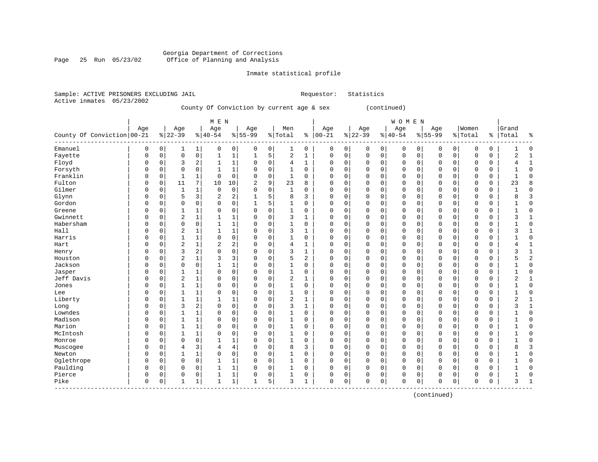#### Georgia Department of Corrections Page 25 Run 05/23/02 Office of Planning and Analysis

# Inmate statistical profile

| Sample: ACTIVE PRISONERS EXCLUDING JAIL |  |                                           |  | Requestor: Statistics |
|-----------------------------------------|--|-------------------------------------------|--|-----------------------|
| Active inmates 05/23/2002               |  |                                           |  |                       |
|                                         |  | County Of Conviction by current age & sex |  | (continued)           |
|                                         |  |                                           |  |                       |

|                              |          |             |                |                | M E N        |              |                |             |                |              |               |             |          |             | <b>WOMEN</b> |             |             |             |             |             |              |                |
|------------------------------|----------|-------------|----------------|----------------|--------------|--------------|----------------|-------------|----------------|--------------|---------------|-------------|----------|-------------|--------------|-------------|-------------|-------------|-------------|-------------|--------------|----------------|
|                              | Age      |             | Age            |                | Age          |              | Age            |             | Men            |              | Age           |             | Age      |             | Age          |             | Age         |             | Women       |             | Grand        |                |
| County Of Conviction   00-21 |          |             | $ 22-39$       |                | $8 40-54$    |              | $8 55-99$      |             | % Total        |              | $8   00 - 21$ |             | $ 22-39$ |             | $8 40-54$    |             | $8 55-99$   |             | % Total     | ႜ           | Total        | ٩,             |
| Emanuel                      | 0        | 0           | 1              | 1              | 0            | $\mathbf 0$  | 0              | 0           | 1              | $\mathbf 0$  | 0             | 0           | 0        | 0           | 0            | 0           | 0           | 0           | 0           | 0           |              | $\Omega$       |
| Fayette                      | $\Omega$ | 0           | $\mathbf 0$    | $\mathbf 0$    | 1            | $\mathbf{1}$ | $\mathbf{1}$   | 5           | $\overline{2}$ | $\mathbf 1$  | $\Omega$      | $\mathbf 0$ | 0        | $\mathbf 0$ | $\mathbf 0$  | $\mathbf 0$ | $\mathbf 0$ | $\mathbf 0$ | $\mathbf 0$ | $\mathbf 0$ | 2            | $\mathbf{1}$   |
| Floyd                        | 0        | 0           | 3              | $\overline{2}$ | 1            | $\mathbf{1}$ | $\Omega$       | $\mathbf 0$ | 4              | $\mathbf{1}$ | $\Omega$      | $\mathbf 0$ | 0        | $\mathbf 0$ | $\Omega$     | 0           | $\Omega$    | $\mathbf 0$ | 0           | $\mathbf 0$ | 4            | 1              |
| Forsyth                      | $\Omega$ | 0           | $\Omega$       | $\mathbf 0$    | $\mathbf{1}$ | $\mathbf{1}$ | $\Omega$       | 0           | $\mathbf{1}$   | $\mathbf 0$  | $\Omega$      | $\mathbf 0$ | 0        | 0           | $\Omega$     | $\Omega$    | $\Omega$    | 0           | 0           | $\mathbf 0$ |              | $\Omega$       |
| Franklin                     |          | $\mathbf 0$ | $\mathbf{1}$   | 1              | $\mathbf 0$  | $\mathbf 0$  | $\Omega$       | $\mathbf 0$ | $\mathbf 1$    | $\Omega$     | $\Omega$      | $\mathbf 0$ | 0        | $\Omega$    | $\Omega$     | $\Omega$    | $\mathbf 0$ | $\Omega$    | $\mathsf 0$ | $\mathbf 0$ | $\mathbf{1}$ | $\Omega$       |
| Fulton                       | $\Omega$ | $\mathbf 0$ | 11             | 7              | 10           | 10           | $\overline{2}$ | 9           | 23             | 8            | $\Omega$      | $\mathbf 0$ | 0        | 0           | $\mathbf 0$  | 0           | $\mathbf 0$ | $\mathbf 0$ | $\mathbf 0$ | $\mathbf 0$ | 23           | 8              |
| Gilmer                       | O        | 0           | $\mathbf{1}$   | $\mathbf{1}$   | 0            | $\mathbf 0$  | $\Omega$       | 0           | 1              | 0            | $\Omega$      | $\mathbf 0$ | 0        | 0           | $\mathbf 0$  | 0           | $\mathbf 0$ | 0           | 0           | $\mathbf 0$ |              | $\mathbf 0$    |
| Glynn                        |          | 0           | 5              | 3              | 2            | 2            | 1              | 5           | 8              | 3            | $\Omega$      | $\mathbf 0$ | 0        | 0           | $\Omega$     | $\Omega$    | $\Omega$    | 0           | 0           | $\mathbf 0$ | 8            | 3              |
| Gordon                       | $\Omega$ | $\Omega$    | $\Omega$       | $\mathbf 0$    | 0            | $\mathbf 0$  | 1              | 5           | $\mathbf{1}$   | 0            | $\Omega$      | 0           | 0        | $\Omega$    | $\Omega$     | $\Omega$    | $\mathbf 0$ | 0           | 0           | 0           |              | $\Omega$       |
| Greene                       | U        | $\Omega$    | 1              | $\mathbf{1}$   | 0            | $\Omega$     | $\Omega$       | $\Omega$    | $\mathbf 1$    | $\Omega$     | $\Omega$      | $\Omega$    | 0        | $\Omega$    | $\mathbf{0}$ | $\Omega$    | $\mathbf 0$ | $\Omega$    | $\mathbf 0$ | $\mathbf 0$ | 1            | $\Omega$       |
| Gwinnett                     | O        | 0           | $\overline{2}$ | $\mathbf{1}$   | 1            | 1            | $\Omega$       | $\mathbf 0$ | 3              | 1            | $\Omega$      | $\mathbf 0$ | 0        | $\Omega$    | $\Omega$     | $\Omega$    | $\mathbf 0$ | $\Omega$    | 0           | $\mathbf 0$ | 3            | -1             |
| Habersham                    | O        | 0           | $\mathbf 0$    | $\mathbf 0$    | 1            | $\mathbf{1}$ | $\Omega$       | $\mathbf 0$ | $\mathbf{1}$   | 0            | $\Omega$      | $\mathbf 0$ | 0        | $\mathbf 0$ | $\mathbf 0$  | 0           | $\mathbf 0$ | $\Omega$    | 0           | $\mathbf 0$ |              | $\Omega$       |
| Hall                         |          | 0           | $\overline{2}$ | $\mathbf 1$    | $\mathbf{1}$ | $\mathbf{1}$ | $\Omega$       | $\mathbf 0$ | 3              | $\mathbf{1}$ | $\Omega$      | $\mathbf 0$ | 0        | $\mathbf 0$ | $\Omega$     | 0           | $\Omega$    | $\Omega$    | 0           | $\mathbf 0$ | 3            | $\mathbf{1}$   |
| Harris                       |          | 0           | $\mathbf{1}$   | $\mathbf{1}$   | 0            | $\mathbf 0$  | $\Omega$       | 0           | $\mathbf{1}$   | $\Omega$     | $\Omega$      | $\mathbf 0$ | 0        | $\Omega$    | $\Omega$     | O           | $\mathbf 0$ | $\Omega$    | 0           | 0           | 1            | $\Omega$       |
| Hart                         |          | 0           | $\overline{2}$ | $\mathbf 1$    | 2            | 2            | $\Omega$       | 0           | $\overline{4}$ | 1            | $\Omega$      | $\mathbf 0$ | 0        | 0           | $\mathbf 0$  | $\Omega$    | $\mathbf 0$ | 0           | 0           | 0           | 4            | $\mathbf{1}$   |
| Henry                        | U        | 0           | 3              | $\overline{2}$ | 0            | $\mathbf 0$  | $\Omega$       | 0           | 3              | 1            | $\Omega$      | $\mathbf 0$ | 0        | 0           | $\mathbf 0$  | 0           | $\mathbf 0$ | $\mathbf 0$ | $\mathbf 0$ | $\mathbf 0$ | 3            | $\mathbf{1}$   |
| Houston                      | O        | 0           | $\overline{2}$ | $\mathbf{1}$   | 3            | 3            | $\Omega$       | $\Omega$    | 5              | 2            | $\Omega$      | $\mathbf 0$ | 0        | $\Omega$    | $\mathbf 0$  | $\Omega$    | $\mathbf 0$ | $\Omega$    | 0           | 0           | 5            | $\overline{a}$ |
| Jackson                      | O        | $\Omega$    | $\Omega$       | $\mathbf 0$    | 1            | $\mathbf{1}$ | $\Omega$       | $\Omega$    | $\mathbf{1}$   | $\mathbf 0$  | $\Omega$      | $\mathbf 0$ | 0        | $\Omega$    | $\mathbf{0}$ | $\Omega$    | $\mathbf 0$ | $\Omega$    | $\Omega$    | $\mathbf 0$ |              | $\Omega$       |
| Jasper                       | O        | $\Omega$    | 1              | $\mathbf{1}$   | 0            | $\Omega$     | $\Omega$       | $\Omega$    | $\mathbf{1}$   | $\Omega$     | $\Omega$      | $\Omega$    | O        | $\Omega$    | $\Omega$     | $\Omega$    | $\mathbf 0$ | $\Omega$    | 0           | 0           |              | $\Omega$       |
| Jeff Davis                   | $\Omega$ | 0           | $\overline{2}$ | $\mathbf{1}$   | 0            | $\mathbf 0$  | $\Omega$       | $\Omega$    | $\overline{2}$ | 1            | $\Omega$      | $\mathbf 0$ | 0        | $\Omega$    | $\Omega$     | $\Omega$    | $\Omega$    | $\Omega$    | 0           | 0           | 2            | $\mathbf{1}$   |
| Jones                        | $\Omega$ | 0           |                | $\mathbf{1}$   | 0            | $\mathbf 0$  | $\Omega$       | $\mathbf 0$ | $\mathbf 1$    | $\mathbf 0$  | $\Omega$      | $\mathbf 0$ | 0        | $\mathbf 0$ | $\Omega$     | $\Omega$    | $\Omega$    | 0           | $\mathbf 0$ | $\mathbf 0$ |              | $\Omega$       |
| Lee                          | 0        | 0           |                | $\mathbf{1}$   | 0            | $\mathbf 0$  | $\Omega$       | $\Omega$    | $\mathbf{1}$   | $\mathbf 0$  | $\Omega$      | $\mathbf 0$ | 0        | $\Omega$    | $\Omega$     | $\Omega$    | $\Omega$    | $\Omega$    | 0           | $\mathbf 0$ | 1            | $\Omega$       |
| Liberty                      |          | 0           | 1              | $\mathbf 1$    | 1            | $\mathbf{1}$ | $\Omega$       | $\mathbf 0$ | $\overline{2}$ | $\mathbf{1}$ | $\Omega$      | $\mathbf 0$ | 0        | $\mathbf 0$ | $\Omega$     | $\Omega$    | $\Omega$    | 0           | $\mathbf 0$ | $\mathbf 0$ | 2            | $\mathbf{1}$   |
| Long                         | $\Omega$ | 0           | 3              | $\sqrt{2}$     | 0            | $\mathbf 0$  | $\Omega$       | 0           | 3              | $\mathbf{1}$ | $\Omega$      | $\mathbf 0$ | 0        | $\Omega$    | $\Omega$     | $\Omega$    | $\Omega$    | $\Omega$    | 0           | 0           | 3            | $\mathbf{1}$   |
| Lowndes                      | $\Omega$ | 0           | $\mathbf{1}$   | $\mathbf 1$    | 0            | $\mathbf 0$  | $\Omega$       | 0           | 1              | 0            | $\Omega$      | $\mathbf 0$ | 0        | 0           | $\mathbf 0$  | $\Omega$    | $\mathbf 0$ | 0           | 0           | 0           | 1            | $\Omega$       |
| Madison                      | $\Omega$ | 0           |                | $\mathbf{1}$   | 0            | $\mathbf 0$  | $\Omega$       | 0           | $\mathbf{1}$   | 0            | $\Omega$      | $\mathbf 0$ | 0        | 0           | 0            | $\Omega$    | $\mathbf 0$ | 0           | 0           | 0           |              | $\Omega$       |
| Marion                       | O        | 0           |                | $\mathbf{1}$   | 0            | $\mathbf 0$  | $\Omega$       | 0           | 1              | $\mathbf 0$  | $\Omega$      | $\mathbf 0$ | 0        | 0           | $\mathbf 0$  | 0           | $\mathbf 0$ | 0           | $\mathbf 0$ | $\mathbf 0$ |              | $\Omega$       |
| McIntosh                     | 0        | $\Omega$    |                | $\mathbf{1}$   | 0            | $\mathbf 0$  | $\Omega$       | $\Omega$    | 1              | $\Omega$     | $\Omega$      | $\mathbf 0$ | 0        | $\Omega$    | $\mathbf 0$  | 0           | $\Omega$    | $\Omega$    | 0           | 0           |              | $\Omega$       |
| Monroe                       | $\Omega$ | $\Omega$    | $\Omega$       | $\mathbf 0$    |              | $\mathbf{1}$ | $\Omega$       | $\Omega$    | $\mathbf{1}$   | 0            | $\Omega$      | $\Omega$    | 0        | $\Omega$    | $\mathbf 0$  | $\Omega$    | $\mathbf 0$ | $\Omega$    | $\Omega$    | 0           |              | $\Omega$       |
| Muscogee                     | $\Omega$ | 0           | 4              | 3              | 4            | 4            | $\Omega$       | $\Omega$    | 8              | 3            | $\Omega$      | $\mathbf 0$ | 0        | $\Omega$    | $\mathbf 0$  | $\Omega$    | $\mathbf 0$ | $\Omega$    | 0           | 0           | 8            | 3              |
| Newton                       | 0        | 0           |                | $\mathbf{1}$   | 0            | $\mathbf 0$  | $\Omega$       | $\mathbf 0$ | $\mathbf{1}$   | 0            | $\Omega$      | $\mathbf 0$ | 0        | $\mathbf 0$ | $\Omega$     | $\Omega$    | $\mathbf 0$ | $\Omega$    | $\mathbf 0$ | $\mathbf 0$ |              | $\Omega$       |
| Oglethrope                   | 0        | 0           | $\mathbf 0$    | $\mathbf 0$    | 1            | $\mathbf{1}$ | $\Omega$       | $\mathbf 0$ | $\mathbf{1}$   | $\mathbf 0$  | $\Omega$      | $\mathbf 0$ | 0        | $\mathbf 0$ | $\Omega$     | 0           | $\Omega$    | $\mathbf 0$ | $\mathbf 0$ | $\mathbf 0$ |              | $\Omega$       |
| Paulding                     |          | 0           | $\Omega$       | $\mathbf 0$    |              | $\mathbf{1}$ | $\Omega$       | 0           | $\mathbf 1$    | $\mathbf 0$  | $\Omega$      | $\mathbf 0$ | 0        | 0           | $\Omega$     | 0           | $\Omega$    | 0           | 0           | 0           |              | $\Omega$       |
| Pierce                       | $\Omega$ | 0           | $\Omega$       | 0              | 1            | $\mathbf{1}$ | $\Omega$       | 0           | $\mathbf 1$    | 0            | $\Omega$      | $\mathbf 0$ | 0        | 0           | $\Omega$     | 0           | 0           | 0           | 0           | 0           |              | $\Omega$       |
| Pike                         | $\Omega$ | 0           | 1              | 1              | 1            | $\mathbf{1}$ | $\mathbf{1}$   | 5           | 3              | 1            | $\Omega$      | $\mathbf 0$ | 0        | 0           | $\mathbf 0$  | 0           | $\mathbf 0$ | 0           | 0           | $\mathbf 0$ | 3            | $\overline{1}$ |

(continued)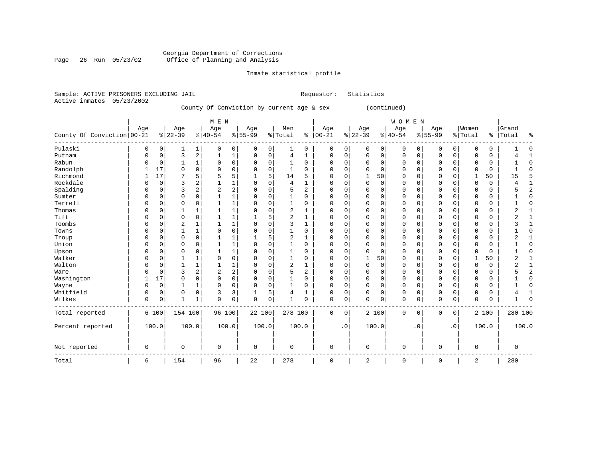#### Georgia Department of Corrections Page 26 Run 05/23/02 Office of Planning and Analysis

# Inmate statistical profile

|  | Sample: ACTIVE PRISONERS EXCLUDING JAIL |  |                                           | Requestor: Statistics |              |  |
|--|-----------------------------------------|--|-------------------------------------------|-----------------------|--------------|--|
|  | Active inmates 05/23/2002               |  |                                           |                       |              |  |
|  |                                         |  | County Of Conviction by current age & sex |                       | (continued)  |  |
|  |                                         |  |                                           |                       |              |  |
|  |                                         |  | M E N                                     |                       | <b>WOMEN</b> |  |

| County Of Conviction   00-21 | Age      |       | Age<br>$8 22-39$ |                         | Age<br>$8 40-54$ |                | Age<br>$8 55-99$ |             | Men<br>%   Total |                | Age<br>$% 100-21$ |             | Age<br>$ 22-39 $ |             | Age<br>$ 40-54$ |           | Age<br>$8155 - 99$ |             | Women<br>% Total |       | Grand<br>%   Total | ႜ              |
|------------------------------|----------|-------|------------------|-------------------------|------------------|----------------|------------------|-------------|------------------|----------------|-------------------|-------------|------------------|-------------|-----------------|-----------|--------------------|-------------|------------------|-------|--------------------|----------------|
| Pulaski                      | 0        | 0     | 1                | 1                       | 0                | 0              | 0                | 0           | 1                | 0              | $\mathbf 0$       | 0           | 0                | $\mathbf 0$ | 0               | 0         | 0                  | $\mathbf 0$ | 0                | 0     |                    | $\mathbf 0$    |
| Putnam                       | $\Omega$ | 0     | 3                | $\overline{\mathbf{c}}$ | 1                | $\mathbf{1}$   | 0                | 0           | $\overline{4}$   | 1              | $\Omega$          | $\mathbf 0$ | 0                | $\mathbf 0$ | $\mathsf 0$     | 0         | $\mathbf 0$        | 0           | $\Omega$         | 0     |                    | $\mathbf{1}$   |
| Rabun                        |          | 0     |                  | $\mathbf{1}$            | 0                | $\mathbf 0$    | 0                | 0           |                  | 0              | $\Omega$          | 0           | $\Omega$         | $\mathbf 0$ | 0               | 0         | $\mathbf 0$        | $\mathbf 0$ | $\Omega$         | 0     |                    | $\mathbf 0$    |
| Randolph                     |          | 17    | $\Omega$         | $\Omega$                | 0                | $\Omega$       | $\Omega$         | $\Omega$    | -1               | 0              | $\Omega$          | $\Omega$    | 0                | $\Omega$    | 0               | $\Omega$  | $\Omega$           | $\Omega$    | 0                | 0     |                    | $\Omega$       |
| Richmond                     |          | 17    |                  | 5                       | 5                | 5              | 1                | 5           | 14               | 5              | ∩                 | 0           | 1                | 50          | $\Omega$        | $\Omega$  | $\Omega$           | $\Omega$    | 1                | 50    | 15                 | 5              |
| Rockdale                     |          | 0     | 3                | $\overline{2}$          |                  | 1              | $\Omega$         | $\Omega$    | $\overline{4}$   | $\mathbf{1}$   | $\Omega$          | 0           | $\Omega$         | 0           | 0               | $\Omega$  | $\mathbf 0$        | 0           | $\Omega$         | 0     |                    | $\mathbf{1}$   |
| Spalding                     |          | 0     | 3                | $\overline{c}$          | $\overline{2}$   | $\overline{2}$ | $\Omega$         | 0           | 5                | $\overline{a}$ | $\Omega$          | 0           | $\Omega$         | $\mathbf 0$ | 0               | $\Omega$  | $\Omega$           | $\Omega$    | $\Omega$         | 0     |                    | $\overline{c}$ |
| Sumter                       |          | 0     | $\Omega$         | 0                       |                  | $\mathbf 1$    | $\Omega$         | 0           | 1                | 0              | $\Omega$          | 0           | 0                | $\Omega$    | 0               | $\Omega$  | $\mathbf 0$        | 0           | $\Omega$         | 0     |                    | $\Omega$       |
| Terrell                      |          | 0     | $\Omega$         | $\Omega$                |                  | $\mathbf{1}$   | $\Omega$         | $\Omega$    | $\mathbf{1}$     | $\Omega$       | ∩                 | $\Omega$    | $\Omega$         | $\Omega$    | $\Omega$        | $\Omega$  | $\Omega$           | $\Omega$    | $\Omega$         | 0     |                    | $\Omega$       |
| Thomas                       |          | 0     |                  | $\mathbf{1}$            |                  | $\mathbf{1}$   | $\Omega$         | 0           | $\overline{c}$   | 1              | $\Omega$          | 0           | $\Omega$         | $\mathbf 0$ | $\mathbf 0$     | 0         | $\mathbf 0$        | $\mathbf 0$ | $\Omega$         | 0     | 2                  | $\mathbf{1}$   |
| Tift                         |          | 0     | $\Omega$         | 0                       |                  | $\mathbf{1}$   |                  | 5           | $\overline{c}$   | 1              |                   | 0           | 0                | $\mathbf 0$ | $\Omega$        | $\Omega$  | $\Omega$           | $\Omega$    | 0                | 0     | z.                 |                |
| Toombs                       |          | 0     | 2                | 1                       |                  | $\mathbf{1}$   | $\Omega$         | $\Omega$    | 3                |                | $\Omega$          | $\Omega$    | 0                | $\Omega$    | 0               | O         | $\Omega$           | $\Omega$    | 0                | 0     |                    |                |
| Towns                        | O        | 0     |                  | $\mathbf{1}$            | O                | $\Omega$       | $\Omega$         | $\Omega$    | -1               | 0              | $\Omega$          | $\Omega$    | $\Omega$         | $\Omega$    | 0               | $\Omega$  | $\mathbf 0$        | $\Omega$    | $\Omega$         | 0     |                    | $\cap$         |
| Troup                        | $\Omega$ | O     | $\Omega$         | $\Omega$                |                  | 1              | 1                | 5           | 2                | 1              | $\Omega$          | $\Omega$    | $\Omega$         | $\Omega$    | $\Omega$        | $\Omega$  | $\mathbf 0$        | $\Omega$    | $\Omega$         | 0     | 2                  |                |
| Union                        | ∩        | 0     | $\Omega$         | 0                       |                  | $\mathbf{1}$   | $\Omega$         | $\Omega$    | -1               | $\Omega$       | $\Omega$          | 0           | $\Omega$         | $\Omega$    | 0               | $\Omega$  | $\Omega$           | $\Omega$    | $\Omega$         | 0     |                    | $\Omega$       |
| Upson                        |          | 0     | $\Omega$         | 0                       |                  | $\mathbf 1$    | 0                | 0           |                  | 0              | $\Omega$          | 0           | 0                | $\Omega$    | 0               | $\Omega$  | 0                  | 0           | 0                | 0     |                    | $\mathbf 0$    |
| Walker                       | C        | 0     |                  | 1                       | 0                | $\mathbf 0$    | 0                | 0           | 1                | 0              | ∩                 | 0           | 1                | 50          | $\mathbf 0$     | 0         | $\mathbf 0$        | $\mathbf 0$ | 1                | 50    | 2                  | 1              |
| Walton                       |          | 0     |                  | 1                       |                  | 1              | $\Omega$         | 0           | $\overline{2}$   | 1              | $\Omega$          | 0           | $\mathbf 0$      | $\mathbf 0$ | 0               | 0         | $\mathbf 0$        | $\Omega$    | $\Omega$         | 0     | 2                  | 1              |
| Ware                         |          | 0     | 3                | $\overline{c}$          | 2                | $\overline{c}$ | $\Omega$         | 0           | 5                | 2              | $\Omega$          | 0           | $\Omega$         | $\mathbf 0$ | 0               | 0         | $\Omega$           | $\Omega$    | $\Omega$         | 0     |                    | $\overline{c}$ |
| Washington                   |          | 17    | 0                | 0                       | 0                | $\mathbf 0$    | $\Omega$         | $\mathbf 0$ |                  | $\mathbf 0$    | $\Omega$          | 0           | 0                | $\mathbf 0$ | $\mathbf 0$     | 0         | $\mathbf 0$        | $\mathbf 0$ | $\Omega$         | 0     |                    | $\mathbf 0$    |
| Wayne                        | $\Omega$ | 0     |                  | 1                       | 0                | $\mathbf 0$    | 0                | 0           |                  | 0              | $\Omega$          | 0           | $\Omega$         | $\mathbf 0$ | 0               | 0         | $\mathbf 0$        | $\mathbf 0$ | $\Omega$         | 0     |                    | $\Omega$       |
| Whitfield                    |          | 0     | $\Omega$         | $\mathbf 0$             | 3                | 3              | 1                | 5           | 4                | 1              | $\Omega$          | 0           | $\Omega$         | $\mathbf 0$ | 0               | 0         | $\mathbf 0$        | $\mathbf 0$ | 0                | 0     |                    | 1              |
| Wilkes                       | $\Omega$ | 0     | 1                | 1                       | 0                | $\mathbf 0$    | $\mathbf 0$      | 0           | $\mathbf{1}$     | 0              | $\Omega$          | $\mathbf 0$ | $\Omega$         | $\mathbf 0$ | $\mathbf 0$     | $\Omega$  | $\mathbf 0$        | 0           | $\Omega$         | 0     |                    | $\Omega$       |
| Total reported               |          | 6 100 | 154 100          |                         | 96 100           |                | 22 100           |             | 278 100          |                | $\mathbf 0$       | 0           |                  | 2 100       | $\mathbf 0$     | 0         | $\mathbf 0$        | $\mathbf 0$ |                  | 2 100 | 280 100            |                |
| Percent reported             |          | 100.0 | 100.0            |                         |                  | 100.0          |                  | 100.0       |                  | 100.0          |                   | $\cdot$ 0   |                  | 100.0       |                 | $\cdot$ 0 |                    | $\cdot$ 0   |                  | 100.0 |                    | 100.0          |
| Not reported                 | 0        |       | 0                |                         | 0                |                | 0                |             | 0                |                | 0                 |             | 0                |             | 0               |           | 0                  |             | 0                |       | 0                  |                |
| Total                        | 6        |       | 154              |                         | 96               |                | 22               |             | 278              |                | $\mathbf 0$       |             | 2                |             | $\mathsf 0$     |           | $\mathbf 0$        |             | 2                |       | 280                |                |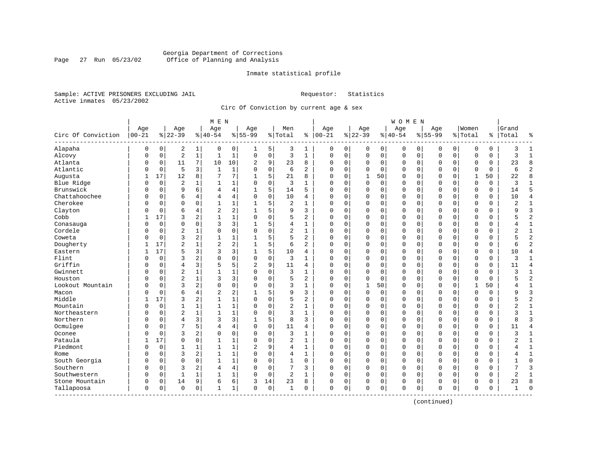#### Georgia Department of Corrections<br>Page 27 Run 05/23/02 Office of Planning and Analysis Page 27 Run 05/23/02 Office of Planning and Analysis

#### Inmate statistical profile

Sample: ACTIVE PRISONERS EXCLUDING JAIL **Requestor:** Statistics Active inmates 05/23/2002

Circ Of Conviction by current age & sex

|                             |            |                |                |                | M E N          |              |                |             |                |                |             |             |              |             | W O M E N   |             |              |             |              |          |                |                |
|-----------------------------|------------|----------------|----------------|----------------|----------------|--------------|----------------|-------------|----------------|----------------|-------------|-------------|--------------|-------------|-------------|-------------|--------------|-------------|--------------|----------|----------------|----------------|
|                             | Age        |                | Age            |                | Age            |              | Age            |             | Men            |                | Age         |             | Age          |             | Age         |             | Age          |             | Women        |          | Grand          |                |
| Circ Of Conviction          | $ 00 - 21$ |                | $8 22-39$      |                | $8 40-54$      |              | $8 55-99$      |             | % Total        | ి              | $ 00-21$    |             | $8 22-39$    |             | $8 40-54$   |             | $8155 - 99$  |             | % Total      |          | %   Total      | ٩,             |
| Alapaha                     | 0          | 0              | 2              | 1              | 0              | 0            |                | 5           | 3              | 1              | 0           | 0           | 0            | 0           | $\mathbf 0$ | 0           | 0            | 0           | 0            | 0        | 3              |                |
| Alcovy                      | $\Omega$   | 0              | $\sqrt{2}$     | $\mathbf{1}$   | $\mathbf 1$    | $\mathbf{1}$ | 0              | $\mathsf 0$ | 3              | $\mathbf{1}$   | $\mathbf 0$ | 0           | $\mathsf 0$  | 0           | $\mathsf 0$ | $\mathbf 0$ | $\mathbf 0$  | 0           | $\mathbf 0$  | 0        | 3              | $\mathbf{1}$   |
| Atlanta                     | $\Omega$   | 0              | 11             | 7              | 10             | 10           | 2              | 9           | 23             | 8              | $\Omega$    | 0           | 0            | 0           | 0           | $\mathbf 0$ | $\mathbf 0$  | 0           | 0            | 0        | 23             | 8              |
| Atlantic                    | 0          | $\overline{0}$ | 5              | 3              | $\mathbf{1}$   | 1            | $\Omega$       | $\mathbf 0$ | 6              | $\overline{a}$ | $\Omega$    | $\Omega$    | $\Omega$     | $\mathbf 0$ | 0           | $\mathbf 0$ | $\Omega$     | $\Omega$    | $\mathbf 0$  | $\Omega$ | 6              | $\overline{2}$ |
| Augusta                     |            | 17             | 12             | 8              | 7              | 7            |                | 5           | 21             | 8              | $\Omega$    | $\Omega$    | $\mathbf{1}$ | 50          | 0           | $\Omega$    | $\Omega$     | $\Omega$    | $\mathbf{1}$ | 50       | 22             | $\mathsf{R}$   |
| Blue Ridge                  | 0          | $\overline{0}$ | $\overline{c}$ |                | -1             | $\mathbf 1$  | $\Omega$       | $\mathbf 0$ | 3              | 1              | $\Omega$    | $\Omega$    | $\mathbf 0$  | $\mathbf 0$ | $\Omega$    | $\mathbf 0$ | $\Omega$     | $\Omega$    | $\mathbf 0$  | 0        | 3              |                |
| Brunswick                   | 0          | $\mathbf 0$    | 9              | 6              | 4              | 4            |                | 5           | 14             | 5              | $\Omega$    | $\mathbf 0$ | 0            | 0           | 0           | 0           | $\Omega$     | $\mathbf 0$ | $\mathbf 0$  | 0        | 14             | 5              |
| Chattahoochee               | 0          | $\mathbf 0$    | 6              | 4              | 4              | 4            | $\Omega$       | $\mathbf 0$ | 10             | 4              | $\Omega$    | $\mathbf 0$ | $\mathbf 0$  | $\mathbf 0$ | $\Omega$    | $\mathbf 0$ | $\Omega$     | $\Omega$    | $\Omega$     | $\Omega$ | 10             | $\overline{4}$ |
| Cherokee                    | N          | $\Omega$       | $\Omega$       | $\Omega$       | $\mathbf{1}$   | $\mathbf{1}$ | 1              | 5           | $\overline{2}$ | $\mathbf{1}$   | $\Omega$    | $\Omega$    | $\Omega$     | $\mathbf 0$ | $\Omega$    | $\mathbf 0$ | $\mathbf{0}$ | $\Omega$    | $\Omega$     | 0        | $\overline{c}$ | $\mathbf{1}$   |
| Clayton                     | N          | $\mathbf 0$    | 6              | 4              | $\overline{2}$ | 2            |                | 5           | 9              | 3              | $\Omega$    | 0           | 0            | $\mathbf 0$ | 0           | 0           | $\Omega$     | $\Omega$    | $\Omega$     | 0        | q              | 3              |
| Cobb                        |            | 17             | 3              | 2              | $\mathbf{1}$   | $\mathbf 1$  | $\Omega$       | $\Omega$    | 5              | 2              | $\Omega$    | $\Omega$    | $\Omega$     | 0           | $\Omega$    | $\mathbf 0$ | $\mathbf 0$  | $\Omega$    | $\mathbf 0$  | 0        |                | $\overline{2}$ |
| Conasauga                   | 0          | $\mathbf 0$    | $\mathbf 0$    | 0              | 3              | 3            |                | 5           | 4              | 1              | 0           | 0           | 0            | 0           | 0           | $\mathbf 0$ | $\Omega$     | 0           | $\mathbf 0$  | 0        |                | 1              |
| Cordele                     | 0          | $\mathbf 0$    | $\overline{2}$ |                | $\Omega$       | 0            | $\Omega$       | $\mathbf 0$ | 2              | 1              | 0           | 0           | 0            | $\mathbf 0$ | 0           | $\mathbf 0$ | 0            | 0           | $\mathbf 0$  | 0        | $\overline{2}$ | $\mathbf{1}$   |
| Coweta                      | 0          | $\mathbf 0$    | 3              | 2              | $\mathbf{1}$   | 1            |                | 5           | 5              | 2              | $\Omega$    | $\Omega$    | 0            | $\mathbf 0$ | $\Omega$    | $\mathbf 0$ | $\mathbf{0}$ | $\Omega$    | $\Omega$     | 0        |                | $\overline{2}$ |
| Dougherty                   |            | 17             | $\overline{2}$ |                | $\overline{c}$ | 2            |                | 5           | 6              | $\overline{a}$ | $\Omega$    | 0           | 0            | $\mathbf 0$ | $\Omega$    | $\mathbf 0$ | $\mathbf 0$  | 0           | $\mathbf 0$  | 0        | б              | $\overline{2}$ |
| Eastern                     |            | 17             | 5              | 3              | 3              | 3            |                | 5           | 10             | 4              | $\Omega$    | 0           | 0            | 0           | 0           | 0           | 0            | 0           | 0            | 0        | 10             | $\overline{4}$ |
| Flint                       | N          | $\Omega$       | 3              | 2              | $\Omega$       | 0            | $\Omega$       | $\mathbf 0$ | 3              | $\mathbf{1}$   | $\Omega$    | 0           | 0            | 0           | 0           | $\mathbf 0$ | $\Omega$     | $\Omega$    | $\mathbf 0$  | 0        | 3              | 1              |
| Griffin                     | 0          | $\Omega$       | $\overline{4}$ | 3              | 5              | 5            | $\overline{a}$ | 9           | 11             | 4              | $\Omega$    | $\Omega$    | $\Omega$     | $\Omega$    | 0           | $\Omega$    | $\Omega$     | $\Omega$    | $\Omega$     | 0        | 11             | $\overline{4}$ |
| Gwinnett                    | N          | $\mathbf 0$    | $\sqrt{2}$     |                |                | 1            |                | $\mathbf 0$ | 3              | 1              | $\Omega$    | 0           | 0            | $\mathbf 0$ | $\Omega$    | $\mathbf 0$ | $\Omega$     | $\Omega$    | $\mathbf 0$  | 0        | 3              | $\mathbf{1}$   |
| Houston                     |            | $\mathbf 0$    | $\overline{c}$ | $\mathbf{1}$   | 3              | 3            |                | $\mathbf 0$ | 5              | 2              | $\Omega$    | 0           | 0            | $\mathbf 0$ | $\Omega$    | $\mathbf 0$ | $\mathbf 0$  | 0           | $\Omega$     | 0        | 5              | $\overline{2}$ |
| Lookout Mountain            | N          | $\mathbf 0$    | 3              | 2              | $\Omega$       | 0            | U              | $\mathbf 0$ | 3              | 1              | $\mathbf 0$ | 0           | $\mathbf{1}$ | 50          | 0           | 0           | $\mathbf 0$  | 0           | 1            | 50       |                | $\mathbf{1}$   |
| Macon                       | N          | $\mathbf 0$    | 6              | 4              | 2              | 2            |                | 5           | 9              | 3              | $\Omega$    | $\Omega$    | 0            | 0           | $\Omega$    | $\mathbf 0$ | $\Omega$     | $\Omega$    | $\mathbf 0$  | 0        | Q              | $\overline{3}$ |
| Middle                      |            | 17             | 3              | 2              | 1              | 1            | $\Omega$       | $\Omega$    | 5              | 2              | $\Omega$    | 0           | $\Omega$     | $\mathbf 0$ | 0           | $\mathbf 0$ | $\mathbf{0}$ | $\Omega$    | $\mathbf 0$  | 0        |                | $\overline{2}$ |
| Mountain                    | 0          | $\mathbf 0$    | 1              | 1              | $\mathbf{1}$   | $\mathbf 1$  | $\Omega$       | $\Omega$    | $\overline{c}$ | $\mathbf{1}$   | $\Omega$    | $\Omega$    | $\Omega$     | $\mathbf 0$ | 0           | $\mathbf 0$ | $\Omega$     | $\Omega$    | $\mathbf 0$  | 0        | 2              | $\mathbf{1}$   |
| Northeastern                | 0          | 0              | $\sqrt{2}$     |                | $\mathbf{1}$   | 1            |                | $\mathbf 0$ | 3              | 1              | 0           | 0           | 0            | $\mathbf 0$ | 0           | 0           | 0            | $\Omega$    | 0            | 0        | 3              | $\mathbf{1}$   |
| Northern                    | N          | $\mathbf 0$    | $\overline{4}$ | 3              | 3              | 3            |                | 5           | 8              | 3              | $\Omega$    | 0           | 0            | 0           | 0           | 0           | $\mathbf 0$  | 0           | $\mathbf 0$  | 0        | 8              | 3              |
| Ocmulgee                    | N          | $\mathbf 0$    | 7              | 5              | 4              | 4            | $\Omega$       | $\mathbf 0$ | 11             | 4              | $\Omega$    | 0           | 0            | 0           | 0           | $\mathbf 0$ | $\mathbf 0$  | 0           | 0            | 0        | 11             | $\overline{4}$ |
| Oconee                      | N          | $\mathbf 0$    | 3              | $\overline{2}$ | $\Omega$       | 0            | $\Omega$       | $\mathbf 0$ | 3              | 1              | $\Omega$    | $\Omega$    | 0            | $\mathbf 0$ | $\Omega$    | $\mathbf 0$ | $\mathbf 0$  | $\Omega$    | $\Omega$     | 0        | ς              | $\mathbf{1}$   |
| Pataula                     |            | 17             | $\Omega$       | $\Omega$       | $\mathbf{1}$   | 1            | $\Omega$       | $\mathbf 0$ | $\overline{2}$ | $\mathbf{1}$   | $\Omega$    | 0           | 0            | 0           | 0           | $\mathbf 0$ | $\Omega$     | $\Omega$    | $\mathbf 0$  | 0        |                | $\mathbf{1}$   |
| Piedmont                    | O          | $\mathbf 0$    | 1              |                | $\mathbf{1}$   | 1            | $\overline{c}$ | 9           | 4              | $\mathbf{1}$   | $\Omega$    | $\Omega$    | 0            | 0           | 0           | $\mathbf 0$ | $\Omega$     | $\Omega$    | $\mathbf 0$  | $\Omega$ |                | $\mathbf{1}$   |
| Rome                        | 0          | $\mathbf 0$    | 3              | 2              | $\mathbf{1}$   | $\mathbf 1$  | $\Omega$       | $\mathbf 0$ | 4              | 1              | 0           | 0           | 0            | 0           | 0           | $\mathbf 0$ | 0            | 0           | $\mathbf 0$  | 0        |                | 1              |
| South Georgia               | 0          | $\mathbf 0$    | $\Omega$       | $\Omega$       | $\mathbf{1}$   | $\mathbf{1}$ |                | $\mathbf 0$ | $\mathbf{1}$   | $\Omega$       | $\Omega$    | 0           | $\mathbf 0$  | $\mathbf 0$ | $\Omega$    | $\mathbf 0$ | $\Omega$     | $\mathbf 0$ | $\Omega$     | $\Omega$ |                | $\Omega$       |
| Southern                    | N          | $\mathbf 0$    | 3              | 2              | 4              | 4            |                | $\mathbf 0$ | 7              | 3              | $\mathbf 0$ | $\Omega$    | 0            | $\mathbf 0$ | $\Omega$    | 0           | $\mathbf 0$  | $\mathbf 0$ | $\Omega$     | 0        | 7              | $\overline{3}$ |
| Southwestern                | 0          | 0              | $\mathbf{1}$   |                |                | $\mathbf 1$  | $\Omega$       | 0           | 2              | 1              | $\Omega$    | 0           | 0            | 0           | 0           | 0           | 0            | 0           | $\mathbf 0$  | 0        | 2              | $\mathbf{1}$   |
| Stone Mountain              | 0          | 0              | 14             | 9              | 6              | 6            | 3              | 14          | 23             | 8              | 0           | 0           | 0            | 0           | 0           | 0           | 0            | 0           | 0            | 0        | 23             | 8              |
| Tallapoosa<br>------------- | 0          | 0              | $\Omega$       | 0              | $\mathbf{1}$   | 1            | $\Omega$       | 0           | 1              | $\Omega$       | $\mathbf 0$ | 0           | 0            | $\mathbf 0$ | $\Omega$    | $\mathbf 0$ | $\mathbf 0$  | 0           | $\mathbf 0$  | 0        | -1             | $\cap$         |

(continued)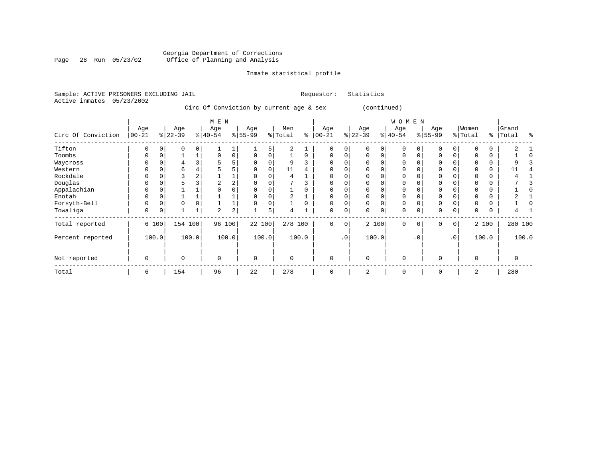#### Georgia Department of Corrections Page 28 Run 05/23/02 Office of Planning and Analysis

# Inmate statistical profile

| Sample: ACTIVE PRISONERS EXCLUDING JAIL |  |  |                                         |  |  | Requestor: Statistics |  |
|-----------------------------------------|--|--|-----------------------------------------|--|--|-----------------------|--|
| Active inmates 05/23/2002               |  |  |                                         |  |  |                       |  |
|                                         |  |  | Circ Of Conviction by current age & sex |  |  | (continued)           |  |
|                                         |  |  | M F.N                                   |  |  |                       |  |

|                    |                  |          |                  |          | M E N            |          |                  |             |                |          |                   |               |                  |             | <b>WOMEN</b>     |           |                  |           |                  |          |                |       |
|--------------------|------------------|----------|------------------|----------|------------------|----------|------------------|-------------|----------------|----------|-------------------|---------------|------------------|-------------|------------------|-----------|------------------|-----------|------------------|----------|----------------|-------|
| Circ Of Conviction | Age<br>$00 - 21$ |          | Age<br>$ 22-39 $ |          | Age<br>$ 40-54 $ |          | Age<br>$ 55-99 $ |             | Men<br>% Total | နွ       | Age<br>$ 00 - 21$ | $\frac{1}{6}$ | Age<br>$22 - 39$ |             | Age<br>$ 40-54 $ |           | Age<br>$8 55-99$ |           | Women<br>% Total | ి        | Grand<br>Total | る     |
| Tifton             | $\Omega$         |          | $\Omega$         | $\Omega$ |                  |          |                  | 5           | 2              |          | $\Omega$          | $\Omega$      | $\Omega$         | $\Omega$    | $\Omega$         |           | $\Omega$         | O         |                  | $\Omega$ |                |       |
| Toombs             | $\Omega$         |          |                  |          | $\Omega$         | 0        | 0                | 0           |                | $\Omega$ | 0                 | 0             | $\Omega$         | $\Omega$    | $\mathbf 0$      |           | $\Omega$         | 0         |                  | $\Omega$ |                |       |
| Waycross           | 0                |          | 4                |          |                  | 5        | 0                | 0           | 9              |          | 0                 |               |                  | 0           | $\mathbf 0$      |           | $\mathbf 0$      | 0         |                  | 0        |                |       |
| Western            |                  |          | 6                |          |                  | 5        | U                | $\Omega$    | 11             |          | $\Omega$          |               |                  |             | $\Omega$         |           | $\mathbf 0$      |           |                  | $\Omega$ | 11             |       |
| Rockdale           | O                |          | 3                | 2        |                  |          | O                | O           | 4              |          | $\Omega$          | $\Omega$      |                  |             | $\Omega$         |           | $\Omega$         | U         |                  | $\Omega$ |                |       |
| Douglas            |                  |          |                  |          | 2                | 2        |                  |             |                |          |                   |               |                  |             | $\Omega$         |           | $\Omega$         |           |                  | U        |                |       |
| Appalachian        |                  |          |                  |          |                  | $\Omega$ |                  |             |                |          | O                 |               |                  |             | $\Omega$         |           | $\Omega$         |           |                  |          |                |       |
| Enotah             | $\Omega$         | 0        |                  |          |                  |          | 0                | 0           | 2              |          | 0                 | $\Omega$      | $\Omega$         | $\Omega$    | $\mathbf 0$      |           | $\mathbf 0$      | 0         |                  | 0        |                |       |
| Forsyth-Bell       | 0                | $\Omega$ | $\mathbf 0$      | O        |                  |          | 0                | $\mathbf 0$ |                |          | 0                 | $\Omega$      |                  | $\Omega$    | $\mathbf 0$      |           | $\mathbf 0$      | O         | $\Omega$         | $\Omega$ |                |       |
| Towaliga           | 0                | 0        | $\mathbf{1}$     | 1        | $\overline{a}$   | 2        |                  | 5           | 4              |          | $\mathbf 0$       | 0             | 0                | $\mathbf 0$ | $\mathbf 0$      |           | $\mathbf 0$      | 0         | $\Omega$         | 0        |                |       |
| Total reported     |                  | 6 100    | 154 100          |          | 96               | 100      | 22 100           |             | 278            | 100      | $\Omega$          | 0             |                  | 2 100       | $\Omega$         | $\Omega$  | $\mathbf 0$      | 0         |                  | 2 100    | 280 100        |       |
| Percent reported   |                  | 100.0    |                  | 100.0    |                  | 100.0    |                  | 100.0       |                | 100.0    |                   | $\cdot$ 0     |                  | 100.0       |                  | $\cdot$ 0 |                  | $\cdot$ 0 |                  | 100.0    |                | 100.0 |
| Not reported       | 0                |          | $\mathbf 0$      |          | $\Omega$         |          | 0                |             | $\Omega$       |          | $\Omega$          |               | $\Omega$         |             | $\mathbf 0$      |           | $\mathbf 0$      |           | $\Omega$         |          | $\Omega$       |       |
| Total              | 6                |          | 154              |          | 96               |          | 22               |             | 278            |          | $\Omega$          |               | 2                |             | $\mathbf 0$      |           | $\mathbf 0$      |           | 2                |          | 280            |       |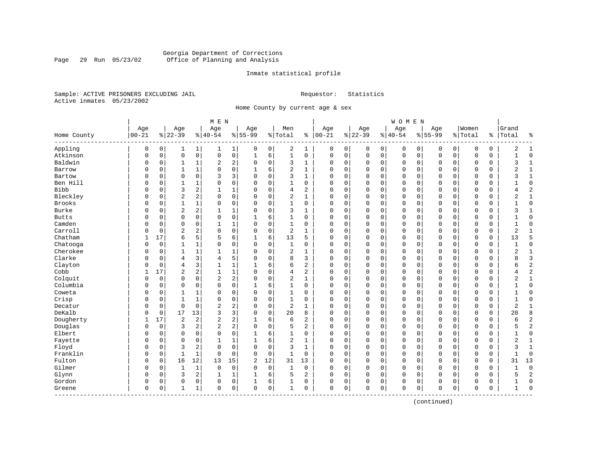#### Georgia Department of Corrections<br>Page 29 Run 05/23/02 Office of Planning and Analysis Page 29 Run 05/23/02 Office of Planning and Analysis

#### Inmate statistical profile

Sample: ACTIVE PRISONERS EXCLUDING JAIL **Requestor:** Statistics Active inmates 05/23/2002

Home County by current age & sex

| Age<br>Age<br>Age<br>Age<br>Age<br>Men<br>Age<br>Age<br>$00 - 21$<br>$8 40-54$<br>$8   00 - 21$<br>$ 22-39$<br>$8 22-39$<br>$8155 - 99$<br>% Total<br>$8 40-54$<br>Home County<br>Appling<br>$\overline{0}$<br>2<br>0<br>0<br>0<br>$\mathbf{1}$<br>1 <br>0<br>1<br>0<br>0<br>0<br>1<br>0<br>1<br>Atkinson<br>$\mathbf{0}$<br>$\mathsf{O}$<br>0<br>0<br>6<br>$\mathbf{1}$<br>$\mathbf 0$<br>0<br>$\mathsf 0$<br>0<br>$\Omega$<br>0<br>$\mathbf{1}$<br>0<br>$\mathbf 0$<br>Baldwin<br>2<br>2<br>0<br>3<br>0<br>$\mathbf 0$<br>0<br>0<br>1<br>$\Omega$<br>1<br>$\Omega$<br>$\mathbf 0$<br>0<br>1 | Age<br>$8155 - 99$<br>0<br>0<br>$\mathbf 0$<br>$\mathbf 0$<br>0<br>$\mathbf 0$<br>$\Omega$<br>0<br>$\mathbf 0$<br>$\Omega$<br>$\mathbf 0$<br>0<br>$\mathbf 0$<br>$\Omega$<br>$\mathbf 0$<br>$\Omega$ | Women<br>% Total<br>0<br>$\mathsf{O}\xspace$<br>$\mathbf 0$<br>0<br>$\Omega$<br>0<br>$\mathbf 0$ | $\mathbf 0$<br>0<br>$\mathbf 0$<br>0<br>$\mathbf 0$<br>0<br>0<br>0<br>$\mathbf 0$<br>0<br>$\mathbf 0$<br>0<br>$\mathbf 0$<br>0 | Grand<br>Total<br>%  <br>နွ<br>2<br>1<br>$\Omega$<br>$\mathbf{1}$<br>$\mathbf{1}$<br>ζ<br>$\overline{2}$<br>1<br>ζ<br>1<br>$\mathbf 0$ |
|-----------------------------------------------------------------------------------------------------------------------------------------------------------------------------------------------------------------------------------------------------------------------------------------------------------------------------------------------------------------------------------------------------------------------------------------------------------------------------------------------------------------------------------------------------------------------------------------------|------------------------------------------------------------------------------------------------------------------------------------------------------------------------------------------------------|--------------------------------------------------------------------------------------------------|--------------------------------------------------------------------------------------------------------------------------------|----------------------------------------------------------------------------------------------------------------------------------------|
|                                                                                                                                                                                                                                                                                                                                                                                                                                                                                                                                                                                               |                                                                                                                                                                                                      |                                                                                                  |                                                                                                                                |                                                                                                                                        |
|                                                                                                                                                                                                                                                                                                                                                                                                                                                                                                                                                                                               |                                                                                                                                                                                                      |                                                                                                  |                                                                                                                                |                                                                                                                                        |
|                                                                                                                                                                                                                                                                                                                                                                                                                                                                                                                                                                                               |                                                                                                                                                                                                      |                                                                                                  |                                                                                                                                |                                                                                                                                        |
|                                                                                                                                                                                                                                                                                                                                                                                                                                                                                                                                                                                               |                                                                                                                                                                                                      |                                                                                                  |                                                                                                                                |                                                                                                                                        |
|                                                                                                                                                                                                                                                                                                                                                                                                                                                                                                                                                                                               |                                                                                                                                                                                                      |                                                                                                  |                                                                                                                                |                                                                                                                                        |
| 0<br>$\overline{c}$<br>$\mathbf 1$<br>0<br>6<br>0<br>Barrow<br>O<br>0<br>1<br>$\Omega$<br>0<br>$\mathbf 0$<br>$\Omega$<br>1                                                                                                                                                                                                                                                                                                                                                                                                                                                                   |                                                                                                                                                                                                      |                                                                                                  |                                                                                                                                |                                                                                                                                        |
| 3<br>3<br>Bartow<br>0<br>$\mathbf 0$<br>$\Omega$<br>3<br>$\Omega$<br>$\Omega$<br>1<br>$\Omega$<br>0<br>$\mathbf 0$<br>0<br>$\Omega$<br>O                                                                                                                                                                                                                                                                                                                                                                                                                                                      |                                                                                                                                                                                                      |                                                                                                  |                                                                                                                                |                                                                                                                                        |
| Ben Hill<br>0<br>1<br>0<br>0<br>1<br>0<br>0<br>0<br>$\mathbf 0$<br>0<br>0<br>0<br>0<br>1<br>$\Omega$                                                                                                                                                                                                                                                                                                                                                                                                                                                                                          |                                                                                                                                                                                                      |                                                                                                  |                                                                                                                                |                                                                                                                                        |
| <b>Bibb</b><br>3<br>2<br>$\mathbf 0$<br>2<br>0<br>$\Omega$<br>0<br>$\mathbf{1}$<br>1<br>4<br>$\Omega$<br>0<br>$\mathbf{0}$<br>$\Omega$<br>$\Omega$                                                                                                                                                                                                                                                                                                                                                                                                                                            |                                                                                                                                                                                                      |                                                                                                  |                                                                                                                                | $\overline{2}$<br>4                                                                                                                    |
| $\overline{2}$<br>Bleckley<br>$\overline{a}$<br>$\overline{c}$<br>$\mathbf{1}$<br>0<br>0<br>$\mathbf 0$<br>$\Omega$<br>0<br>$\mathbf{0}$<br>$\mathbf 0$<br>$\Omega$<br>O<br>0<br>$\Omega$                                                                                                                                                                                                                                                                                                                                                                                                     |                                                                                                                                                                                                      | 0                                                                                                | $\Omega$<br>0                                                                                                                  | $1\,$<br>$\overline{2}$                                                                                                                |
| <b>Brooks</b><br>0<br>$\mathbf 0$<br>$\mathbf{1}$<br>$\mathbf{0}$<br>0<br>$\mathbf 0$<br>$\Omega$<br>O<br>0<br>$\mathbf{1}$<br>1<br>0<br>$\Omega$<br>0<br>$\mathbf 0$                                                                                                                                                                                                                                                                                                                                                                                                                         | $\mathbf{0}$<br>$\mathbf 0$                                                                                                                                                                          | $\mathbf 0$                                                                                      | $\mathbf 0$<br>0                                                                                                               | $\mathbf{0}$                                                                                                                           |
| $\overline{2}$<br>$\overline{a}$<br>Burke<br>1<br>$\mathbf 0$<br>3<br>0<br>0<br>O<br>0<br>1<br>$\Omega$<br>$\Omega$<br>0<br>$\mathbf 0$<br>1                                                                                                                                                                                                                                                                                                                                                                                                                                                  | 0<br>0                                                                                                                                                                                               | 0                                                                                                | $\mathbf 0$<br>$\Omega$                                                                                                        | 3<br>1                                                                                                                                 |
| $\mathbf 0$<br>0<br>0<br>$\mathbf{1}$<br>$\mathbf 0$<br><b>Butts</b><br>0<br>0<br>6<br>0<br>0<br>0<br>$\mathbf 0$<br>$\Omega$<br>U<br>1                                                                                                                                                                                                                                                                                                                                                                                                                                                       | $\mathbf 0$<br>$\Omega$                                                                                                                                                                              | $\Omega$                                                                                         | $\mathbf 0$<br>0                                                                                                               | $\mathbf 0$                                                                                                                            |
| Camden<br>$\mathbf 0$<br>0<br>1<br>1<br>$\Omega$<br>0<br>1<br>0<br>0<br>$\mathbf 0$<br>0<br>0<br>0<br>0<br>0                                                                                                                                                                                                                                                                                                                                                                                                                                                                                  | $\mathbf 0$<br>0                                                                                                                                                                                     | $\Omega$                                                                                         | $\mathbf 0$<br>0                                                                                                               | $\Omega$<br>$\mathbf{1}$                                                                                                               |
| Carroll<br>$\overline{2}$<br>2<br>$\mathbf 0$<br>0<br>0<br>2<br>0<br>0<br>0<br>0<br>1<br>0<br>0<br>0<br>0                                                                                                                                                                                                                                                                                                                                                                                                                                                                                     | $\mathbf 0$<br>0                                                                                                                                                                                     | 0                                                                                                | $\mathbf 0$<br>0                                                                                                               | $\overline{2}$<br>1                                                                                                                    |
| Chatham<br>5<br>5<br>6<br>5<br>$\mathbf{1}$<br>17<br>6<br>6<br>13<br>$\Omega$<br>0<br>$\mathbf{0}$<br>$\mathbf 0$<br>$\Omega$<br>1                                                                                                                                                                                                                                                                                                                                                                                                                                                            | $\mathbf 0$<br>$\mathbf{0}$                                                                                                                                                                          | $\Omega$                                                                                         | $\Omega$<br>$\mathbf 0$                                                                                                        | 5<br>13                                                                                                                                |
| Chatooga<br>$\Omega$<br>0<br>0<br>$\Omega$<br>$\mathbf 0$<br>$\mathbf{1}$<br>$\mathbf{0}$<br>0<br>$\mathbf{0}$<br>$\mathbf 0$<br>$\Omega$<br>$\mathbf{1}$<br>1<br>$\Omega$<br>$\Omega$                                                                                                                                                                                                                                                                                                                                                                                                        | $\mathbf 0$<br>$\mathbf{0}$                                                                                                                                                                          | $\Omega$                                                                                         | $\mathbf 0$<br>0                                                                                                               | $\mathbf{0}$                                                                                                                           |
| Cherokee<br>1<br>2<br>0<br>0<br>1<br>1<br>$\Omega$<br>0<br>$\Omega$<br>0<br>$\mathbf 0$<br>0<br>U<br>1<br>1                                                                                                                                                                                                                                                                                                                                                                                                                                                                                   | 0<br>0                                                                                                                                                                                               | 0                                                                                                | 0<br>0                                                                                                                         | $\overline{2}$<br>1                                                                                                                    |
| Clarke<br>5<br>3<br>8<br>0<br>4<br>4<br>$\Omega$<br>$\Omega$<br>3<br>$\Omega$<br>0<br>$\mathbf 0$<br>0<br>$\Omega$<br>U                                                                                                                                                                                                                                                                                                                                                                                                                                                                       | $\mathbf 0$<br>$\Omega$                                                                                                                                                                              | $\Omega$                                                                                         | $\mathbf 0$<br>0                                                                                                               | 3<br>8                                                                                                                                 |
| 3<br>$\mathbf{1}$<br>6<br>6<br>2<br>Clayton<br>0<br>4<br>$\mathbf{1}$<br>0<br>0<br>$\mathbf 0$<br>0<br>0<br>0<br>1                                                                                                                                                                                                                                                                                                                                                                                                                                                                            | $\mathbf 0$<br>$\Omega$                                                                                                                                                                              | $\Omega$                                                                                         | $\mathbf 0$<br>0                                                                                                               | $\overline{2}$<br>6                                                                                                                    |
| Cobb<br>17<br>$\overline{2}$<br>2<br>$\mathbf{1}$<br>$\mathbf 1$<br>$\mathbf 0$<br>$\overline{a}$<br>0<br>0<br>$\Omega$<br>4<br>0<br>0<br>0<br>1                                                                                                                                                                                                                                                                                                                                                                                                                                              | 0<br>$\mathbf 0$                                                                                                                                                                                     | 0                                                                                                | $\mathbf 0$<br>0                                                                                                               | $\overline{2}$<br>4                                                                                                                    |
| $\overline{c}$<br>$\overline{a}$<br>Colquit<br>$\overline{2}$<br>0<br>0<br>$\Omega$<br>$\Omega$<br>$\Omega$<br>$\Omega$<br>$\mathbf{1}$<br>$\Omega$<br>0<br>$\mathbf{0}$<br>$\mathbf 0$<br>$\Omega$                                                                                                                                                                                                                                                                                                                                                                                           | $\mathbf 0$<br>$\mathbf{0}$                                                                                                                                                                          | $\Omega$                                                                                         | $\Omega$<br>$\Omega$                                                                                                           | $\mathbf 1$<br>2                                                                                                                       |
| Columbia<br>$\mathbf 0$<br>$\mathbf 0$<br>0<br>0<br>6<br>$\mathbf{0}$<br>0<br>$\mathbf{0}$<br>$\mathbf 0$<br>$\Omega$<br>0<br>0<br>1<br>$\Omega$<br>1                                                                                                                                                                                                                                                                                                                                                                                                                                         | $\mathbf 0$<br>$\Omega$                                                                                                                                                                              | $\Omega$                                                                                         | $\Omega$<br>0                                                                                                                  | $\Omega$                                                                                                                               |
| Coweta<br>0<br>$\mathbf 0$<br>0<br>0<br>0<br>O<br>0<br>1<br>$\Omega$<br>$\Omega$<br>$\Omega$<br>$\Omega$<br>$\mathbf 0$<br>1<br>1                                                                                                                                                                                                                                                                                                                                                                                                                                                             | $\Omega$<br>0                                                                                                                                                                                        | 0                                                                                                | $\mathbf 0$<br>0                                                                                                               | $\Omega$                                                                                                                               |
| Crisp<br>$\mathbf 1$<br>$\mathbf 0$<br>0<br>1<br>1<br>0<br>0<br>$\Omega$<br>$\Omega$<br>$\Omega$<br>$\Omega$<br>0<br>$\mathbf 0$<br>$\Omega$<br>U                                                                                                                                                                                                                                                                                                                                                                                                                                             | $\Omega$<br>$\mathbf 0$                                                                                                                                                                              | $\Omega$                                                                                         | $\mathbf 0$<br>0                                                                                                               | $\mathbf{1}$<br>$\Omega$                                                                                                               |
| 2<br>$\mathbf 0$<br>$\mathbf 0$<br>2<br>$\mathbf 0$<br>2<br>0<br>$\mathbf 0$<br>Decatur<br>0<br>$\Omega$<br>1<br>0<br>$\mathbf 0$<br>0<br>0                                                                                                                                                                                                                                                                                                                                                                                                                                                   | $\mathbf 0$<br>$\Omega$                                                                                                                                                                              | $\Omega$                                                                                         | $\mathbf 0$<br>0                                                                                                               | $\overline{2}$<br>$\mathbf{1}$                                                                                                         |
| DeKalb<br>3<br>0<br>17<br>13<br>3<br>$\mathbf 0$<br>20<br>8<br>0<br>0<br>0<br>$\Omega$<br>0<br>0<br>0                                                                                                                                                                                                                                                                                                                                                                                                                                                                                         | 0<br>$\mathbf 0$                                                                                                                                                                                     | 0                                                                                                | $\mathbf 0$<br>0                                                                                                               | 20<br>8                                                                                                                                |
| 2<br>$\overline{a}$<br>Dougherty<br>17<br>$\overline{2}$<br>2<br>6<br>$\overline{a}$<br>$\Omega$<br>1<br>6<br>0<br>$\mathbf 0$<br>0<br>$\Omega$<br>1                                                                                                                                                                                                                                                                                                                                                                                                                                          | $\mathbf 0$<br>$\mathbf 0$                                                                                                                                                                           | 0                                                                                                | $\mathbf 0$<br>0                                                                                                               | $\overline{2}$<br>6                                                                                                                    |
| Douglas<br>2<br>3<br>2<br>2<br>$\Omega$<br>0<br>$\mathbf 0$<br>$\mathbf 0$<br>5<br>2<br>$\mathbf 0$<br>0<br>$\Omega$<br>$\mathbf 0$<br>$\Omega$                                                                                                                                                                                                                                                                                                                                                                                                                                               | $\mathbf 0$<br>$\Omega$                                                                                                                                                                              | $\Omega$                                                                                         | $\Omega$<br>0                                                                                                                  | $\overline{2}$<br>5                                                                                                                    |
| 0<br>Elbert<br>$\mathbf 0$<br>$\mathbf 0$<br>6<br>0<br>0<br>0<br>$\Omega$<br>1<br>$\Omega$<br>$\Omega$<br>$\mathbf 0$<br>0<br>U                                                                                                                                                                                                                                                                                                                                                                                                                                                               | $\Omega$<br>$\mathbf 0$                                                                                                                                                                              | 0                                                                                                | $\Omega$<br>0                                                                                                                  | $\mathbf 0$                                                                                                                            |
| $\overline{c}$<br>Fayette<br>$\Omega$<br>$\mathbf{1}$<br>1<br>0<br>0<br>$\Omega$<br>1<br>6<br>1<br>$\Omega$<br>0<br>$\Omega$<br>$\Omega$<br>U                                                                                                                                                                                                                                                                                                                                                                                                                                                 | $\Omega$<br>$\mathbf 0$                                                                                                                                                                              | $\Omega$                                                                                         | $\mathbf 0$<br>0                                                                                                               | 2<br>1                                                                                                                                 |
| 2<br>Floyd<br>3<br>0<br>0<br>$\mathbf 0$<br>3<br>0<br>$\mathbf 0$<br>0<br>$\mathbf 0$<br>1<br>$\Omega$<br>$\mathbf 0$<br>$\Omega$<br>U                                                                                                                                                                                                                                                                                                                                                                                                                                                        | $\Omega$<br>$\mathbf 0$                                                                                                                                                                              | $\Omega$                                                                                         | $\mathbf 0$<br>0                                                                                                               | 3<br>$\mathbf{1}$                                                                                                                      |
| Franklin<br>0<br>$\mathbf{1}$<br>$\mathbf{1}$<br>0<br>0<br>$\mathbf 0$<br>$\mathbf{1}$<br>0<br>0<br>0<br>$\Omega$<br>0<br>$\Omega$<br>0<br>0                                                                                                                                                                                                                                                                                                                                                                                                                                                  | $\mathbf 0$<br>0                                                                                                                                                                                     | 0                                                                                                | $\mathbf 0$<br>0                                                                                                               | $\Omega$                                                                                                                               |
| 12<br>Fulton<br>16<br>13<br>15<br>2<br>12<br>13<br>$\Omega$<br>$\Omega$<br>0<br>0<br>31<br>0<br>$\mathbf 0$<br>0                                                                                                                                                                                                                                                                                                                                                                                                                                                                              | $\mathbf 0$<br>$\mathbf 0$                                                                                                                                                                           | $\mathbf 0$                                                                                      | $\mathbf 0$<br>0                                                                                                               | 13<br>31                                                                                                                               |
| Gilmer<br>$\mathbf{1}$<br>$\mathbf 0$<br>0<br>$\mathbf 0$<br>$\mathbf{1}$<br>0<br>$\mathbf 0$<br>0<br>$\mathbf 0$<br>$\Omega$<br>O<br>0<br>$\mathbf{1}$<br>$\mathbf 0$<br>$\mathbf 0$                                                                                                                                                                                                                                                                                                                                                                                                         | $\mathbf 0$<br>$\mathbf 0$                                                                                                                                                                           | $\Omega$                                                                                         | $\mathbf 0$<br>0                                                                                                               | $\mathbf 0$                                                                                                                            |
| 2<br>Glynn<br>0<br>3<br>1<br>6<br>2<br>$\mathbf 0$<br>0<br>$\mathbf 0$<br>$\Omega$<br>O<br>$\mathbf{1}$<br>5<br>$\mathbf 0$                                                                                                                                                                                                                                                                                                                                                                                                                                                                   | $\Omega$<br>0                                                                                                                                                                                        | 0                                                                                                | $\mathbf 0$<br>0                                                                                                               | $\overline{2}$                                                                                                                         |
| Gordon<br>0<br>$\Omega$<br>0<br>0<br>0<br>6<br>1<br>0<br>0<br>0<br>$\Omega$<br>0<br>$\Omega$<br>0<br>1                                                                                                                                                                                                                                                                                                                                                                                                                                                                                        | 0<br>$\Omega$                                                                                                                                                                                        | 0                                                                                                | $\mathbf 0$<br>0                                                                                                               | $\Omega$<br>1                                                                                                                          |
| 0<br>0<br>0<br>$\mathbf 0$<br>0<br>$\mathbf 0$<br>0<br>$\mathbf 0$<br>$\Omega$<br>0<br>1<br>1<br>0<br>$\mathbf 0$<br>Greene<br>1                                                                                                                                                                                                                                                                                                                                                                                                                                                              | $\mathbf 0$<br>$\Omega$                                                                                                                                                                              | $\mathbf 0$                                                                                      | $\mathbf 0$<br>0                                                                                                               | $\Omega$<br>1                                                                                                                          |

(continued)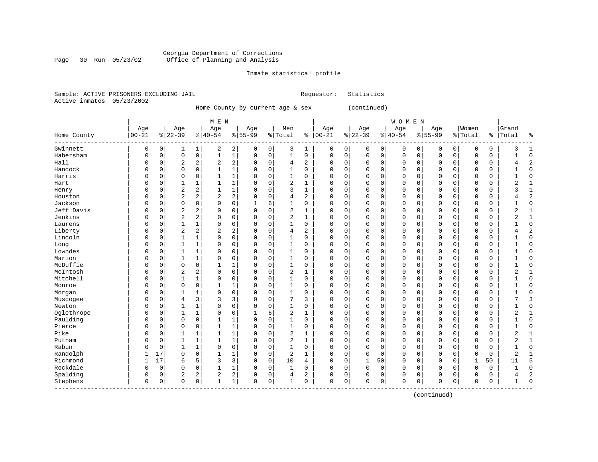#### Georgia Department of Corrections Page 30 Run 05/23/02 Office of Planning and Analysis

#### Inmate statistical profile

|  | Sample: ACTIVE PRISONERS EXCLUDING JAIL | Requestor: Statistics |
|--|-----------------------------------------|-----------------------|
|  | Active inmates 05/23/2002               |                       |

------------------------------------------------------------------------------------------------------------------------------------

Home County by current age & sex (continued)

| M E N | W O M E N | Age | Age | Age | Age | Men | Age | Age | Age | Age |Women |Grand Home County |00-21 %|22-39 %|40-54 %|55-99 %|Total % |00-21 %|22-39 %|40-54 %|55-99 %|Total % |Total % ------------------------------------------------------------------------------------------------------------------------------------Gwinnett | 0 0| 1 1| 2 2| 0 0| 3 1 | 0 0| 0 0| 0 0| 0 0| 0 0 | 3 1 Habersham | 0 0| 0 0| 1 1| 0 0| 1 0 | 0 0| 0 0| 0 0| 0 0| 0 0 | 1 0 Hall | 0 0| 2 2| 2 2| 0 0| 4 2 | 0 0| 0 0| 0 0| 0 0| 0 0 | 4 2 Hancock | 0 0| 0 0| 1 1| 0 0| 1 0 | 0 0| 0 0| 0 0| 0 0| 0 0 | 1 0 Harris | 0 0| 0 0| 1 1| 0 0| 1 0 | 0 0| 0 0| 0 0| 0 0| 0 0 | 1 0 Hart | 0 0| 1 1| 1 1| 0 0| 2 1 | 0 0| 0 0| 0 0| 0 0| 0 0 | 2 1 Henry | 0 0| 2 2| 1 1| 0 0| 3 1 | 0 0| 0 0| 0 0| 0 0| 0 0 | 3 1 Houston | 0 0| 2 2| 2 2| 0 0| 4 2 | 0 0| 0 0| 0 0| 0 0| 0 0 | 4 2 Jackson | 0 0| 0 0| 0 0| 1 6| 1 0 | 0 0| 0 0| 0 0| 0 0| 0 0 | 1 0 Jeff Davis | 0 0| 2 2| 0 0| 0 0| 2 1 | 0 0| 0 0| 0 0| 0 0| 0 0 | 2 1 Jenkins | 0 0| 2 2| 0 0| 0 0| 2 1 | 0 0| 0 0| 0 0| 0 0| 0 0 | 2 1 Laurens | 0 0| 1 1| 0 0| 0 0| 1 0 | 0 0| 0 0| 0 0| 0 0| 0 0 | 1 0 Liberty | 0 0| 2 2| 2 2| 0 0| 4 2 | 0 0| 0 0| 0 0| 0 0| 0 0 | 4 2 Lincoln | 0 0| 1 1| 0 0| 0 0| 1 0 | 0 0| 0 0| 0 0| 0 0| 0 0 | 1 0 Long | 0 0| 1 1| 0 0| 0 0| 1 0 | 0 0| 0 0| 0 0| 0 0| 0 0 | 1 0 Lowndes | 0 0| 1 1| 0 0| 0 0| 1 0 | 0 0| 0 0| 0 0| 0 0| 0 0 | 1 0 Marion | 0 0| 1 1| 0 0| 0 0| 1 0 | 0 0| 0 0| 0 0| 0 0| 0 0 | 1 0 McDuffie | 0 0| 0 0| 1 1| 0 0| 1 0 | 0 0| 0 0| 0 0| 0 0| 0 0 | 1 0 McIntosh | 0 0| 2 2| 0 0| 0 0| 2 1 | 0 0| 0 0| 0 0| 0 0| 0 0 | 2 1 Mitchell | 0 0| 1 1| 0 0| 0 0| 1 0 | 0 0| 0 0| 0 0| 0 0| 0 0 | 1 0 Monroe | 0 0| 0 0| 1 1| 0 0| 1 0 | 0 0| 0 0| 0 0| 0 0| 0 0 | 1 0 Morgan | 0 0| 1 1| 0 0| 0 0| 1 0 | 0 0| 0 0| 0 0| 0 0| 0 0 | 1 0 Muscogee | 0 0| 4 3| 3 3| 0 0| 7 3 | 0 0| 0 0| 0 0| 0 0| 0 0 | 7 3 Newton | 0 0| 1 1| 0 0| 0 0| 1 0 | 0 0| 0 0| 0 0| 0 0| 0 0 | 1 0 Oglethrope | 0 0| 1 1| 0 0| 1 6| 2 1 | 0 0| 0 0| 0 0| 0 0| 0 0 | 2 1 Paulding | 0 0| 0 0| 1 1| 0 0| 1 0 | 0 0| 0 0| 0 0| 0 0| 0 0 | 1 0 Pierce | 0 0| 0 0| 1 1| 0 0| 1 0 | 0 0| 0 0| 0 0| 0 0| 0 0 | 1 0 Pike | 0 0| 1 1| 1 1| 0 0| 2 1 | 0 0| 0 0| 0 0| 0 0| 0 0 | 2 1 Putnam | 0 0| 1 1| 1 1| 0 0| 2 1 | 0 0| 0 0| 0 0| 0 0| 0 0 | 2 1 Rabun | 0 0| 1 1| 0 0| 0 0| 1 0 | 0 0| 0 0| 0 0| 0 0| 0 0 | 1 0 Randolph | 1 17| 0 0| 1 1| 0 0| 2 1 | 0 0| 0 0| 0 0| 0 0| 0 0 | 2 1 Richmond | 1 17| 6 5| 3 3| 0 0| 10 4 | 0 0| 1 50| 0 0| 0 0| 1 50 | 11 5 Rockdale | 0 0| 0 0| 1 1| 0 0| 1 0 | 0 0| 0 0| 0 0| 0 0| 0 0 | 1 0

Spalding | 0 0| 2 2| 2 2| 0 0| 4 2 | 0 0| 0 0| 0 0| 0 0| 0 0 | 4 2 Stephens | 0 0| 0 0| 1 1| 0 0| 1 0 | 0 0| 0 0| 0 0| 0 0| 0 0 | 1 0

(continued)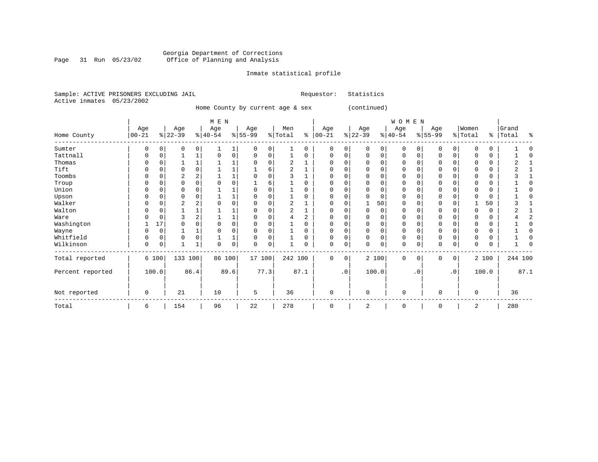#### Georgia Department of Corrections Page 31 Run 05/23/02 Office of Planning and Analysis

# Inmate statistical profile

|  |                           | Sample: ACTIVE PRISONERS EXCLUDING JAIL | Requestor: Statistics |  |
|--|---------------------------|-----------------------------------------|-----------------------|--|
|  | Active inmates 05/23/2002 |                                         |                       |  |

Home County by current age & sex (continued)

|                  |                   |             |                  |              | M E N            |      |                  |          |                |      |                   |             |                 |          | WOMEN           |           |                  |           |                    |          |                |      |
|------------------|-------------------|-------------|------------------|--------------|------------------|------|------------------|----------|----------------|------|-------------------|-------------|-----------------|----------|-----------------|-----------|------------------|-----------|--------------------|----------|----------------|------|
| Home County      | Age<br>$ 00 - 21$ |             | Age<br>$ 22-39 $ |              | Age<br>$8 40-54$ |      | Age<br>$8 55-99$ |          | Men<br>% Total | နွ   | Age<br>$ 00 - 21$ |             | Age<br>$ 22-39$ |          | Age<br>$ 40-54$ |           | Age<br>$ 55-99 $ |           | Women<br>%   Total | ⊱        | Grand<br>Total | ٩,   |
| Sumter           |                   |             | O                | 0            |                  |      |                  | 0        |                | U    | 0                 | 0           |                 | 0        | $\Omega$        |           | 0                | 0         |                    | O        |                |      |
| Tattnall         | 0                 | 0           |                  | 1            | 0                | 0    | $\Omega$         | 0        |                | U    | $\Omega$          | 0           |                 | 0        | 0               | 0         | $\Omega$         | 0         |                    | 0        |                |      |
| Thomas           |                   |             |                  |              |                  |      |                  |          |                |      | O                 |             |                 | 0        | 0               |           | 0                |           |                    | 0        |                |      |
| Tift             |                   |             |                  | O            |                  |      |                  | 6        |                |      | C                 |             |                 | $\Omega$ | $\Omega$        |           | $\Omega$         | O         |                    | $\Omega$ |                |      |
| Toombs           |                   |             |                  |              |                  |      |                  |          |                |      |                   |             |                 | $\Omega$ | 0               |           | 0                |           |                    | 0        |                |      |
| Troup            |                   |             | U                |              |                  | 0    |                  | 6        |                |      |                   |             |                 | 0        | 0               |           | $\Omega$         |           |                    | 0        |                |      |
| Union            |                   |             | O                |              |                  |      |                  | $\Omega$ |                |      | O                 | U           |                 | $\Omega$ | $\Omega$        |           | $\Omega$         | 0         |                    | $\Omega$ |                |      |
| Upson            |                   |             |                  |              |                  |      |                  | $\Omega$ |                |      |                   | U           |                 | $\Omega$ | 0               |           | $\Omega$         | U         |                    | 0        |                |      |
| Walker           |                   |             | 2                |              |                  | 0    |                  | $\Omega$ | 2              |      | $\Omega$          | 0           |                 | 50       | $\Omega$        |           | $\Omega$         | 0         |                    | 50       |                |      |
| Walton           |                   |             |                  |              |                  |      |                  | $\Omega$ | $\overline{2}$ |      | O                 | U           |                 | 0        | O               |           | 0                | U         |                    | 0        |                |      |
| Ware             |                   |             |                  |              |                  |      |                  | $\Omega$ |                |      |                   |             |                 | $\Omega$ | 0               |           | $\Omega$         |           |                    | $\Omega$ |                |      |
| Washington       |                   | 17          |                  |              |                  | 0    |                  | $\Omega$ |                |      | $\Omega$          |             |                 | 0        | 0               |           | $\Omega$         |           |                    | 0        |                |      |
| Wayne            |                   | $\mathbf 0$ |                  |              |                  | 0    |                  | $\Omega$ |                | O    | $\Omega$          | U           |                 | $\Omega$ | $\Omega$        |           | $\Omega$         | 0         |                    | 0        |                |      |
| Whitfield        |                   | $\mathbf 0$ | 0                | 0            |                  | ᅩ    |                  | 0        |                | U    | $\Omega$          | 0           |                 | 0        | 0               | 0         | 0                | 0         | 0                  | 0        |                |      |
| Wilkinson        | $\Omega$          | 0           |                  | $\mathbf{1}$ | $\Omega$         | 0    | $\Omega$         | 0        |                |      | $\Omega$          | 0           |                 | 0        | 0               |           | $\mathbf 0$      | 0         | $\Omega$           | 0        |                |      |
| Total reported   |                   | 6 100       | 133 100          |              | 86 100           |      | 17 100           |          | 242 100        |      | $\Omega$          | $\mathbf 0$ |                 | 2 100    | $\Omega$        | $\Omega$  | $\mathbf 0$      | 0         |                    | 2 100    | 244 100        |      |
| Percent reported |                   | 100.0       |                  | 86.4         |                  | 89.6 |                  | 77.3     |                | 87.1 |                   | $\cdot$ 0   |                 | 100.0    |                 | $\cdot$ 0 |                  | $\cdot$ 0 |                    | 100.0    |                | 87.1 |
| Not reported     | 0                 |             | 21               |              | 10               |      | 5                |          | 36             |      | $\Omega$          |             | $\Omega$        |          | 0               |           | $\mathbf 0$      |           | $\Omega$           |          | 36             |      |
| Total            | 6                 |             | 154              |              | 96               |      | 22               |          | 278            |      | 0                 |             | 2               |          | 0               |           | 0                |           | 2                  |          | 280            |      |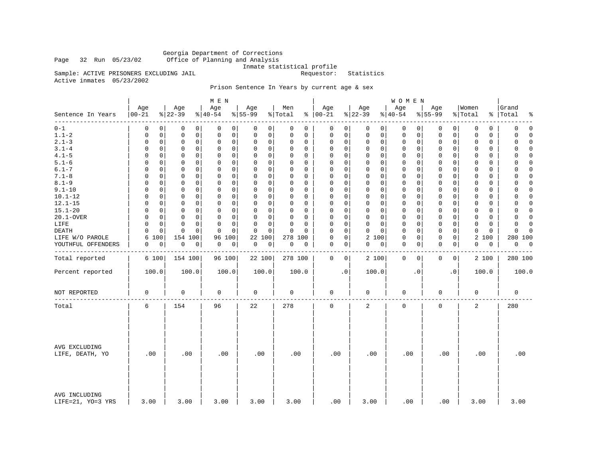Georgia Department of Corrections<br>Page 32 Run 05/23/02 Office of Planning and Analysis Office of Planning and Analysis

Inmate statistical profile

Sample: ACTIVE PRISONERS EXCLUDING JAIL **Requestor:** Statistics

Active inmates 05/23/2002

# Prison Sentence In Years by current age & sex

|                                    |                   |                  | M E N            |                  |                |                   |                 | WOMEN           |                             |                        |                      |
|------------------------------------|-------------------|------------------|------------------|------------------|----------------|-------------------|-----------------|-----------------|-----------------------------|------------------------|----------------------|
| Sentence In Years                  | Age<br>$ 00 - 21$ | Age<br>$8 22-39$ | Age<br>$8 40-54$ | Age<br>$8 55-99$ | Men<br>% Total | Age<br>$% 100-21$ | Age<br>$ 22-39$ | Age<br>$ 40-54$ | Age<br>$8 55-99$            | Women<br>% Total<br>ွေ | Grand<br>Total<br>٩, |
| --------                           | $\Omega$          | 0                | 0                | 0                | $\Omega$       | 0                 | 0               | 0               | 0                           | 0                      | $\mathbf 0$          |
| $0 - 1$                            | 0                 | 0                | $\Omega$         | 0                | 0              | 0                 | 0               | 0               | 0                           | 0                      | 0                    |
| $1.1 - 2$                          | 0                 | 0                | $\mathbf 0$      | 0                | 0              | 0                 | $\mathbf 0$     | 0               | 0                           | $\mathbf 0$            | 0                    |
|                                    | 0                 | 0                | 0                | 0                | 0              | 0                 | 0               | 0               | 0                           | 0                      | $\Omega$             |
| $2.1 - 3$                          | 0                 | $\mathbf 0$      | $\mathbf 0$      | 0                | $\Omega$       | $\mathbf 0$       | $\mathbf 0$     | 0               | $\mathbf 0$                 | 0                      | 0                    |
|                                    | 0                 | 0                | 0                | 0                | 0              | 0                 | $\mathbf 0$     | 0               | 0                           | $\mathbf 0$            | $\Omega$             |
| $3.1 - 4$                          | 0                 | 0                | $\mathbf 0$      | 0                | $\Omega$       | $\mathbf 0$       | $\mathbf 0$     | $\mathbf 0$     | $\mathbf 0$                 | $\mathbf 0$            | 0                    |
|                                    | 0                 | 0                | 0                | 0                | 0              | 0                 | $\mathbf 0$     | 0               | 0                           | 0                      | $\mathbf 0$          |
| $4.1 - 5$                          | $\Omega$          | 0                | 0                | 0                | $\Omega$       | 0                 | $\mathbf 0$     | 0               | $\mathbf 0$                 | 0                      | 0                    |
|                                    | 0                 | 0                | 0                | $\mathbf 0$      | 0              | 0                 | $\mathbf 0$     | 0               | $\mathbf 0$                 | 0                      | $\Omega$             |
| $5.1 - 6$                          | $\Omega$          | $\Omega$         | 0                | 0                | $\Omega$       | $\mathbf 0$       | $\mathbf 0$     | 0               | $\mathbf 0$                 | 0                      | $\Omega$             |
|                                    | 0                 | 0                | 0                | 0                | 0              | 0                 | 0               | 0               | 0                           | 0                      | 0                    |
| $6.1 - 7$                          | $\Omega$          | 0                | $\Omega$         | 0                | $\Omega$       | $\mathbf 0$       | $\mathbf 0$     | $\mathbf 0$     | $\mathbf 0$                 | $\Omega$               | $\Omega$             |
|                                    | $\Omega$          | 0                | $\Omega$         | 0                | $\Omega$       | 0                 | $\Omega$        | 0               | 0                           | 0                      | $\Omega$             |
| $7.1 - 8$                          | 0                 | 0                | $\mathbf 0$      | 0                | 0              | 0                 | $\mathbf 0$     | 0               | $\mathbf 0$                 | $\mathbf 0$            | $\Omega$             |
|                                    | 0                 | 0                | 0                | 0                | 0              | 0                 | $\mathbf 0$     | 0               | 0                           | 0                      | 0                    |
| $8.1 - 9$                          | 0                 | 0                | $\Omega$         | 0                | $\Omega$       | $\Omega$          | $\mathbf 0$     | $\mathbf 0$     | $\mathbf 0$                 | 0                      | $\Omega$             |
|                                    | $\Omega$          | 0                | 0                | 0                | $\Omega$       | $\mathbf 0$       | $\mathbf 0$     | 0               | 0                           | 0                      | 0                    |
| $9.1 - 10$                         | $\Omega$          | $\mathbf 0$      | $\Omega$         | $\Omega$         | $\Omega$       | $\mathbf 0$       | $\Omega$        | $\mathbf 0$     | $\mathbf 0$                 | $\mathbf 0$            | $\Omega$             |
|                                    | $\Omega$          | 0                | $\mathbf 0$      | $\mathbf 0$      | 0              | $\mathbf 0$       | $\mathbf 0$     | 0               | $\mathbf 0$                 | $\Omega$               | $\Omega$             |
| $10.1 - 12$                        | $\Omega$          | $\mathbf 0$      | $\mathbf 0$      | 0                | $\Omega$       | $\mathbf 0$       | $\mathbf 0$     | 0               | $\mathbf 0$                 | $\Omega$               | $\Omega$             |
|                                    | $\Omega$          | 0                | 0                | 0                | $\Omega$       | 0                 | $\mathbf 0$     | 0               | $\mathbf 0$                 | 0                      | 0                    |
| $12.1 - 15$                        | $\Omega$          | 0                | $\mathbf 0$      | $\mathbf 0$      | $\Omega$       | $\mathbf 0$       | $\mathbf 0$     | $\mathbf 0$     | $\mathbf 0$                 | $\mathbf 0$            | 0                    |
|                                    | $\mathbf 0$       | 0                | $\mathbf 0$      | 0                | $\Omega$       | 0                 | $\mathbf 0$     | 0               | $\mathbf 0$                 | $\mathbf 0$            | $\mathbf 0$          |
| $15.1 - 20$                        | $\Omega$          | 0                | $\mathbf 0$      | 0                | $\Omega$       | $\mathbf 0$       | $\mathbf 0$     | $\mathbf 0$     | $\mathbf 0$                 | $\mathbf 0$            | 0                    |
|                                    | 0                 | 0                | $\Omega$         | $\mathbf 0$      | 0              | 0                 | $\mathbf 0$     | 0               | 0                           | 0                      | $\mathbf 0$          |
| 20.1-OVER                          | 0                 | 0                | 0                | 0                | 0              | 0                 | $\mathbf 0$     | 0               | $\mathbf 0$                 | 0                      | 0                    |
|                                    | 0                 | 0                | 0                | 0                | $\Omega$       | 0                 | $\mathbf 0$     | 0               | 0                           | 0                      | $\Omega$             |
| LIFE                               | 0                 | $\mathbf 0$      | $\mathbf 0$      | $\Omega$         | $\mathbf 0$    | $\mathbf 0$       | $\mathbf 0$     | 0               | $\mathbf 0$                 | $\mathbf 0$            | $\mathbf 0$          |
|                                    | 0                 | 0                | $\mathbf 0$      | 0                | $\Omega$       | 0                 | 0               | 0               | 0                           | $\mathbf 0$            | 0                    |
| <b>DEATH</b>                       | $\Omega$          | 0                | $\Omega$         | $\Omega$         | $\Omega$       | $\mathbf 0$       | $\Omega$        | $\mathbf 0$     | $\mathbf 0$                 | $\Omega$               | $\Omega$             |
|                                    | $\Omega$          | $\Omega$         | $\Omega$         | $\Omega$         | $\Omega$       | $\Omega$          | $\Omega$        | 0               | 0                           | 0                      | $\Omega$             |
| LIFE W/O PAROLE                    | 6<br>100          | 154 100          | 100<br>96        | 22<br>100        | 278 100        | $\mathsf 0$<br>0  | 2 100           | 0<br>0          | $\mathsf{O}$<br>$\mathbf 0$ | 2<br>100               | 280 100              |
| YOUTHFUL OFFENDERS                 | 0                 | 0                | 0                | 0                | 0              | $\mathbf 0$       | 0               | 0               | $\mathbf 0$                 | 0                      | 0                    |
|                                    | 0                 | 0                | 0                | 0                | 0              | 0                 | 0               | 0               | 0                           | 0                      | 0                    |
|                                    |                   |                  |                  |                  |                |                   |                 |                 |                             |                        |                      |
| Total reported                     | 6 100             | 154 100          | 96 100           | 22 100           | 278 100        | 0<br>0            | 2 100           | 0<br>0          | 0<br>0                      | 2 100                  | 280 100              |
| Percent reported                   | 100.0             | 100.0            | 100.0            | 100.0            | 100.0          | $\cdot$ 0         | 100.0           | $\cdot$ 0       | $\cdot$ 0                   | 100.0                  | 100.0                |
| NOT REPORTED                       | 0                 | 0                | 0                | 0                | 0              | 0                 | 0               | 0               | 0                           | 0                      | $\mathbf 0$          |
| Total                              | 6                 | 154              | 96               | 22               | 278            | $\Omega$          | 2               | 0               | $\mathbf 0$                 | $\overline{c}$         | 280                  |
| AVG EXCLUDING<br>LIFE, DEATH, YO   | .00               | .00              | .00              | .00              | .00            | .00               | .00             | .00             | .00                         | .00                    | .00                  |
| AVG INCLUDING<br>LIFE=21, YO=3 YRS | 3.00              | 3.00             | 3.00             | 3.00             | 3.00           | .00               | 3.00            | .00             | .00                         | 3.00                   | 3.00                 |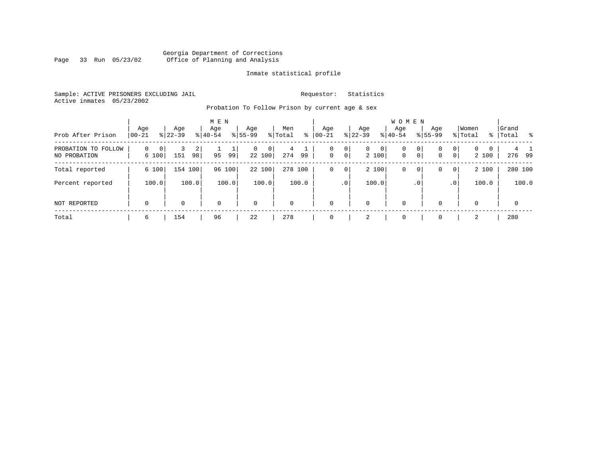#### Georgia Department of Corrections<br>Page 33 Run 05/23/02 Office of Planning and Analysis Page 33 Run 05/23/02 Office of Planning and Analysis

#### Inmate statistical profile

Sample: ACTIVE PRISONERS EXCLUDING JAIL **Requestor:** Statistics Active inmates 05/23/2002

Probation To Follow Prison by current age & sex

| Prob After Prison                   | Age<br>$ 00-21 $ | Age<br>$ 22-39 $ | M E N<br>Age<br>$8 40-54$ | Age<br>$8 55-99$          | Men<br>% Total<br>៖ | Age<br>$ 00 - 21 $ | Aqe<br>$ 22-39 $                       | <b>WOMEN</b><br>Aqe<br>$8 40-54$               | Age<br>$8155 - 99$               | Women<br>% Total<br>$\frac{1}{6}$                   | Grand<br>Total<br>- 왕 |
|-------------------------------------|------------------|------------------|---------------------------|---------------------------|---------------------|--------------------|----------------------------------------|------------------------------------------------|----------------------------------|-----------------------------------------------------|-----------------------|
| PROBATION TO FOLLOW<br>NO PROBATION | 0<br>0<br>6 100  | 2<br>151<br>98   | 95<br>99                  | $\Omega$<br> 0 <br>22 100 | 4<br>274<br>99      | $\mathbf 0$        | 0 <br>$\overline{0}$<br>0 <sup>1</sup> | $\circ$<br>$\mathbf 0$<br>$\mathbf 0$<br>2 100 | 0<br>0<br>$\circ$<br>$\mathbf 0$ | $\overline{0}$<br>$\mathbf{0}$<br>0<br> 0 <br>2 100 | 4 1<br>276 99         |
| Total reported                      | 6 100            | 154 100          | 96<br>100                 | 22 100                    | 278 100             | 0                  | 0 <sup>1</sup>                         | 2 100<br>0                                     | $\circ$<br>0                     | 2 100<br>$\circ$                                    | 280 100               |
| Percent reported                    | 100.0            | 100.0            | 100.0                     | 100.0                     | 100.0               |                    | .0 <sup>1</sup>                        | 100.0                                          | $\cdot$ 0                        | 100.0<br>$\cdot$ 0                                  | 100.0                 |
| NOT REPORTED                        | $\mathbf 0$      | 0                | 0                         | $\mathbf 0$               | $\Omega$            | $\Omega$           | $\mathbf 0$                            | $\mathbf 0$                                    | 0                                | $\mathbf 0$                                         | $\mathbf 0$           |
| Total                               | 6                | 154              | 96                        | 22                        | 278                 |                    | 2                                      | $\Omega$                                       | 0                                | 2                                                   | 280                   |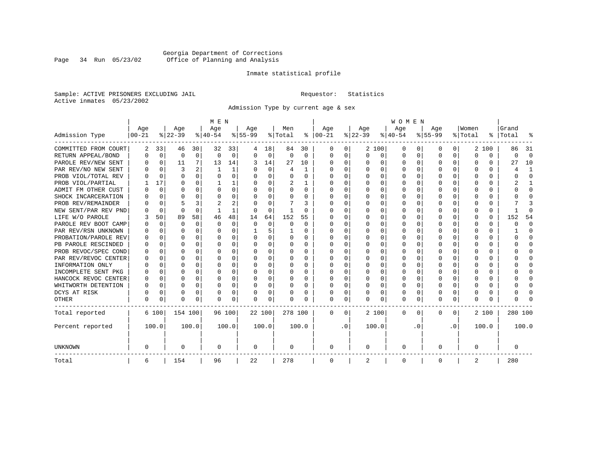### Georgia Department of Corrections<br>Page 34 Run 05/23/02 Office of Planning and Analysis Page 34 Run 05/23/02 Office of Planning and Analysis

#### Inmate statistical profile

Sample: ACTIVE PRISONERS EXCLUDING JAIL **Requestor:** Statistics Active inmates 05/23/2002

Admission Type by current age & sex

|                      |           |             |          |          | M E N    |          |           |          |         |          |              |              |          |              | <b>WOMEN</b> |          |           |              |         |          |         |              |
|----------------------|-----------|-------------|----------|----------|----------|----------|-----------|----------|---------|----------|--------------|--------------|----------|--------------|--------------|----------|-----------|--------------|---------|----------|---------|--------------|
|                      | Age       |             | Age      |          | Age      |          | Aqe       |          | Men     |          | Age          |              | Age      |              | Age          |          | Aqe       |              | Women   |          | Grand   |              |
| Admission Type       | $00 - 21$ |             | $ 22-39$ |          | $ 40-54$ |          | $8 55-99$ |          | % Total | နွ       | $ 00 - 21$   |              | $ 22-39$ |              | $ 40-54$     |          | $8 55-99$ |              | % Total | ွေ       | Total   |              |
| COMMITTED FROM COURT | 2         | 33          | 46       | 30       | 32       | 33       |           | 18       | 84      | 30       | 0            | 0            |          | 2 100        | 0            | U        | 0         | 0            | 2       | 100      | 86      | -31          |
| RETURN APPEAL/BOND   | O         | $\mathbf 0$ | 0        | 0        | $\Omega$ | 0        | O         | 0        | 0       | $\Omega$ | 0            | 0            | $\Omega$ | 0            | 0            | $\Omega$ | $\Omega$  | $\Omega$     | O       | 0        | U       | $\Omega$     |
| PAROLE REV/NEW SENT  |           | $\Omega$    | 11       | 7        | 13       | 14       | 3         | 14       | 27      | 10       | <sup>0</sup> | $\Omega$     | ∩        | O            | $\Omega$     | $\Omega$ | ∩         | $\Omega$     | U       | 0        | 27      | 10           |
| PAR REV/NO NEW SENT  |           | $\Omega$    |          |          |          | 1        |           | $\Omega$ | 4       | 1        | <sup>0</sup> | $\Omega$     | ∩        | $\Omega$     | U            | $\cap$   | ∩         | <sup>n</sup> |         | O        |         | -1           |
| PROB VIOL/TOTAL REV  |           | $\Omega$    | $\Omega$ | 0        | $\Omega$ | $\Omega$ | O         | $\Omega$ | U       | U        | <sup>0</sup> | $\Omega$     | U        | $\Omega$     | U            | n        | ∩         | U            | U       | O        |         | $\Omega$     |
| PROB VIOL/PARTIAL    |           | 17          | U        | 0        |          | 1        |           | $\Omega$ | 2       |          | O            | 0            | U        | O            | U            | n        | $\Omega$  |              |         | U        |         |              |
| ADMIT FM OTHER CUST  |           | $\Omega$    | U        | 0        | $\Omega$ | $\Omega$ | O         | $\Omega$ | U       | 0        | <sup>0</sup> | $\Omega$     | U        | <sup>0</sup> | U            | n        | $\Omega$  | U            |         | U        |         | <sup>0</sup> |
| SHOCK INCARCERATION  |           | $\Omega$    | U        | U        | $\Omega$ | 0        | U         | 0        | U       | U        | <sup>0</sup> | 0            | U        | O            | U            | $\Omega$ | ∩         | 0            |         | 0        |         | ∩            |
| PROB REV/REMAINDER   |           | $\Omega$    | 5        | 3        | 2        | 2        |           | $\Omega$ |         | 3        | <sup>0</sup> | $\Omega$     | ∩        | O            | U            | $\Omega$ | ∩         | $\Omega$     |         | 0        |         |              |
| NEW SENT/PAR REV PND |           | $\Omega$    | $\Omega$ | $\Omega$ |          | 1        | O         | $\Omega$ |         | U        | 0            | $\Omega$     | U        | $\Omega$     | U            | $\Omega$ | $\Omega$  | 0            |         | $\Omega$ |         | ſ            |
| LIFE W/O PAROLE      |           | 50          | 89       | 58       | 46       | 48       | 14        | 64       | 152     | 55       |              | $\Omega$     |          | $\Omega$     | Ω            | 0        | $\Omega$  | U            |         | $\Omega$ | 152     | 54           |
| PAROLE REV BOOT CAMP |           | $\Omega$    | 0        | $\Omega$ | $\Omega$ | $\Omega$ | O         | $\Omega$ | 0       | $\Omega$ | 0            | $\Omega$     |          | $\Omega$     | Ω            | $\Omega$ |           |              |         | $\Omega$ |         | $\Omega$     |
| PAR REV/RSN UNKNOWN  |           | $\Omega$    | U        | 0        | $\Omega$ | $\Omega$ |           | 5        |         | U        | 0            | $\Omega$     |          | $\Omega$     | Ω            | $\Omega$ | O         |              | O       | 0        |         | <sup>0</sup> |
| PROBATION/PAROLE REV |           | $\Omega$    | U        | 0        | $\Omega$ | $\Omega$ | U         | $\Omega$ | 0       | 0        | O            | $\Omega$     | ∩        | $\Omega$     | U            | $\Omega$ | ∩         | U            | n       | 0        |         | n            |
| PB PAROLE RESCINDED  |           | $\Omega$    | U        | 0        | $\Omega$ | $\Omega$ | U         | $\Omega$ | 0       | 0        | O            | $\Omega$     | U        | $\Omega$     | U            | n        | ∩         | 0            | n       | U        |         | n            |
| PROB REVOC/SPEC COND |           | $\Omega$    | U        | U.       | ∩        | U        | U         | U        | 0       | U        | <sup>0</sup> | <sup>n</sup> | U        | U            | U            | $\cap$   | ∩         | U            |         | 0        |         |              |
| PAR REV/REVOC CENTER |           | 0           | U        | U        | $\Omega$ | O        | U         | O        | U       | U        | O            | 0            |          | U            | U            | n        | ∩         | <sup>n</sup> |         | 0        |         |              |
| INFORMATION ONLY     |           | $\mathbf 0$ | U        | U        | $\Omega$ | $\Omega$ |           | $\Omega$ | 0       | U        |              | O            |          | O            | Ω            | n        | $\Omega$  | U            |         | 0        |         | n            |
| INCOMPLETE SENT PKG  |           | 0           |          | 0        | $\Omega$ | $\Omega$ | U         | $\Omega$ | 0       | U        | <sup>0</sup> | 0            |          | O            | 0            | $\Omega$ | $\Omega$  |              |         | 0        |         | ∩            |
| HANCOCK REVOC CENTER | O         | 0           | U        | 0        | $\Omega$ | $\Omega$ | U         | $\Omega$ | 0       | U        | 0            | $\Omega$     | U        | $\Omega$     | 0            | O        | $\Omega$  | 0            | O       | 0        |         | ∩            |
| WHITWORTH DETENTION  | n         | $\Omega$    | U        | $\Omega$ | $\Omega$ | $\Omega$ | U         | $\Omega$ | 0       | 0        | <sup>0</sup> | $\Omega$     | $\Omega$ | $\Omega$     | 0            | $\Omega$ | ∩         | $\Omega$     | U       | 0        |         | ∩            |
| DCYS AT RISK         | U         | $\Omega$    | U        | $\Omega$ | $\Omega$ | 0        | U         | 0        | U       | U        | <sup>0</sup> | $\Omega$     | U        | 0            | U            | $\Omega$ | $\Omega$  | $\Omega$     |         | 0        |         | ſ            |
| <b>OTHER</b>         | U         | 0           | U        | 0        | $\Omega$ | 0        | O         | 0        | N       | U        | $\Omega$     | 0            | U        | 0            | 0            | $\Omega$ | $\Omega$  | 0            | O       | U        |         |              |
| Total reported       |           | 6 100       | 154 100  |          |          | 96 100   | 22 100    |          | 278 100 |          | 0            | 0            |          | 2 100        | 0            | $\Omega$ | $\Omega$  | $\Omega$     |         | 2 100    | 280 100 |              |
| Percent reported     |           | 100.0       |          | 100.0    |          | 100.0    |           | 100.0    |         | 100.0    |              | $\cdot$ 0    |          | 100.0        |              | . 0      |           | $\cdot$ 0    |         | 100.0    |         | 100.0        |
| <b>UNKNOWN</b>       | 0         |             | 0        |          | 0        |          | 0         |          | 0       |          | 0            |              | 0        |              | 0            |          | $\Omega$  |              | O       |          | 0       |              |
| Total                | 6         |             | 154      |          | 96       |          | 22        |          | 278     |          | 0            |              | 2        |              | 0            |          | $\Omega$  |              | 2       |          | 280     |              |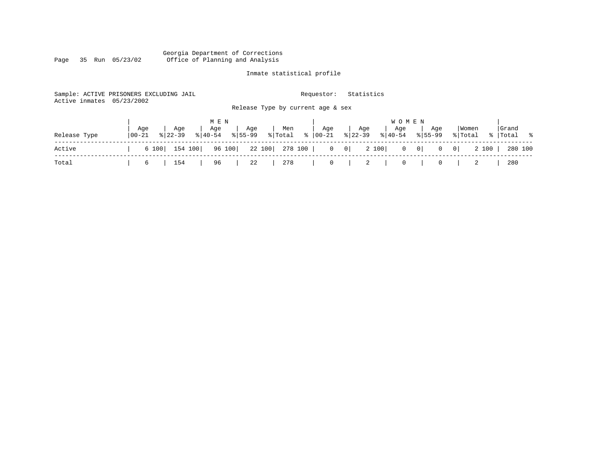#### Georgia Department of Corrections Page 35 Run 05/23/02 Office of Planning and Analysis

# Inmate statistical profile

| Active inmates | Sample: ACTIVE PRISONERS EXCLUDING JAIL<br>05/23/2002 |                                   | Requestor:     | Statistics                                  |                              |                         |             |
|----------------|-------------------------------------------------------|-----------------------------------|----------------|---------------------------------------------|------------------------------|-------------------------|-------------|
|                |                                                       | Release Type by current age & sex |                |                                             |                              |                         |             |
|                |                                                       | M E N                             |                | <b>WOMEN</b>                                |                              |                         |             |
|                | Aqe<br>Age<br>Age                                     | Age<br>Men                        | Age            | Age<br>Age                                  | Age                          | Women                   | Grand       |
| Release Type   | $8 22-39$<br>$8 40-54$<br>$ 00-21$                    | % Total<br>$8155 - 99$            | $8   00 - 21$  | $ 22-39 $<br>$8 40-54$                      | $8155 - 99$                  | % Total                 | %   Total % |
| Active         | 154 100<br>6 100                                      | 96 100<br>22 100<br>278 100       | $\overline{0}$ | 2 100<br>$\begin{array}{c c} 0 \end{array}$ | $0 \qquad 0 \mid$<br>$\circ$ | 2 100<br>$\overline{0}$ | 280 100     |
| Total          | 154<br>96<br>6                                        | 22<br>278                         | $\overline{0}$ | 2                                           | 0                            |                         | 280         |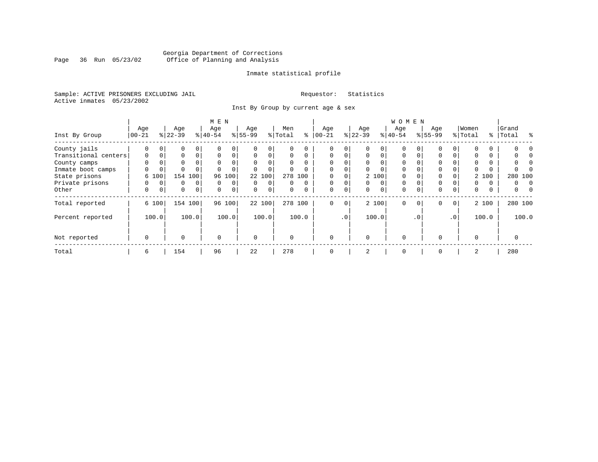### Georgia Department of Corrections<br>Page 36 Run 05/23/02 Office of Planning and Analysis Page 36 Run 05/23/02 Office of Planning and Analysis

#### Inmate statistical profile

Sample: ACTIVE PRISONERS EXCLUDING JAIL **Requestor:** Statistics Active inmates 05/23/2002

Inst By Group by current age & sex

|                      |             |          |             |                | M E N       |             |           |             |          |          |             |             |          |          | <b>WOMEN</b> |          |           |                 |          |       |                 |
|----------------------|-------------|----------|-------------|----------------|-------------|-------------|-----------|-------------|----------|----------|-------------|-------------|----------|----------|--------------|----------|-----------|-----------------|----------|-------|-----------------|
|                      | Age         |          | Age         |                | Age         |             | Age       |             | Men      |          | Age         |             | Age      |          | Age          |          | Age       |                 | Women    |       | Grand           |
| Inst By Group        | $00 - 21$   |          | $ 22-39 $   |                | $8 40-54$   |             | $8 55-99$ |             | % Total  | ႜ        | $ 00 - 21$  |             | $ 22-39$ |          | $8 40-54$    |          | $8 55-99$ |                 | % Total  |       | ွေ<br>%   Total |
| County jails         | $\Omega$    | $\Omega$ | 0           | $\Omega$       |             | 0           |           | $\Omega$    |          |          |             | 0           |          | $\Omega$ | $\Omega$     |          |           |                 |          |       |                 |
| Transitional centers | $\mathbf 0$ | 0        | 0           | $\Omega$       | $\Omega$    | 0           | $\Omega$  | $\Omega$    | $\Omega$ | $\Omega$ | $\mathbf 0$ | $\Omega$    | $\Omega$ | $\Omega$ | $\Omega$     | $\Omega$ | $\Omega$  |                 |          | 0     |                 |
| County camps         | $\Omega$    |          | 0           |                | $\Omega$    | 0           |           |             | $\Omega$ | $\Omega$ |             |             | $\Omega$ |          | $\Omega$     |          | $\Omega$  |                 | $\Omega$ |       |                 |
| Inmate boot camps    | $\Omega$    | 0        | $\Omega$    |                |             |             |           | $\Omega$    | $\Omega$ |          | $\Omega$    |             | $\Omega$ |          | $\Omega$     |          | $\Omega$  |                 |          |       |                 |
| State prisons        | 6           | 100      | 154         | 100            | 96          | 100         |           | 22 100      |          | 278 100  |             |             |          | 2 100    | $\Omega$     |          | 0         |                 |          | 2 100 | 280 100         |
| Private prisons      | 0           | $\Omega$ | 0           | 0              | $\Omega$    | 0           | $\Omega$  | $\Omega$    | 0        | $\Omega$ | $\mathbf 0$ | $\Omega$    | $\Omega$ | $\Omega$ | $\Omega$     |          | $\Omega$  |                 | 0        | 0     | 0<br>$\Omega$   |
| Other                | 0           | 0        | $\mathbf 0$ | $\overline{0}$ | 0           | $\mathbf 0$ | 0         | $\mathbf 0$ | 0        | $\Omega$ | $\mathbf 0$ | 0           | 0        | 0        | $\mathbf 0$  | $\Omega$ | 0         | $\Omega$        | 0        | 0     | 0               |
| Total reported       |             | 6 100    |             | 154 100        |             | 96 100      |           | 22 100      |          | 278 100  | $\mathbf 0$ | $\mathbf 0$ |          | 2 100    | $\Omega$     | $\Omega$ | $\Omega$  | 0 <sup>1</sup>  |          | 2 100 | 280 100         |
| Percent reported     |             | 100.0    |             | 100.0          |             | 100.0       |           | 100.0       |          | 100.0    |             | .0'         |          | 100.0    |              | . 0      |           | .0 <sup>1</sup> |          | 100.0 | 100.0           |
| Not reported         | $\mathbf 0$ |          | $\Omega$    |                | $\mathbf 0$ |             | $\Omega$  |             | $\Omega$ |          | $\Omega$    |             | $\Omega$ |          | $\Omega$     |          | $\Omega$  |                 | $\Omega$ |       | 0               |
| Total                | 6           |          | 154         |                | 96          |             | 22        |             | 278      |          | 0           |             | 2        |          | $\mathbf 0$  |          | $\Omega$  |                 | 2        |       | 280             |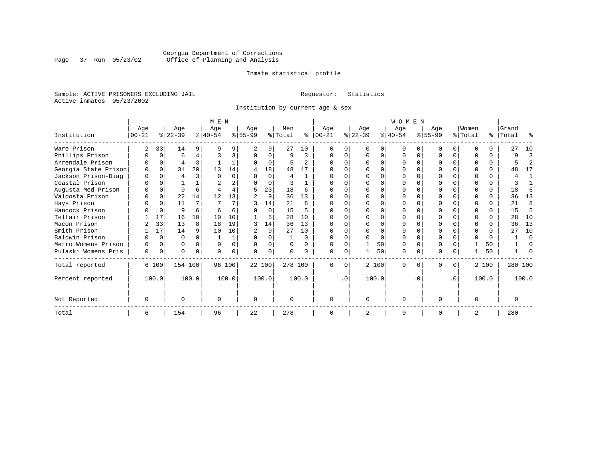### Georgia Department of Corrections<br>Page 37 Run 05/23/02 Office of Planning and Analysis Page 37 Run 05/23/02 Office of Planning and Analysis

#### Inmate statistical profile

Sample: ACTIVE PRISONERS EXCLUDING JAIL **Requestor:** Statistics Active inmates 05/23/2002

Institution by current age & sex

|                      |           |          |           |          | M E N                 |        |           |          |         |                |            |           |                |          | <b>WOMEN</b> |              |           |           |                |          |           |                |
|----------------------|-----------|----------|-----------|----------|-----------------------|--------|-----------|----------|---------|----------------|------------|-----------|----------------|----------|--------------|--------------|-----------|-----------|----------------|----------|-----------|----------------|
|                      | Age       |          | Age       |          | Age                   |        | Age       |          | Men     |                | Age        |           | Age            |          | Age          |              | Age       |           | Women          |          | Grand     |                |
| Institution          | $00 - 21$ |          | $ 22-39 $ |          | $\frac{1}{6}$   40-54 |        | $8 55-99$ |          | % Total | ႜႂ             | $ 00 - 21$ |           | $ 22-39 $      |          | $ 40-54 $    |              | $ 55-99 $ |           | % Total        |          | %   Total | ႜ              |
| Ware Prison          |           | 33       | 14        | 9        |                       |        |           | 9        | 27      | 10             |            |           | $\Omega$       |          | $\Omega$     | O            |           | $\Omega$  | ∩              |          | 27        | 10             |
| Phillips Prison      |           | $\Omega$ | 6         | 4        |                       |        |           | $\Omega$ | 9       | 3              |            |           | $\Omega$       | 0        | $\Omega$     | $\Omega$     |           | $\Omega$  | $\Omega$       | $\Omega$ | 9         | 3              |
| Arrendale Prison     |           | $\Omega$ | 4         | 3        |                       |        |           | $\Omega$ | 5       | $\mathfrak{D}$ |            |           | $\Omega$       | U        | $\Omega$     | O            |           | $\Omega$  |                | 0        |           | $\overline{2}$ |
| Georgia State Prison |           | $\Omega$ | 31        | 20       | 13                    | 14     | 4         | 18       | 48      | 17             |            |           | ∩              | O        | O            |              |           | U         |                | $\Omega$ | 48        | 17             |
| Jackson Prison-Diag  | $\cap$    | $\Omega$ | 4         | 3        |                       |        |           | $\Omega$ |         |                |            |           | $\Omega$       | U        | $\Omega$     |              |           | U         |                | $\Omega$ |           | 1              |
| Coastal Prison       |           | $\Omega$ |           |          |                       |        |           | $\Omega$ |         |                |            |           | $\Omega$       | U        | $\Omega$     | $\Omega$     |           | U         |                | $\Omega$ |           |                |
| Augusta Med Prison   |           |          | 9         | 6        |                       |        | 5         | 23       | 18      | 6              |            |           | $\Omega$       |          | $\Omega$     |              |           | O         |                | $\Omega$ | 18        | 6              |
| Valdosta Prison      |           | $\Omega$ | 22        | 14       | 12                    | 13     |           | 9        | 36      | 13             | U          |           | ∩              | U        | $\Omega$     | <sup>0</sup> | U         | U         | ∩              | $\Omega$ | 36        | 13             |
| Hays Prison          |           | $\Omega$ | 11        | 7        |                       |        |           | 14       | 21      | 8              |            |           | $\Omega$       | O        | $\Omega$     | <sup>0</sup> |           | $\Omega$  | ∩              | $\Omega$ | 21        | 8              |
| Hancock Prison       |           | $\Omega$ | 9         | 6        |                       |        |           | $\Omega$ | 15      |                |            |           | $\Omega$       | U        | $\Omega$     | $\Omega$     |           | $\Omega$  | ∩              | $\Omega$ | 15        | 5              |
| Telfair Prison       |           | 17       | 16        | 10       | 10                    | 10     |           | 5        | 28      | 10             |            |           | $\Omega$       | U        |              |              |           | U         |                |          | 28        | 10             |
| Macon Prison         |           | 33       | 13        | 8        | 18                    | 19     | 3         | 14       | 36      | 13             | $\Omega$   |           | $\Omega$       | O        | $\Omega$     | $\Omega$     |           | $\Omega$  | $\Omega$       | $\Omega$ | 36        | 13             |
| Smith Prison         |           | 17       | 14        | 9        | 10                    | 10     |           | 9        | 27      | 10             |            |           | $\Omega$       | O        | $\Omega$     | $\Omega$     |           | $\Omega$  | $\Omega$       | $\Omega$ | 27        | 10             |
| Baldwin Prison       |           | $\Omega$ | $\Omega$  | $\Omega$ |                       |        |           | 0        |         | U              | U          |           | ∩              | $\Omega$ | $\Omega$     | $\Omega$     |           | O         | $\Omega$       | $\Omega$ |           | $\Omega$       |
| Metro Womens Prison  |           | $\Omega$ | $\Omega$  | $\Omega$ | $\Omega$              |        |           | $\Omega$ |         |                |            |           |                | 50       | $\Omega$     | $\Omega$     |           | O         |                | 50       |           | $\Omega$       |
| Pulaski Womens Pris  | 0         | 0        | 0         | $\Omega$ | $\Omega$              |        |           | 0        |         |                | U          | 0         |                | 50       | $\Omega$     | 0            | ი         | 0         |                | 50       |           | O              |
| Total reported       |           | 6 100    | 154 100   |          |                       | 96 100 |           | 22 100   | 278 100 |                | $\Omega$   | $\Omega$  |                | 2 100    | $\Omega$     | 0            | 0         | 0         |                | 2 100    |           | 280 100        |
| Percent reported     |           | 100.0    |           | 100.0    |                       | 100.0  |           | 100.0    |         | 100.0          |            | $\cdot$ 0 |                | 100.0    |              | . 0          |           | $\cdot$ 0 |                | 100.0    |           | 100.0          |
| Not Reported         | $\Omega$  |          | 0         |          | $\Omega$              |        | 0         |          |         |                | 0          |           | $\Omega$       |          | 0            |              | U         |           | $\Omega$       |          | 0         |                |
| Total                | 6         |          | 154       |          | 96                    |        | 22        |          | 278     |                | $\Omega$   |           | $\overline{2}$ |          | $\Omega$     |              | O         |           | $\overline{2}$ |          | 280       |                |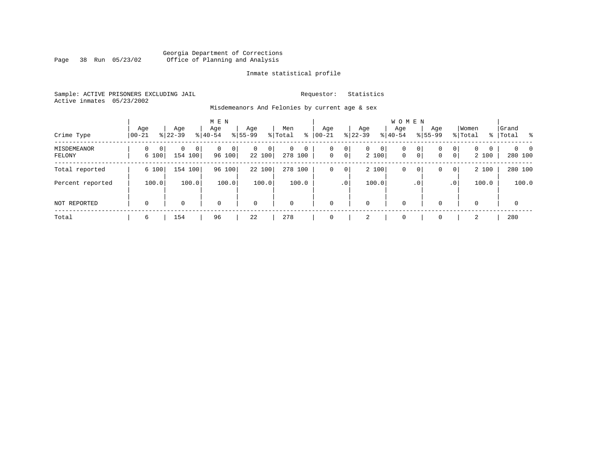#### Georgia Department of Corrections<br>Page 38 Run 05/23/02 Office of Planning and Analysis Page 38 Run 05/23/02 Office of Planning and Analysis

#### Inmate statistical profile

Sample: ACTIVE PRISONERS EXCLUDING JAIL **Requestor:** Statistics Active inmates 05/23/2002

Misdemeanors And Felonies by current age & sex

| Crime Type            | Age<br>$00 - 21$             | Age<br>$8122 - 39$ | M E N<br>Age<br>$8 40-54$   | Age<br>$8155 - 99$         | Men<br>ႜ<br>% Total | Age<br>$00 - 21$ | Age<br>$ 22-39 $        | W O M E N<br>Aqe<br>$ 40-54$    | Age<br>$8155 - 99$                             | Women<br>% Total<br>ွေ                                    | Grand<br>Total           |
|-----------------------|------------------------------|--------------------|-----------------------------|----------------------------|---------------------|------------------|-------------------------|---------------------------------|------------------------------------------------|-----------------------------------------------------------|--------------------------|
| MISDEMEANOR<br>FELONY | 0<br>0 <sup>1</sup><br>6 100 | 0<br>0<br>154 100  | $\mathbf{0}$<br>0<br>96 100 | $\mathbf 0$<br>0<br>22 100 | 0<br>0<br>278 100   | 0<br>0           | 0<br>$\mathbf{0}$<br> 0 | 0<br>0<br>2 100<br>$\mathbf{0}$ | $\mathbf{0}$<br>0<br>$\circ$<br>0 <sup>1</sup> | $\circ$<br>$\overline{0}$<br>0<br>0 <sup>1</sup><br>2 100 | $\Omega$<br>0<br>280 100 |
| Total reported        | 6 100                        | 154 100            | 96 100                      | 22 100                     | 278 100             | $\mathbf 0$      | 0                       | 2 100<br>0                      | 0<br>0                                         | 2 100<br>0 <sup>1</sup>                                   | 280 100                  |
| Percent reported      | 100.0                        | 100.0              | 100.0                       | 100.0                      | 100.0               |                  | .0'                     | 100.0                           | $\cdot$ 0                                      | 100.0<br>.0 <sup>1</sup>                                  | 100.0                    |
| NOT REPORTED          | $\mathbf 0$                  | 0                  | $\mathbf 0$                 | $\mathbf 0$                | 0                   | $\mathbf 0$      | $\mathbf 0$             | 0                               | $\Omega$                                       | $\mathbf 0$                                               | 0                        |
| Total                 | 6                            | 154                | 96                          | 22                         | 278                 | 0                | 2                       | 0                               |                                                | 2                                                         | 280                      |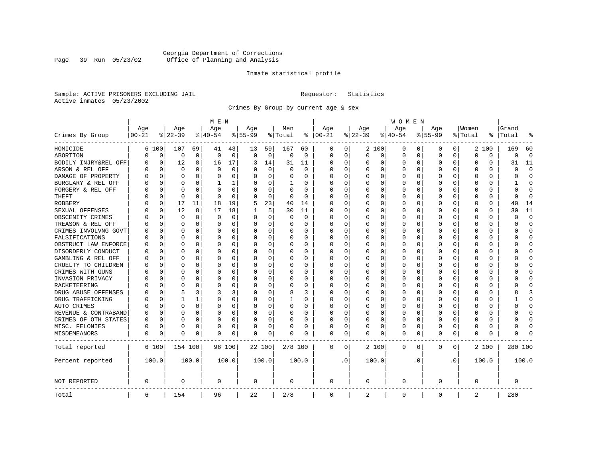### Georgia Department of Corrections<br>Page 39 Run 05/23/02 Office of Planning and Analysis Page 39 Run 05/23/02 Office of Planning and Analysis

#### Inmate statistical profile

Sample: ACTIVE PRISONERS EXCLUDING JAIL **Requestor:** Statistics Active inmates 05/23/2002

Crimes By Group by current age & sex

|                      |            |             |             |              | M E N       |          |           |             |          |          |             |           |          |          | W O M E N   |          |           |           |          |          |              |             |
|----------------------|------------|-------------|-------------|--------------|-------------|----------|-----------|-------------|----------|----------|-------------|-----------|----------|----------|-------------|----------|-----------|-----------|----------|----------|--------------|-------------|
|                      | Age        |             | Age         |              | Age         |          | Age       |             | Men      |          | Age         |           | Age      |          | Age         |          | Age       |           | Women    |          | Grand        |             |
| Crimes By Group      | $ 00 - 21$ |             | $ 22-39$    |              | $ 40-54$    |          | $8 55-99$ |             | % Total  | ႜ        | $ 00-21$    |           | $ 22-39$ |          | $ 40-54$    |          | $8 55-99$ |           | % Total  | ႜ        | Total        | 읏           |
| HOMICIDE             | 6          | 100         | 107         | 69           | 41          | 43       | 13        | 59          | 167      | 60       | 0           | 0         |          | 2 100    | 0           | 0        | $\Omega$  | 0         |          | 2 100    | 169          | 60          |
| ABORTION             | U          | $\mathbf 0$ | $\mathbf 0$ | $\mathbf 0$  | $\mathbf 0$ | 0        | 0         | $\mathbf 0$ | 0        | 0        | 0           | 0         | 0        | 0        | 0           | 0        | $\Omega$  | 0         | $\Omega$ | 0        | $\Omega$     | $\mathbf 0$ |
| BODILY INJRY&REL OFF | 0          | $\mathbf 0$ | 12          | 8            | 16          | 17       | 3         | 14          | 31       | 11       | 0           | 0         | 0        | 0        | 0           | 0        | $\Omega$  | 0         | O        | 0        | 31           | 11          |
| ARSON & REL OFF      | O          | $\Omega$    | $\Omega$    | 0            | $\Omega$    | $\Omega$ |           | $\Omega$    | $\Omega$ | $\Omega$ | $\Omega$    | $\Omega$  | 0        | 0        | $\Omega$    | $\Omega$ | $\Omega$  | $\Omega$  | C        | 0        | $\Omega$     | $\Omega$    |
| DAMAGE OF PROPERTY   | U          | $\Omega$    | $\Omega$    | 0            | $\Omega$    | 0        | O         | $\Omega$    | 0        | 0        | $\Omega$    | 0         | $\Omega$ | 0        | $\Omega$    | $\Omega$ | $\Omega$  | $\Omega$  | C        | 0        | $\Omega$     | $\Omega$    |
| BURGLARY & REL OFF   |            | $\Omega$    | $\Omega$    | $\Omega$     | 1           | 1        |           | $\Omega$    | 1        | 0        | $\Omega$    | $\Omega$  | 0        | $\Omega$ | 0           | $\Omega$ | $\Omega$  | $\Omega$  | O        | $\Omega$ |              | $\Omega$    |
| FORGERY & REL OFF    |            | $\Omega$    | $\Omega$    | $\Omega$     | $\Omega$    | 0        |           | $\Omega$    | $\Omega$ | $\Omega$ | O           | $\Omega$  | 0        | $\Omega$ | 0           | $\Omega$ | $\Omega$  | $\Omega$  | C        | 0        | 0            | $\bigcap$   |
| THEFT                |            | 0           | $\Omega$    | $\Omega$     | $\Omega$    | $\Omega$ |           | 0           | 0        | $\Omega$ | $\Omega$    | 0         | U        | O        | U           | 0        | $\Omega$  | $\Omega$  | C        | 0        | <sup>0</sup> | $\Omega$    |
| <b>ROBBERY</b>       | U          | 0           | 17          | 11           | 18          | 19       | 5         | 23          | 40       | 14       | $\Omega$    | 0         | 0        | O        | 0           | 0        | $\Omega$  | $\Omega$  | C        | 0        | 40           | 14          |
| SEXUAL OFFENSES      | U          | $\Omega$    | 12          | 8            | 17          | 18       |           | 5           | 30       | 11       | $\Omega$    | 0         | U        | O        | $\Omega$    | $\Omega$ | $\Omega$  | $\Omega$  | C        | U        | 30           | 11          |
| OBSCENITY CRIMES     |            | $\Omega$    | $\Omega$    | 0            | 0           | 0        | $\Omega$  | 0           | 0        | 0        | $\Omega$    | 0         | U        | O        | 0           | $\Omega$ | $\Omega$  | $\Omega$  | C        | 0        | U            | $\mathbf 0$ |
| TREASON & REL OFF    |            | $\mathbf 0$ | $\Omega$    | 0            | 0           | 0        | $\Omega$  | 0           | 0        | 0        | $\Omega$    | 0         | 0        | 0        | 0           | 0        | $\Omega$  | 0         | O        | 0        | O            | $\mathbf 0$ |
| CRIMES INVOLVNG GOVT |            | $\Omega$    | $\Omega$    | $\Omega$     | $\Omega$    | 0        |           | 0           | 0        | $\Omega$ | $\Omega$    | $\Omega$  | $\Omega$ | $\Omega$ | 0           | $\Omega$ | $\Omega$  | $\Omega$  | O        | 0        | U            | $\Omega$    |
| FALSIFICATIONS       | O          | $\Omega$    | $\Omega$    | $\Omega$     | $\Omega$    | 0        | ∩         | 0           | 0        | 0        | $\Omega$    | 0         | 0        | $\Omega$ | 0           | 0        | $\Omega$  | $\Omega$  | O        | 0        | U            | $\mathbf 0$ |
| OBSTRUCT LAW ENFORCE | U          | $\Omega$    | $\Omega$    | 0            | 0           | 0        |           | 0           | 0        | 0        | $\Omega$    | 0         | 0        | $\Omega$ | 0           | 0        | $\Omega$  | 0         | C        | 0        |              | $\mathbf 0$ |
| DISORDERLY CONDUCT   | O          | $\Omega$    | $\Omega$    | <sup>0</sup> | $\Omega$    | 0        |           | $\Omega$    | 0        | O        | $\Omega$    | $\Omega$  | U        | $\Omega$ | $\Omega$    | $\Omega$ | $\Omega$  | $\Omega$  | C        | 0        |              | $\cap$      |
| GAMBLING & REL OFF   | U          | $\Omega$    | O           | 0            | $\Omega$    | 0        | $\Omega$  | $\Omega$    | 0        | 0        | $\Omega$    | $\Omega$  | O        | 0        | 0           | O        | O         | $\Omega$  | O        | 0        |              | $\Omega$    |
| CRUELTY TO CHILDREN  | 0          | 0           | $\Omega$    | $\Omega$     | $\Omega$    | 0        |           | $\mathbf 0$ | 0        | 0        | $\Omega$    | $\Omega$  | 0        | 0        | 0           | 0        | $\Omega$  | $\Omega$  | C        | 0        |              | $\Omega$    |
| CRIMES WITH GUNS     | Ω          | $\Omega$    | $\Omega$    | 0            | $\Omega$    | 0        |           | $\Omega$    | 0        | O        | $\Omega$    | $\Omega$  | U        | O        | U           | $\Omega$ | $\Omega$  | $\Omega$  | C        | $\Omega$ |              | $\Omega$    |
| INVASION PRIVACY     | U          | 0           | ∩           | <sup>0</sup> | $\Omega$    | 0        |           | 0           | 0        | 0        | $\Omega$    | $\Omega$  | $\Omega$ | O        | 0           | 0        | O         | $\Omega$  | O        | 0        |              | $\Omega$    |
| RACKETEERING         |            | $\Omega$    | ∩           | 0            | n           | 0        |           | 0           | 0        | 0        | $\Omega$    | 0         | O        | O        | 0           | $\Omega$ | $\Omega$  | $\Omega$  | O        | 0        |              | $\cap$      |
| DRUG ABUSE OFFENSES  | n          | $\Omega$    | 5           | 3            | 3           | 3        |           | $\Omega$    | 8        | 3        | $\Omega$    | O         | $\Omega$ | $\Omega$ | 0           | $\Omega$ | $\Omega$  | $\Omega$  | $\Omega$ | 0        |              | 3           |
| DRUG TRAFFICKING     | Ω          | $\Omega$    |             | 1            | 0           | 0        | $\Omega$  | 0           | 1        | 0        | $\Omega$    | $\Omega$  | 0        | 0        | 0           | $\Omega$ | $\Omega$  | $\Omega$  | O        | 0        |              | $\Omega$    |
| AUTO CRIMES          |            | $\Omega$    | $\Omega$    | 0            | $\Omega$    | 0        |           | 0           | 0        | 0        | 0           | 0         | 0        | 0        | 0           | 0        | $\Omega$  | 0         | O        | 0        |              | $\mathbf 0$ |
| REVENUE & CONTRABAND | 0          | $\Omega$    | $\Omega$    | $\Omega$     | 0           | 0        | $\Omega$  | 0           | 0        | $\Omega$ | $\Omega$    | 0         | 0        | 0        | 0           | $\Omega$ | $\Omega$  | 0         | O        | 0        | U            | $\Omega$    |
| CRIMES OF OTH STATES | 0          | $\Omega$    | $\Omega$    | $\Omega$     | $\Omega$    | 0        | $\Omega$  | $\Omega$    | 0        | 0        | $\Omega$    | $\Omega$  | $\Omega$ | $\Omega$ | 0           | $\Omega$ | $\Omega$  | $\Omega$  | $\Omega$ | 0        | O            | $\Omega$    |
| MISC. FELONIES       | 0          | $\Omega$    | $\Omega$    | 0            | 0           | 0        |           | 0           | 0        | 0        | $\Omega$    | 0         | 0        | $\Omega$ | 0           | $\Omega$ | $\Omega$  | $\Omega$  | O        | 0        |              | $\bigcap$   |
| MISDEMEANORS         | 0          | 0           | $\Omega$    | 0            | $\Omega$    | 0        | $\Omega$  | 0           | 0        | O        | 0           | 0         | U        | 0        | $\Omega$    | 0        | $\Omega$  | 0         | C        | 0        | Λ            |             |
| Total reported       |            | 6 100       | 154 100     |              |             | 96 100   |           | 22 100      | 278 100  |          | 0           | 0         |          | 2 100    | 0           | 0        | 0         | 0         |          | 2 100    | 280 100      |             |
| Percent reported     |            | 100.0       |             | 100.0        |             | 100.0    |           | 100.0       |          | 100.0    |             | $\cdot$ 0 |          | 100.0    |             | . 0      |           | $\cdot$ 0 |          | 100.0    |              | 100.0       |
| NOT REPORTED         | 0          |             | 0           |              | 0           |          | 0         |             | 0        |          | 0           |           | 0        |          | 0           |          | 0         |           | 0        |          | 0            |             |
| Total                | 6          |             | 154         |              | 96          |          | 22        |             | 278      |          | $\mathbf 0$ |           | 2        |          | $\mathbf 0$ |          | 0         |           | 2        |          | 280          |             |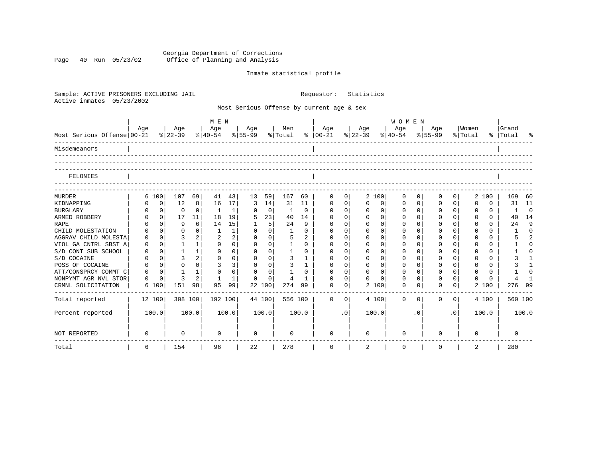Georgia Department of Corrections Page 40 Run 05/23/02 Office of Planning and Analysis

# Inmate statistical profile

| Sample: ACTIVE PRISONERS EXCLUDING JAIL<br>Active inmates<br>05/23/2002 |          |                |                              |                      |             |                    |             |              |                | Requestor:                                |             | Statistics              |                       |             |             |                |             |          |           |                |
|-------------------------------------------------------------------------|----------|----------------|------------------------------|----------------------|-------------|--------------------|-------------|--------------|----------------|-------------------------------------------|-------------|-------------------------|-----------------------|-------------|-------------|----------------|-------------|----------|-----------|----------------|
|                                                                         |          |                |                              |                      |             |                    |             |              |                | Most Serious Offense by current age & sex |             |                         |                       |             |             |                |             |          |           |                |
|                                                                         |          |                |                              | M E N                |             |                    |             |              |                |                                           |             |                         | <b>WOMEN</b>          |             |             |                |             |          |           |                |
|                                                                         | Age      | Age            |                              | Age                  |             | Age                |             | Men          |                | Age                                       |             | Age                     | Age                   |             | Age         |                | Women       |          | Grand     |                |
| Most Serious Offense 00-21                                              |          | $8 22-39$      |                              | $\frac{1}{6}$  40-54 |             | $ 55-99 $ $ Total$ |             |              |                | $8   00 - 21$                             |             | $ 22-39 $               | $\frac{1}{6}$   40-54 |             | $8155 - 99$ |                | % Total     |          | %   Total | ႜ              |
| Misdemeanors                                                            |          |                |                              |                      |             |                    |             |              |                |                                           |             |                         |                       |             |             |                |             |          |           |                |
| FELONIES                                                                |          |                |                              |                      |             |                    |             |              |                |                                           |             |                         |                       |             |             |                |             |          |           |                |
|                                                                         |          |                |                              |                      |             |                    |             |              |                |                                           |             |                         |                       |             |             |                |             |          |           |                |
| <b>MURDER</b>                                                           | 6 100    | 107            | 69                           | 41                   | 43          | 13                 | 59          | 167          | 60             | 0                                         | 0           | 2 100                   | 0                     | $\mathbf 0$ | $\Omega$    | 0 <sup>1</sup> | 2 100       |          | 169       | 60             |
| KIDNAPPING                                                              |          | 12<br>$\Omega$ | 8                            | 16                   | 17          | 3                  | 14          | 31           | 11             | $\Omega$                                  | $\mathbf 0$ | $\Omega$<br>$\Omega$    | 0                     | $\Omega$    | $\Omega$    | $\Omega$       | $\Omega$    | 0        | 31        | 11             |
| <b>BURGLARY</b>                                                         |          | $\overline{0}$ | 0<br>0                       | 1                    | 1           | 0                  | $\mathbf 0$ | 1            | $\mathbf 0$    | $\mathbf 0$                               | $\mathbf 0$ | $\mathbf 0$<br>0        | 0                     | $\mathbf 0$ | $\mathbf 0$ | 0 <sup>1</sup> | $\mathbf 0$ | 0        | 1         | 0              |
| ARMED ROBBERY                                                           |          | $\circ$<br>17  | 11                           | 18                   | 19          | 5                  | 23          | 40           | 14             | $\mathbf 0$                               | $\Omega$    | $\Omega$<br>$\mathbf 0$ | 0                     | $\Omega$    | $\mathbf 0$ | $\Omega$       | $\mathbf 0$ | 0        | 40        | 14             |
| RAPE                                                                    |          | $\Omega$       | 9<br>6                       | 14                   | 15          | 1                  | 5           | 24           | 9              | $\mathbf 0$                               | $\mathbf 0$ | $\Omega$<br>$\mathbf 0$ | 0                     | $\mathbf 0$ | $\mathbf 0$ | $\Omega$       | $\mathbf 0$ | $\Omega$ | 24        | 9              |
| CHILD MOLESTATION                                                       |          | $\Omega$       | $\Omega$<br>$\mathbf{0}$     | 1                    | $\mathbf 1$ | $\Omega$           | $\mathbf 0$ | 1            | $\Omega$       | $\mathbf 0$                               | $\mathbf 0$ | $\Omega$<br>0           | 0                     | $\mathbf 0$ | $\Omega$    | $\Omega$       | $\mathbf 0$ | 0        | 1         | $\Omega$       |
| AGGRAV CHILD MOLESTA                                                    |          | $\Omega$       | $\overline{a}$<br>3          | $\overline{2}$       | 2           | $\Omega$           | $\mathbf 0$ | 5            | $\overline{2}$ | $\Omega$                                  | $\mathbf 0$ | $\mathbf 0$<br>$\Omega$ | 0                     | $\mathbf 0$ | $\Omega$    | $\Omega$       | $\mathbf 0$ | 0        | 5         | $\mathfrak{D}$ |
| VIOL GA CNTRL SBST A                                                    | $\Omega$ | $\Omega$       | $\mathbf{1}$<br>$\mathbf{1}$ | $\Omega$             | $\Omega$    | $\Omega$           | $\Omega$    | $\mathbf{1}$ | $\Omega$       | $\Omega$                                  | $\Omega$    | $\Omega$<br>$\Omega$    | $\Omega$              | $\Omega$    | $\Omega$    | $\Omega$       | $\Omega$    | 0        |           | $\Omega$       |
| S/D CONT SUB SCHOOL                                                     | O        | $\Omega$       | $\mathbf{1}$<br>$\mathbf{1}$ | $\Omega$             | 0           | $\Omega$           | $\mathbf 0$ | 1            | $\Omega$       | $\Omega$                                  | $\Omega$    | $\Omega$<br>$\Omega$    | $\Omega$              | $\Omega$    | $\Omega$    | $\Omega$       | $\Omega$    | 0        |           | $\Omega$       |
| S/D COCAINE                                                             | $\Omega$ | $\Omega$       | 3<br>$\overline{a}$          | $\Omega$             | 0           | $\Omega$           | $\Omega$    | 3            | $\mathbf{1}$   | $\Omega$                                  | $\Omega$    | $\Omega$<br>$\Omega$    | $\Omega$              | $\Omega$    | $\mathbf 0$ | $\Omega$       | $\Omega$    | 0        |           | $\mathbf{1}$   |
| POSS OF COCAINE                                                         | $\Omega$ | $\Omega$       | $\Omega$<br>$\Omega$         | 3                    | 3           | $\Omega$           | $\Omega$    | 3            | $\mathbf{1}$   | $\Omega$                                  | $\mathbf 0$ | $\Omega$<br>0           | 0                     | $\Omega$    | $\mathbf 0$ | $\Omega$       | $\Omega$    | $\Omega$ |           | $\mathbf{1}$   |
| ATT/CONSPRCY COMMT C                                                    | $\Omega$ | $\Omega$       | $\mathbf{1}$                 | $\Omega$             | $\mathbf 0$ | $\Omega$           | $\Omega$    | $\mathbf{1}$ | $\Omega$       | $\Omega$                                  | $\Omega$    | $\Omega$<br>$\Omega$    | $\mathbf 0$           | $\Omega$    | $\Omega$    | $\Omega$       | $\Omega$    | $\Omega$ |           | $\Omega$       |
| NONPYMT AGR NVL STOR                                                    | $\Omega$ | $\Omega$       | $\overline{a}$<br>ς          |                      | 1           | $\Omega$           | $\mathbf 0$ | 4            | $\mathbf{1}$   | $\Omega$                                  | 0           | $\Omega$<br>$\Omega$    | 0                     | $\Omega$    | $\mathbf 0$ | $\Omega$       | $\Omega$    | O        |           | $\mathbf{1}$   |
| CRMNL SOLICITATION                                                      | 6 100    | 151            | 98                           | 95                   | 99          | 22 100             |             | 274          | 99             | $\Omega$                                  | 0           | 2 100                   | 0                     | 0           | $\Omega$    | 0              | 2 100       |          | 276       | 99             |
| Total reported                                                          | 12 100   |                | 308 100                      | 192 100              |             | 44 100             |             | 556 100      |                | $\Omega$                                  | 0           | 4 100                   | $\Omega$              | $\mathbf 0$ | $\Omega$    | 0 <sup>1</sup> | 4 100       |          | 560 100   |                |
| Percent reported                                                        | 100.0    |                | 100.0                        |                      | 100.0       |                    | 100.0       |              | 100.0          |                                           | $\cdot$ 0   | 100.0                   |                       | . 0         |             | $\cdot$ 0      | 100.0       |          |           | 100.0          |
| NOT REPORTED                                                            | 0        |                | 0                            | $\Omega$             |             | 0                  |             | 0            |                | O                                         |             |                         | 0                     |             | O           |                | $\Omega$    |          | $\Omega$  |                |
| Total                                                                   | 6        | 154            |                              | 96                   |             | 22                 |             | 278          |                | $\mathbf 0$                               |             | 2                       | $\mathbf 0$           |             | $\mathbf 0$ |                | 2           |          | 280       |                |